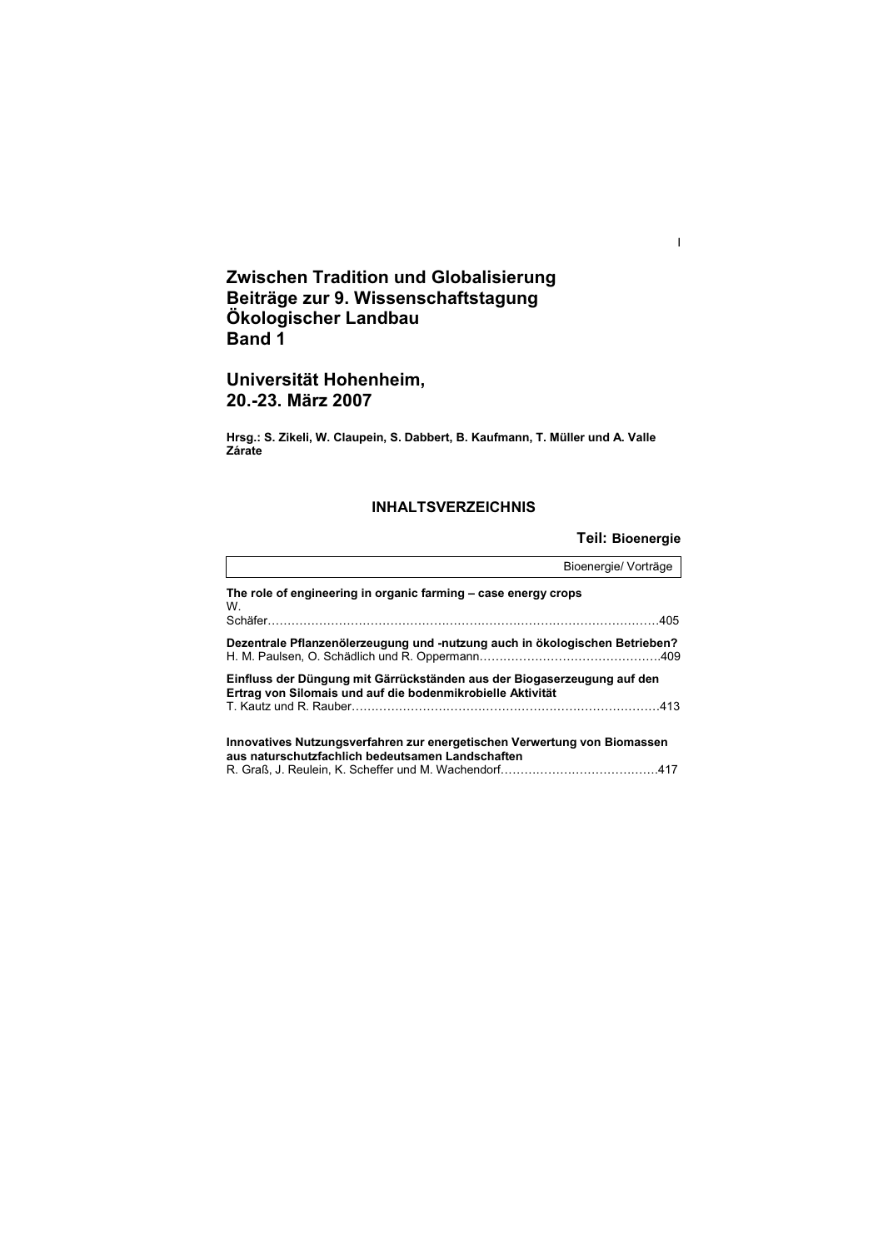# **Zwischen Tradition und Globalisierung Beiträge zur 9. Wissenschaftstagung Ökologischer Landbau Band 1**

# **Universität Hohenheim, 20.-23. März 2007**

**Hrsg.: S. Zikeli, W. Claupein, S. Dabbert, B. Kaufmann, T. Müller und A. Valle Zárate** 

# **INHALTSVERZEICHNIS**

**Teil: Bioenergie** 

I

|                                                                                                                                       | Bioenergie/ Vorträge |
|---------------------------------------------------------------------------------------------------------------------------------------|----------------------|
| The role of engineering in organic farming – case energy crops<br>W.                                                                  |                      |
| Dezentrale Pflanzenölerzeugung und -nutzung auch in ökologischen Betrieben?                                                           |                      |
| Einfluss der Düngung mit Gärrückständen aus der Biogaserzeugung auf den<br>Ertrag von Silomais und auf die bodenmikrobielle Aktivität |                      |
| Innovatives Nutzungsverfahren zur energetischen Verwertung von Biomassen<br>aus naturschutzfachlich bedeutsamen Landschaften          |                      |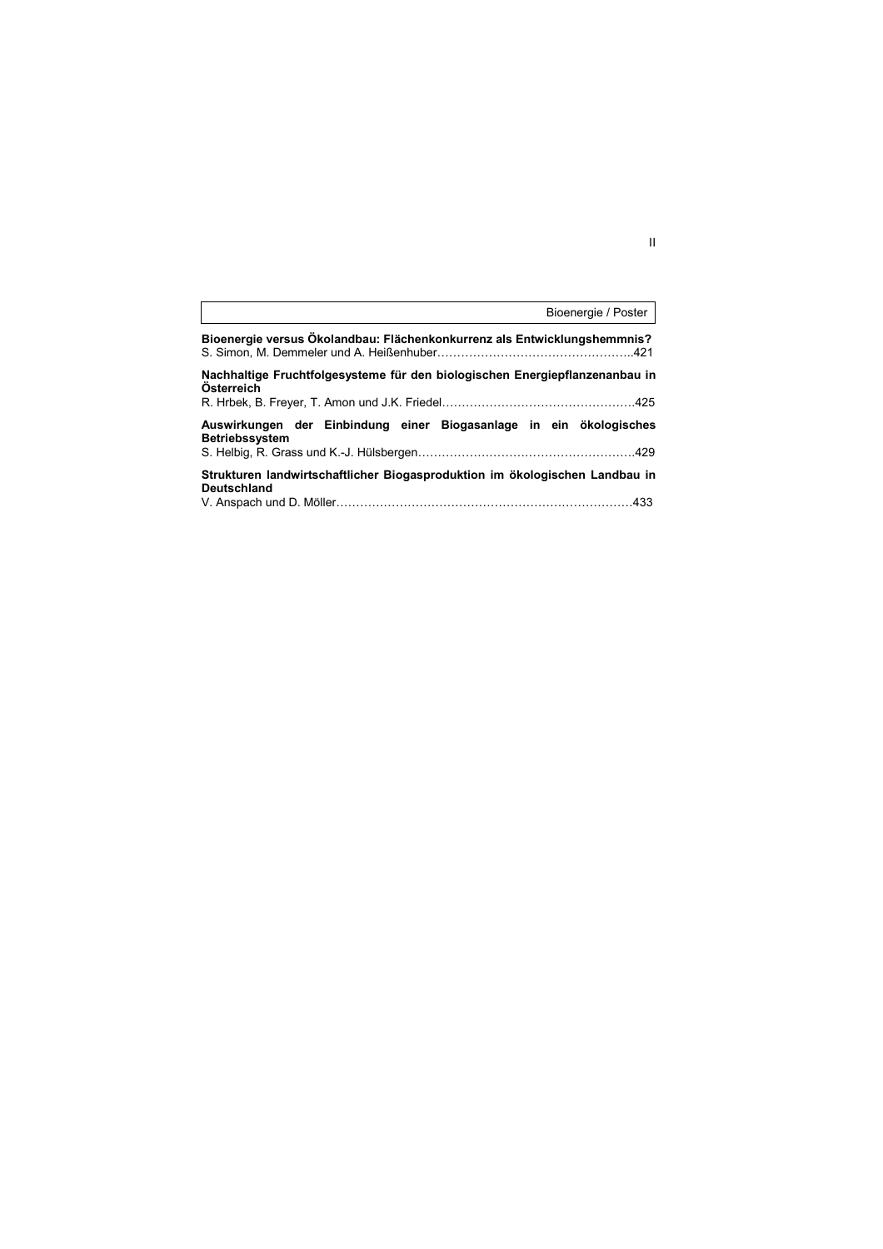|                                                                                             | Bioenergie / Poster |
|---------------------------------------------------------------------------------------------|---------------------|
| Bioenergie versus Ökolandbau: Flächenkonkurrenz als Entwicklungshemmnis?                    |                     |
| Nachhaltige Fruchtfolgesysteme für den biologischen Energiepflanzenanbau in<br>Österreich   |                     |
| Auswirkungen der Einbindung einer Biogasanlage in ein ökologisches<br><b>Betriebssystem</b> |                     |
| Strukturen landwirtschaftlicher Biogasproduktion im ökologischen Landbau in<br>Deutschland  |                     |

 $\mathbf{I}$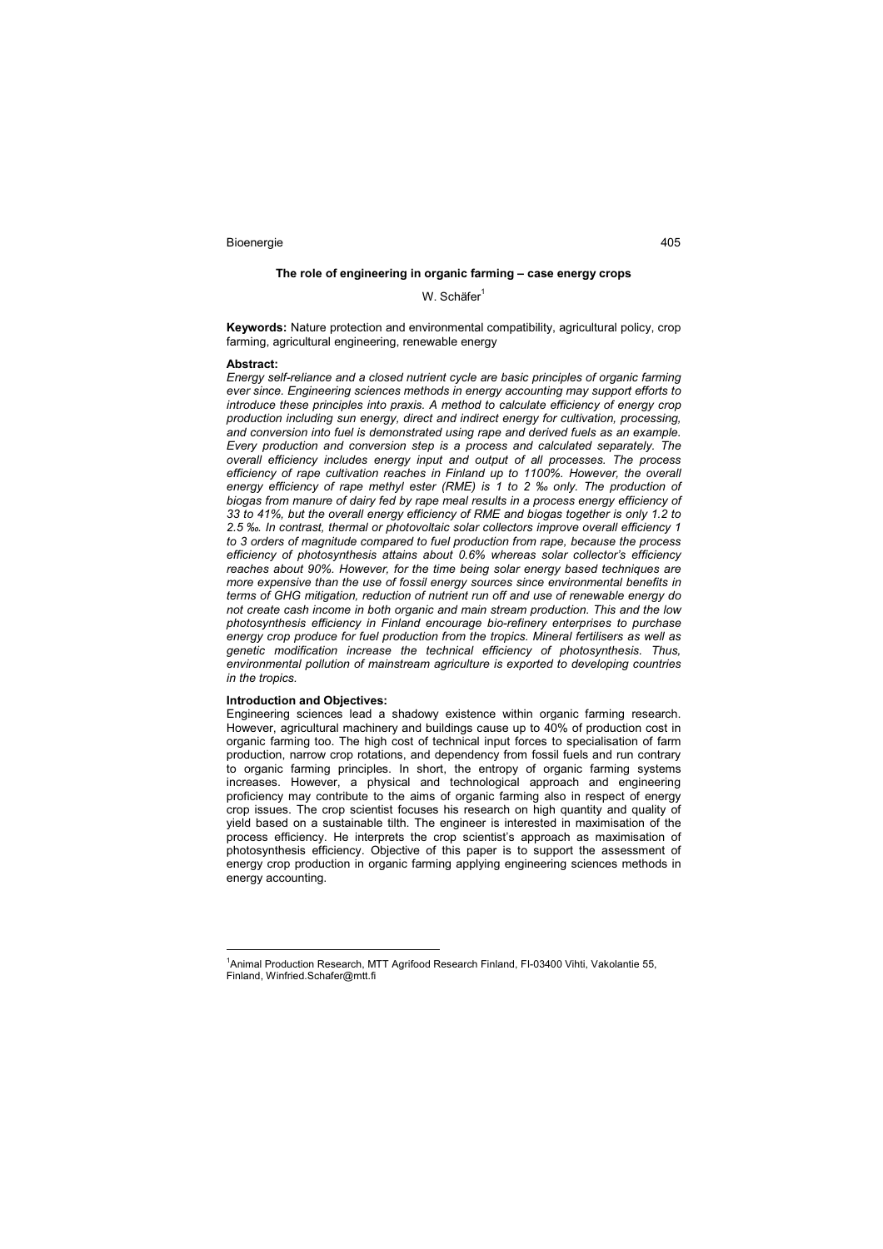## **The role of engineering in organic farming – case energy crops**

W. Schäfer<sup>1</sup>

**Keywords:** Nature protection and environmental compatibility, agricultural policy, crop farming, agricultural engineering, renewable energy

#### **Abstract:**

*Energy self-reliance and a closed nutrient cycle are basic principles of organic farming ever since. Engineering sciences methods in energy accounting may support efforts to introduce these principles into praxis. A method to calculate efficiency of energy crop production including sun energy, direct and indirect energy for cultivation, processing, and conversion into fuel is demonstrated using rape and derived fuels as an example. Every production and conversion step is a process and calculated separately. The overall efficiency includes energy input and output of all processes. The process*  efficiency of rape cultivation reaches in Finland up to 1100%. However, the overall energy efficiency of rape methyl ester (RME) is 1 to 2 ‰ only. The production of *biogas from manure of dairy fed by rape meal results in a process energy efficiency of 33 to 41%, but the overall energy efficiency of RME and biogas together is only 1.2 to 2.5 ‰. In contrast, thermal or photovoltaic solar collectors improve overall efficiency 1 to 3 orders of magnitude compared to fuel production from rape, because the process efficiency of photosynthesis attains about 0.6% whereas solar collector's efficiency reaches about 90%. However, for the time being solar energy based techniques are more expensive than the use of fossil energy sources since environmental benefits in terms of GHG mitigation, reduction of nutrient run off and use of renewable energy do not create cash income in both organic and main stream production. This and the low photosynthesis efficiency in Finland encourage bio-refinery enterprises to purchase energy crop produce for fuel production from the tropics. Mineral fertilisers as well as genetic modification increase the technical efficiency of photosynthesis. Thus, environmental pollution of mainstream agriculture is exported to developing countries in the tropics.* 

### **Introduction and Objectives:**

 $\overline{a}$ 

Engineering sciences lead a shadowy existence within organic farming research. However, agricultural machinery and buildings cause up to 40% of production cost in organic farming too. The high cost of technical input forces to specialisation of farm production, narrow crop rotations, and dependency from fossil fuels and run contrary to organic farming principles. In short, the entropy of organic farming systems increases. However, a physical and technological approach and engineering proficiency may contribute to the aims of organic farming also in respect of energy crop issues. The crop scientist focuses his research on high quantity and quality of yield based on a sustainable tilth. The engineer is interested in maximisation of the process efficiency. He interprets the crop scientist's approach as maximisation of photosynthesis efficiency. Objective of this paper is to support the assessment of energy crop production in organic farming applying engineering sciences methods in energy accounting.

<sup>&</sup>lt;sup>1</sup>Animal Production Research, MTT Agrifood Research Finland, FI-03400 Vihti, Vakolantie 55, Finland, Winfried.Schafer@mtt.fi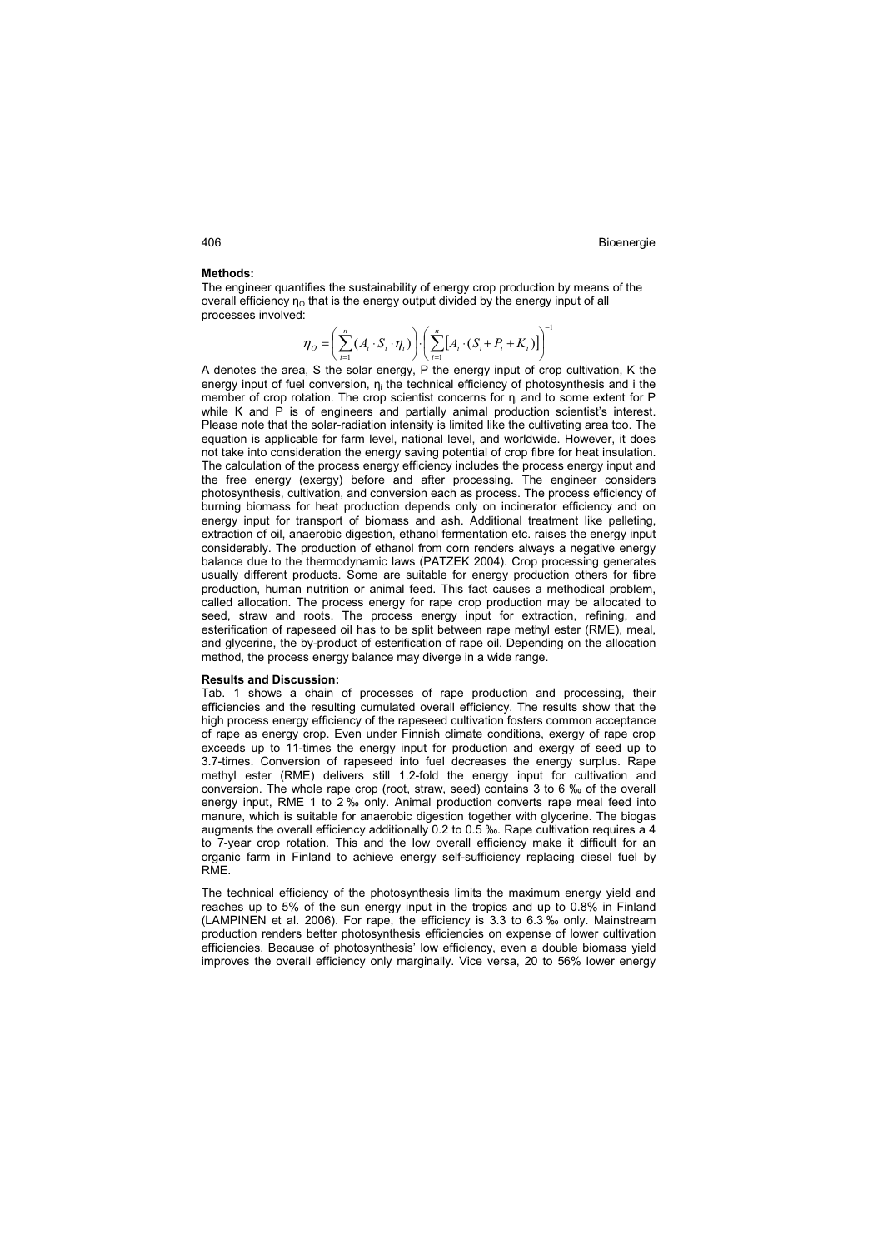### **Methods:**

The engineer quantifies the sustainability of energy crop production by means of the overall efficiency  $\eta_0$  that is the energy output divided by the energy input of all processes involved:

$$
\boldsymbol{\eta}_{\scriptscriptstyle O} = \left(\sum_{i=1}^n (A_i \cdot S_i \cdot \boldsymbol{\eta}_i)\right) \cdot \left(\sum_{i=1}^n [A_i \cdot (S_i + P_i + K_i)]\right)^{-1}
$$

A denotes the area, S the solar energy, P the energy input of crop cultivation, K the energy input of fuel conversion,  $n_i$  the technical efficiency of photosynthesis and i the member of crop rotation. The crop scientist concerns for  $\eta_i$  and to some extent for P while K and P is of engineers and partially animal production scientist's interest. Please note that the solar-radiation intensity is limited like the cultivating area too. The equation is applicable for farm level, national level, and worldwide. However, it does not take into consideration the energy saving potential of crop fibre for heat insulation. The calculation of the process energy efficiency includes the process energy input and the free energy (exergy) before and after processing. The engineer considers photosynthesis, cultivation, and conversion each as process. The process efficiency of burning biomass for heat production depends only on incinerator efficiency and on energy input for transport of biomass and ash. Additional treatment like pelleting, extraction of oil, anaerobic digestion, ethanol fermentation etc. raises the energy input considerably. The production of ethanol from corn renders always a negative energy balance due to the thermodynamic laws (PATZEK 2004). Crop processing generates usually different products. Some are suitable for energy production others for fibre production, human nutrition or animal feed. This fact causes a methodical problem, called allocation. The process energy for rape crop production may be allocated to seed, straw and roots. The process energy input for extraction, refining, and esterification of rapeseed oil has to be split between rape methyl ester (RME), meal, and glycerine, the by-product of esterification of rape oil. Depending on the allocation method, the process energy balance may diverge in a wide range.

### **Results and Discussion:**

Tab. 1 shows a chain of processes of rape production and processing, their efficiencies and the resulting cumulated overall efficiency. The results show that the high process energy efficiency of the rapeseed cultivation fosters common acceptance of rape as energy crop. Even under Finnish climate conditions, exergy of rape crop exceeds up to 11-times the energy input for production and exergy of seed up to 3.7-times. Conversion of rapeseed into fuel decreases the energy surplus. Rape methyl ester (RME) delivers still 1.2-fold the energy input for cultivation and conversion. The whole rape crop (root, straw, seed) contains 3 to 6 ‰ of the overall energy input, RME 1 to 2 ‰ only. Animal production converts rape meal feed into manure, which is suitable for anaerobic digestion together with glycerine. The biogas augments the overall efficiency additionally 0.2 to 0.5 ‰. Rape cultivation requires a 4 to 7-year crop rotation. This and the low overall efficiency make it difficult for an organic farm in Finland to achieve energy self-sufficiency replacing diesel fuel by RME.

The technical efficiency of the photosynthesis limits the maximum energy yield and reaches up to 5% of the sun energy input in the tropics and up to 0.8% in Finland (LAMPINEN et al. 2006). For rape, the efficiency is 3.3 to 6.3 $\%$  only. Mainstream production renders better photosynthesis efficiencies on expense of lower cultivation efficiencies. Because of photosynthesis' low efficiency, even a double biomass yield improves the overall efficiency only marginally. Vice versa, 20 to 56% lower energy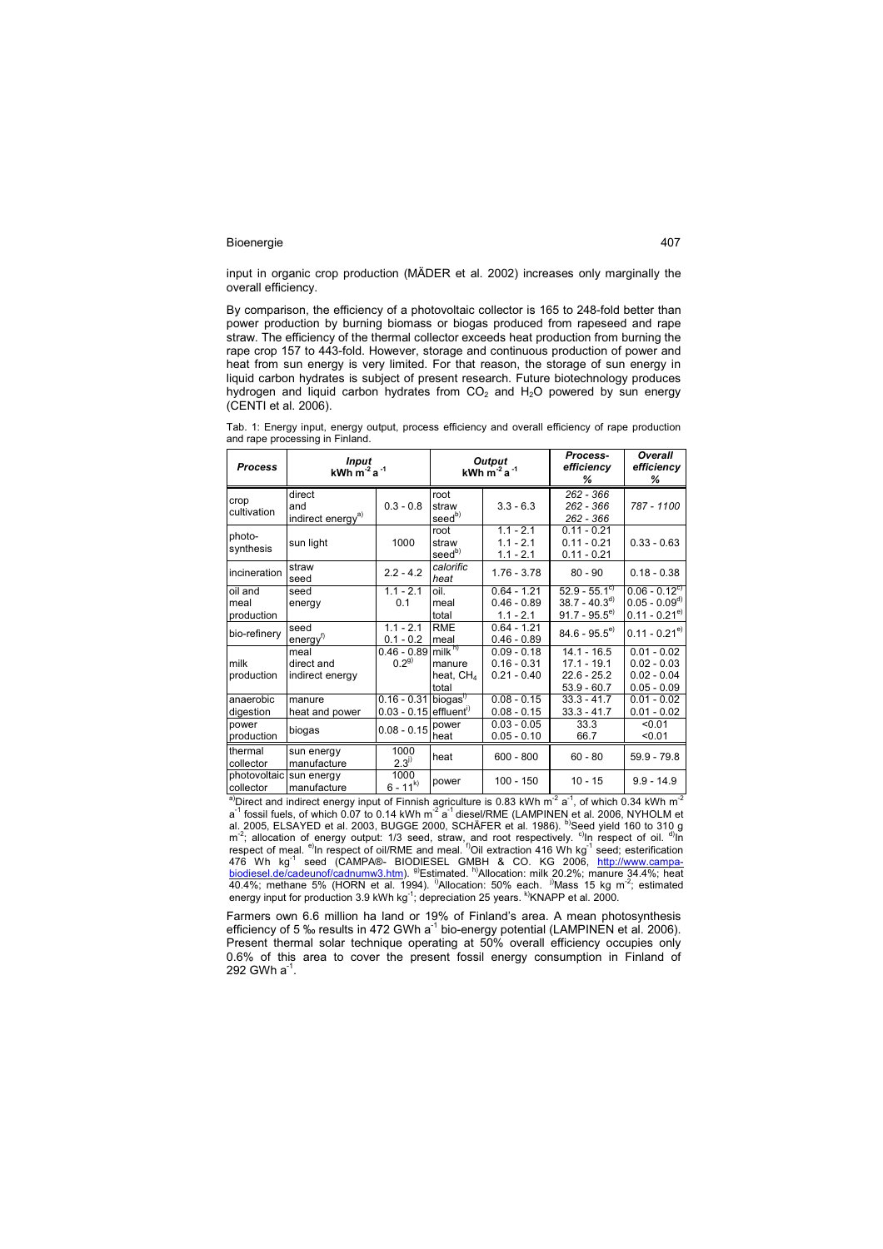input in organic crop production (MÄDER et al. 2002) increases only marginally the overall efficiency.

By comparison, the efficiency of a photovoltaic collector is 165 to 248-fold better than power production by burning biomass or biogas produced from rapeseed and rape straw. The efficiency of the thermal collector exceeds heat production from burning the rape crop 157 to 443-fold. However, storage and continuous production of power and heat from sun energy is very limited. For that reason, the storage of sun energy in liquid carbon hydrates is subject of present research. Future biotechnology produces hydrogen and liquid carbon hydrates from  $CO<sub>2</sub>$  and  $H<sub>2</sub>O$  powered by sun energy (CENTI et al. 2006).

Tab. 1: Energy input, energy output, process efficiency and overall efficiency of rape production and rape processing in Finland.

| <b>Process</b>                | Input<br>kWh $m^2$ a <sup>-1</sup>             |                                                      | Output<br>$kWh$ m <sup>-2</sup> a <sup>-1</sup>               |                                                 | Process-<br>efficiency<br>%                                                  | Overall<br>efficiency<br>%                                            |
|-------------------------------|------------------------------------------------|------------------------------------------------------|---------------------------------------------------------------|-------------------------------------------------|------------------------------------------------------------------------------|-----------------------------------------------------------------------|
| crop<br>cultivation           | direct<br>and<br>indirect energy <sup>a)</sup> | $0.3 - 0.8$                                          | root<br>straw<br>$\leq$ eedb)                                 | $3.3 - 6.3$                                     | 262 - 366<br>$262 - 366$<br>262 - 366                                        | 787 - 1100                                                            |
| photo-<br>synthesis           | sun light                                      | 1000                                                 | root<br>straw<br>seed <sup>b)</sup>                           | $1.1 - 2.1$<br>$1.1 - 2.1$<br>$1.1 - 2.1$       | $0.11 - 0.21$<br>$0.11 - 0.21$<br>$0.11 - 0.21$                              | $0.33 - 0.63$                                                         |
| incineration                  | straw<br>seed                                  | $2.2 - 4.2$                                          | calorific<br>heat                                             | $1.76 - 3.78$                                   | $80 - 90$                                                                    | $0.18 - 0.38$                                                         |
| oil and<br>meal<br>production | seed<br>energy                                 | $1.1 - 2.1$<br>0.1                                   | oil.<br>meal<br>total                                         | $0.64 - 1.21$<br>$0.46 - 0.89$<br>$1.1 - 2.1$   | $52.9 - 55.1$ <sup>c)</sup><br>$38.7 - 40.3^{d}$<br>$91.7 - 95.5^{\text{e}}$ | $0.06 - 0.12$ <sup>c)</sup><br>$0.05 - 0.09^{d}$<br>$0.11 - 0.21^{e}$ |
| bio-refinery                  | seed<br>energy <sup>f)</sup>                   | $1.1 - 2.1$<br>$0.1 - 0.2$                           | <b>RME</b><br>meal                                            | $0.64 - 1.21$<br>$0.46 - 0.89$                  | $84.6 - 95.5^{e}$                                                            | $0.11 - 0.21^{e}$                                                     |
| milk<br>production            | meal<br>direct and<br>indirect energy          | $0.46 - 0.89$<br>$0.2^{9}$                           | milk <sup>h</sup><br>manure<br>heat, CH <sub>4</sub><br>total | $0.09 - 0.18$<br>$0.16 - 0.31$<br>$0.21 - 0.40$ | $14.1 - 16.5$<br>$17.1 - 19.1$<br>$22.6 - 25.2$<br>$53.9 - 60.7$             | $0.01 - 0.02$<br>$0.02 - 0.03$<br>$0.02 - 0.04$<br>$0.05 - 0.09$      |
| anaerobic<br>digestion        | manure<br>heat and power                       | $0.16 - 0.31$<br>$0.03 - 0.15$ effluent <sup>1</sup> | biogas <sup>17</sup>                                          | $0.08 - 0.15$<br>$0.08 - 0.15$                  | $33.3 - 41.7$<br>$33.3 - 41.7$                                               | $0.01 - 0.02$<br>$0.01 - 0.02$                                        |
| power<br>production           | biogas                                         | $0.08 - 0.15$                                        | power<br>heat                                                 | $0.03 - 0.05$<br>$0.05 - 0.10$                  | 33.3<br>66.7                                                                 | < 0.01<br>< 0.01                                                      |
| thermal<br>collector          | sun energy<br>manufacture                      | 1000<br>$2.3^{j}$                                    | heat                                                          | $600 - 800$                                     | $60 - 80$                                                                    | $59.9 - 79.8$                                                         |
| photovoltaic<br>collector     | sun energy<br>manufacture                      | 1000<br>$6 - 11^{k}$                                 | power                                                         | $100 - 150$                                     | $10 - 15$                                                                    | $9.9 - 14.9$                                                          |

<sup>a)</sup>Direct and indirect energy input of Finnish agriculture is 0.83 kWh m<sup>-2</sup> a<sup>-1</sup>, of which 0.34 kWh m<sup>-2</sup>  $a^{-1}$  fossil fuels, of which 0.07 to 0.14 kWh m<sup>-2</sup>  $a^{-1}$  diesel/RME (LAMPINEN et al. 2006, NYHOLM et al. 2005, ELSAYED et al. 2003, BUGGE 2000, SCHÄFER et al. 1986). <sup>b)</sup>Seed yield 160 to 310 g  $m<sup>-2</sup>$ ; allocation of energy output: 1/3 seed, straw, and root respectively. <sup>c)</sup>In respect of oil. <sup>d)</sup>In respect of meal. <sup>e)</sup>In respect of oil/RME and meal. <sup>f)</sup>Oil extraction 416 Wh kg<sup>-1</sup> seed; esterification 476 Wh kg<sup>-1</sup> seed (CAMPA®- BIODIESEL GMBH & CO. KG 2006, <u>http://www.campa</u>biodiesel.de/cadeunof/cadnumw3.htm). <sup>g)</sup>Estimated. h)Allocation: milk 20.2%; manure 34.4%; heat 40.4%; methane 5% (HORN et al. 1994). <sup>i)</sup>Allocation: 50% each. <sup>j)</sup>Mass 15 kg m<sup>-2</sup>; estimated energy input for production 3.9 kWh kg<sup>-1</sup>; depreciation 25 years. <sup>k)</sup>KNAPP et al. 2000.

Farmers own 6.6 million ha land or 19% of Finland's area. A mean photosynthesis efficiency of 5 ‰ results in 472 GWh a<sup>-1</sup> bio-energy potential (LAMPINEN et al. 2006). Present thermal solar technique operating at 50% overall efficiency occupies only 0.6% of this area to cover the present fossil energy consumption in Finland of 292 GWh a<sup>-1</sup>.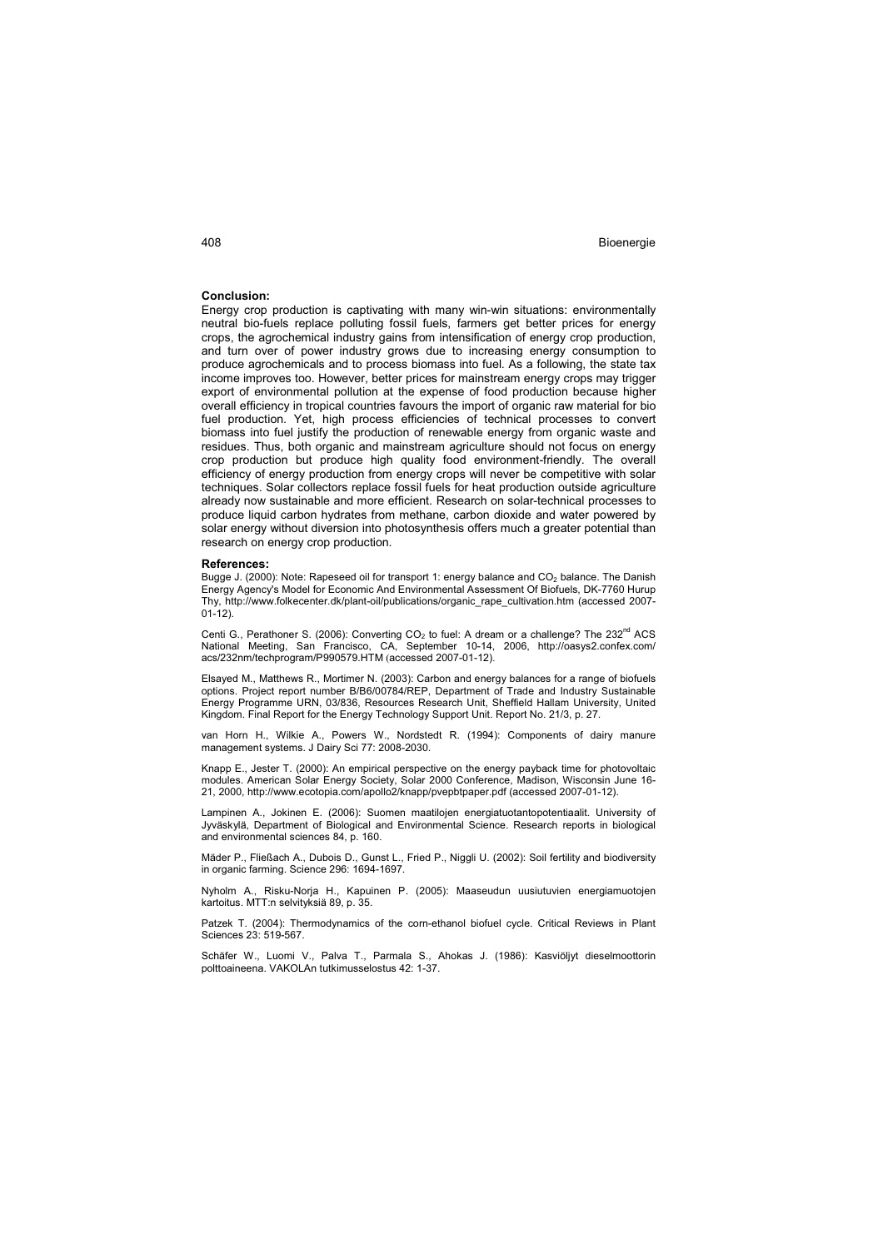# **Conclusion:**

Energy crop production is captivating with many win-win situations: environmentally neutral bio-fuels replace polluting fossil fuels, farmers get better prices for energy crops, the agrochemical industry gains from intensification of energy crop production, and turn over of power industry grows due to increasing energy consumption to produce agrochemicals and to process biomass into fuel. As a following, the state tax income improves too. However, better prices for mainstream energy crops may trigger export of environmental pollution at the expense of food production because higher overall efficiency in tropical countries favours the import of organic raw material for bio fuel production. Yet, high process efficiencies of technical processes to convert biomass into fuel justify the production of renewable energy from organic waste and residues. Thus, both organic and mainstream agriculture should not focus on energy crop production but produce high quality food environment-friendly. The overall efficiency of energy production from energy crops will never be competitive with solar techniques. Solar collectors replace fossil fuels for heat production outside agriculture already now sustainable and more efficient. Research on solar-technical processes to produce liquid carbon hydrates from methane, carbon dioxide and water powered by solar energy without diversion into photosynthesis offers much a greater potential than research on energy crop production.

#### **References:**

Bugge J. (2000): Note: Rapeseed oil for transport 1: energy balance and CO<sub>2</sub> balance. The Danish Energy Agency's Model for Economic And Environmental Assessment Of Biofuels, DK-7760 Hurup Thy, http://www.folkecenter.dk/plant-oil/publications/organic\_rape\_cultivation.htm (accessed 2007-  $(1 - 12)$ 

Centi G., Perathoner S. (2006): Converting CO<sub>2</sub> to fuel: A dream or a challenge? The 232<sup>nd</sup> ACS<br>National Meeting, San Francisco, CA, September 10-14, 2006, http://oasys2.confex.com/ acs/232nm/techprogram/P990579.HTM (accessed 2007-01-12).

Elsayed M., Matthews R., Mortimer N. (2003): Carbon and energy balances for a range of biofuels options. Project report number B/B6/00784/REP, Department of Trade and Industry Sustainable Energy Programme URN, 03/836, Resources Research Unit, Sheffield Hallam University, United Kingdom. Final Report for the Energy Technology Support Unit. Report No. 21/3, p. 27.

van Horn H., Wilkie A., Powers W., Nordstedt R. (1994): Components of dairy manure management systems. J Dairy Sci 77: 2008-2030.

Knapp E., Jester T. (2000): An empirical perspective on the energy payback time for photovoltaic modules. American Solar Energy Society, Solar 2000 Conference, Madison, Wisconsin June 16- 21, 2000, http://www.ecotopia.com/apollo2/knapp/pvepbtpaper.pdf (accessed 2007-01-12).

Lampinen A., Jokinen E. (2006): Suomen maatilojen energiatuotantopotentiaalit. University of Jyväskylä, Department of Biological and Environmental Science. Research reports in biological and environmental sciences 84, p. 160.

Mäder P., Fließach A., Dubois D., Gunst L., Fried P., Niggli U. (2002): Soil fertility and biodiversity in organic farming. Science 296: 1694-1697.

Nyholm A., Risku-Norja H., Kapuinen P. (2005): Maaseudun uusiutuvien energiamuotojen kartoitus. MTT:n selvityksiä 89, p. 35.

Patzek T. (2004): Thermodynamics of the corn-ethanol biofuel cycle. Critical Reviews in Plant Sciences 23: 519-567.

Schäfer W., Luomi V., Palva T., Parmala S., Ahokas J. (1986): Kasviöljyt dieselmoottorin polttoaineena. VAKOLAn tutkimusselostus 42: 1-37.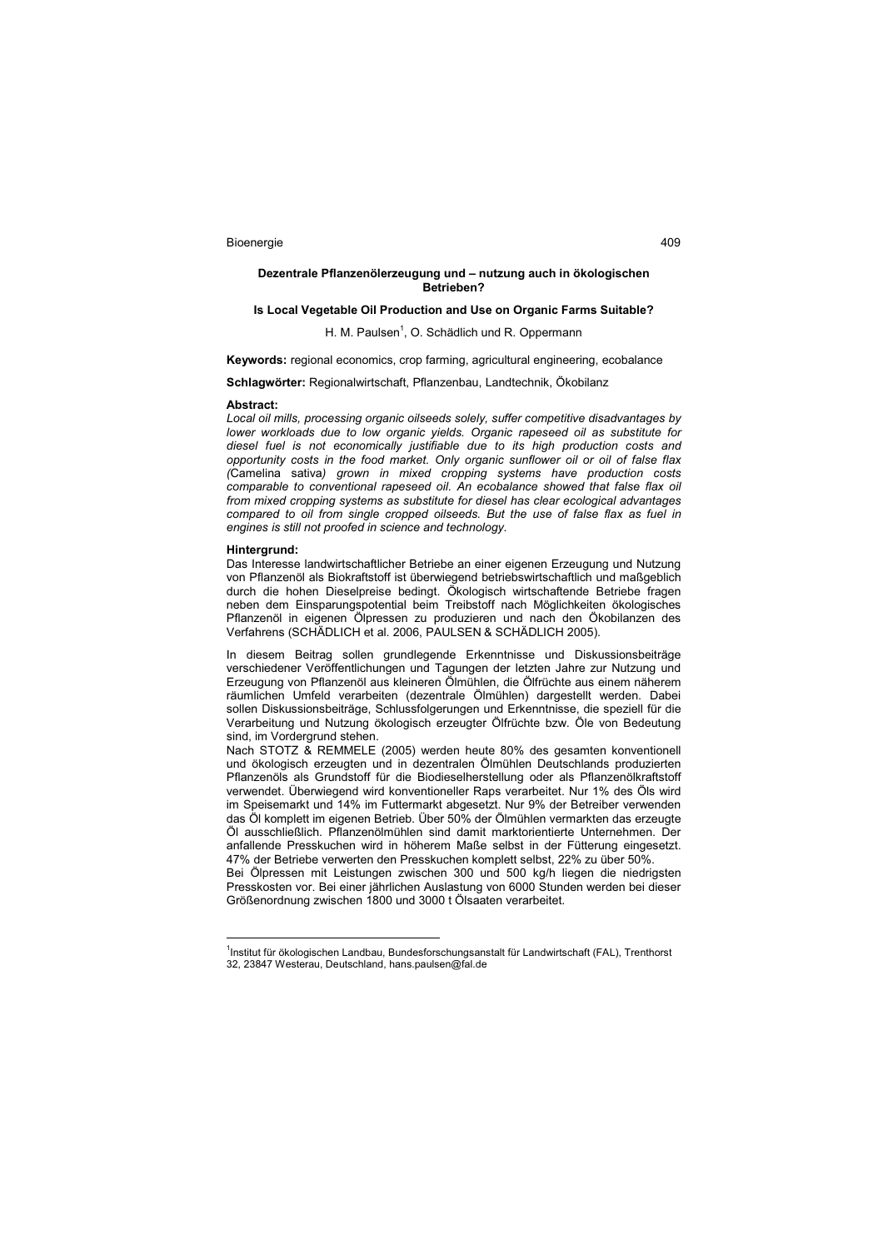### **Dezentrale Pflanzenölerzeugung und – nutzung auch in ökologischen Betrieben?**

# **Is Local Vegetable Oil Production and Use on Organic Farms Suitable?**

# H. M. Paulsen<sup>1</sup>, O. Schädlich und R. Oppermann

**Keywords:** regional economics, crop farming, agricultural engineering, ecobalance

**Schlagwörter:** Regionalwirtschaft, Pflanzenbau, Landtechnik, Ökobilanz

#### **Abstract:**

*Local oil mills, processing organic oilseeds solely, suffer competitive disadvantages by lower workloads due to low organic yields. Organic rapeseed oil as substitute for diesel fuel is not economically justifiable due to its high production costs and opportunity costs in the food market. Only organic sunflower oil or oil of false flax (*Camelina sativa*) grown in mixed cropping systems have production costs comparable to conventional rapeseed oil. An ecobalance showed that false flax oil from mixed cropping systems as substitute for diesel has clear ecological advantages compared to oil from single cropped oilseeds. But the use of false flax as fuel in engines is still not proofed in science and technology.* 

#### **Hintergrund:**

 $\overline{a}$ 

Das Interesse landwirtschaftlicher Betriebe an einer eigenen Erzeugung und Nutzung von Pflanzenöl als Biokraftstoff ist überwiegend betriebswirtschaftlich und maßgeblich durch die hohen Dieselpreise bedingt. Ökologisch wirtschaftende Betriebe fragen neben dem Einsparungspotential beim Treibstoff nach Möglichkeiten ökologisches Pflanzenöl in eigenen Ölpressen zu produzieren und nach den Ökobilanzen des Verfahrens (SCHÄDLICH et al. 2006, PAULSEN & SCHÄDLICH 2005).

In diesem Beitrag sollen grundlegende Erkenntnisse und Diskussionsbeiträge verschiedener Veröffentlichungen und Tagungen der letzten Jahre zur Nutzung und Erzeugung von Pflanzenöl aus kleineren Ölmühlen, die Ölfrüchte aus einem näherem räumlichen Umfeld verarbeiten (dezentrale Ölmühlen) dargestellt werden. Dabei sollen Diskussionsbeiträge, Schlussfolgerungen und Erkenntnisse, die speziell für die Verarbeitung und Nutzung ökologisch erzeugter Ölfrüchte bzw. Öle von Bedeutung sind, im Vordergrund stehen.

Nach STOTZ & REMMELE (2005) werden heute 80% des gesamten konventionell und ökologisch erzeugten und in dezentralen Ölmühlen Deutschlands produzierten Pflanzenöls als Grundstoff für die Biodieselherstellung oder als Pflanzenölkraftstoff verwendet. Überwiegend wird konventioneller Raps verarbeitet. Nur 1% des Öls wird im Speisemarkt und 14% im Futtermarkt abgesetzt. Nur 9% der Betreiber verwenden das Öl komplett im eigenen Betrieb. Über 50% der Ölmühlen vermarkten das erzeugte Öl ausschließlich. Pflanzenölmühlen sind damit marktorientierte Unternehmen. Der anfallende Presskuchen wird in höherem Maße selbst in der Fütterung eingesetzt. 47% der Betriebe verwerten den Presskuchen komplett selbst, 22% zu über 50%.

Bei Ölpressen mit Leistungen zwischen 300 und 500 kg/h liegen die niedrigsten Presskosten vor. Bei einer jährlichen Auslastung von 6000 Stunden werden bei dieser Größenordnung zwischen 1800 und 3000 t Ölsaaten verarbeitet.

<sup>1</sup>Institut für ökologischen Landbau, Bundesforschungsanstalt für Landwirtschaft (FAL), Trenthorst 32, 23847 Westerau, Deutschland, hans.paulsen@fal.de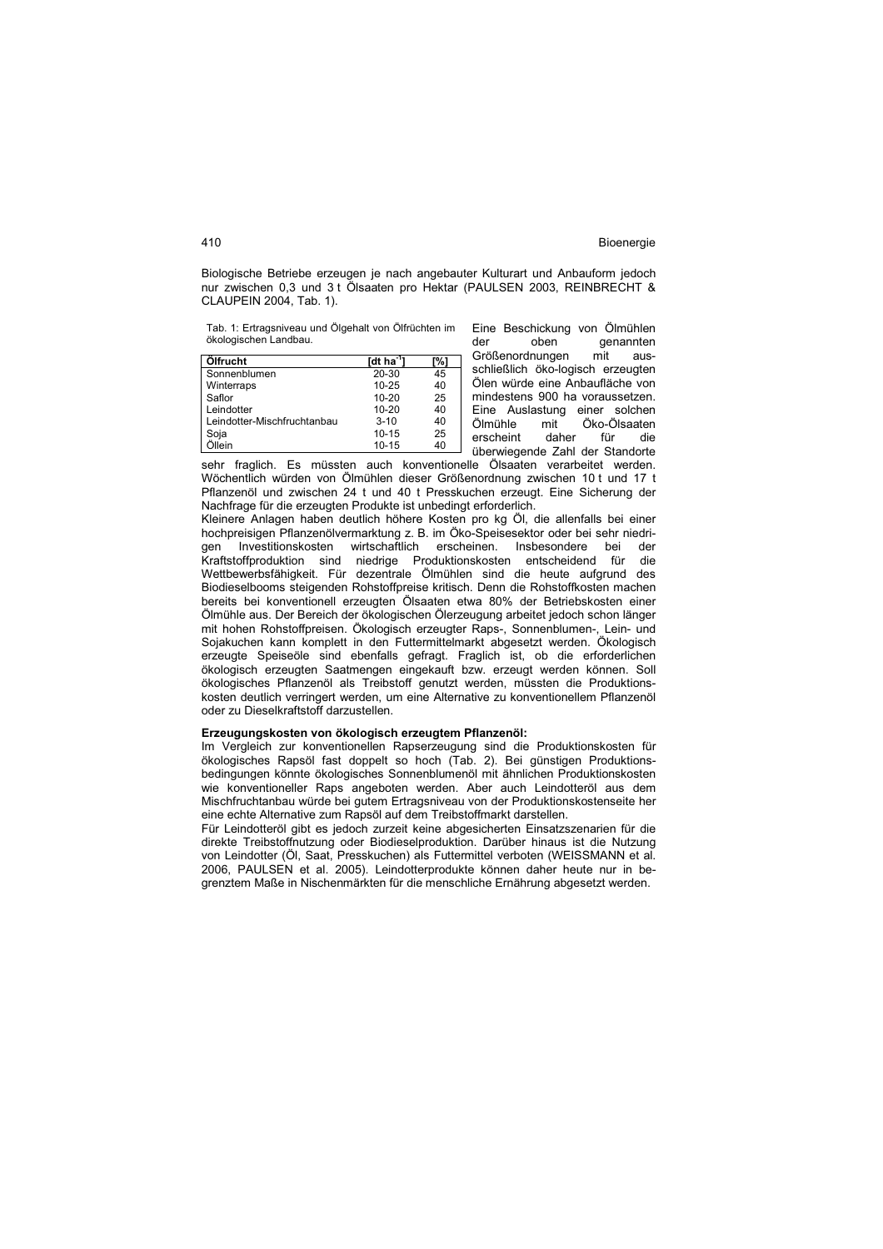Biologische Betriebe erzeugen je nach angebauter Kulturart und Anbauform jedoch nur zwischen 0,3 und 3 t Ölsaaten pro Hektar (PAULSEN 2003, REINBRECHT & CLAUPEIN 2004, Tab. 1).

Tab. 1: Ertragsniveau und Ölgehalt von Ölfrüchten im ökologischen Landbau.

| Ölfrucht                    | [dt ha <sup>-1</sup> | [%] |
|-----------------------------|----------------------|-----|
| Sonnenblumen                | $20 - 30$            | 45  |
| Winterraps                  | $10 - 25$            | 40  |
| Saflor                      | $10 - 20$            | 25  |
| Leindotter                  | $10 - 20$            | 40  |
| Leindotter-Mischfruchtanbau | $3 - 10$             | 40  |
| Soja                        | $10 - 15$            | 25  |
| Öllein                      | $10 - 15$            | 40  |

Eine Beschickung von Ölmühlen<br>der oben genannten genannten Größenordnungen mit ausschließlich öko-logisch erzeugten Ölen würde eine Anbaufläche von mindestens 900 ha voraussetzen. Eine Auslastung einer solchen Ölmühle mit Öko-Ölsaaten erscheint daher für die überwiegende Zahl der Standorte

sehr fraglich. Es müssten auch konventionelle Ölsaaten verarbeitet werden. Wöchentlich würden von Ölmühlen dieser Größenordnung zwischen 10 t und 17 t Pflanzenöl und zwischen 24 t und 40 t Presskuchen erzeugt. Eine Sicherung der Nachfrage für die erzeugten Produkte ist unbedingt erforderlich.

Kleinere Anlagen haben deutlich höhere Kosten pro kg Öl, die allenfalls bei einer hochpreisigen Pflanzenölvermarktung z. B. im Öko-Speisesektor oder bei sehr niedrigen Investitionskosten wirtschaftlich erscheinen. Insbesondere bei der Kraftstoffproduktion sind niedrige Produktionskosten entscheidend für die Wettbewerbsfähigkeit. Für dezentrale Ölmühlen sind die heute aufgrund des Biodieselbooms steigenden Rohstoffpreise kritisch. Denn die Rohstoffkosten machen bereits bei konventionell erzeugten Ölsaaten etwa 80% der Betriebskosten einer Ölmühle aus. Der Bereich der ökologischen Ölerzeugung arbeitet jedoch schon länger mit hohen Rohstoffpreisen. Ökologisch erzeugter Raps-, Sonnenblumen-, Lein- und Sojakuchen kann komplett in den Futtermittelmarkt abgesetzt werden. Ökologisch erzeugte Speiseöle sind ebenfalls gefragt. Fraglich ist, ob die erforderlichen ökologisch erzeugten Saatmengen eingekauft bzw. erzeugt werden können. Soll ökologisches Pflanzenöl als Treibstoff genutzt werden, müssten die Produktionskosten deutlich verringert werden, um eine Alternative zu konventionellem Pflanzenöl oder zu Dieselkraftstoff darzustellen.

#### **Erzeugungskosten von ökologisch erzeugtem Pflanzenöl:**

Im Vergleich zur konventionellen Rapserzeugung sind die Produktionskosten für ökologisches Rapsöl fast doppelt so hoch (Tab. 2). Bei günstigen Produktionsbedingungen könnte ökologisches Sonnenblumenöl mit ähnlichen Produktionskosten wie konventioneller Raps angeboten werden. Aber auch Leindotteröl aus dem Mischfruchtanbau würde bei gutem Ertragsniveau von der Produktionskostenseite her eine echte Alternative zum Rapsöl auf dem Treibstoffmarkt darstellen.

Für Leindotteröl gibt es jedoch zurzeit keine abgesicherten Einsatzszenarien für die direkte Treibstoffnutzung oder Biodieselproduktion. Darüber hinaus ist die Nutzung von Leindotter (Öl, Saat, Presskuchen) als Futtermittel verboten (WEISSMANN et al. 2006, PAULSEN et al. 2005). Leindotterprodukte können daher heute nur in begrenztem Maße in Nischenmärkten für die menschliche Ernährung abgesetzt werden.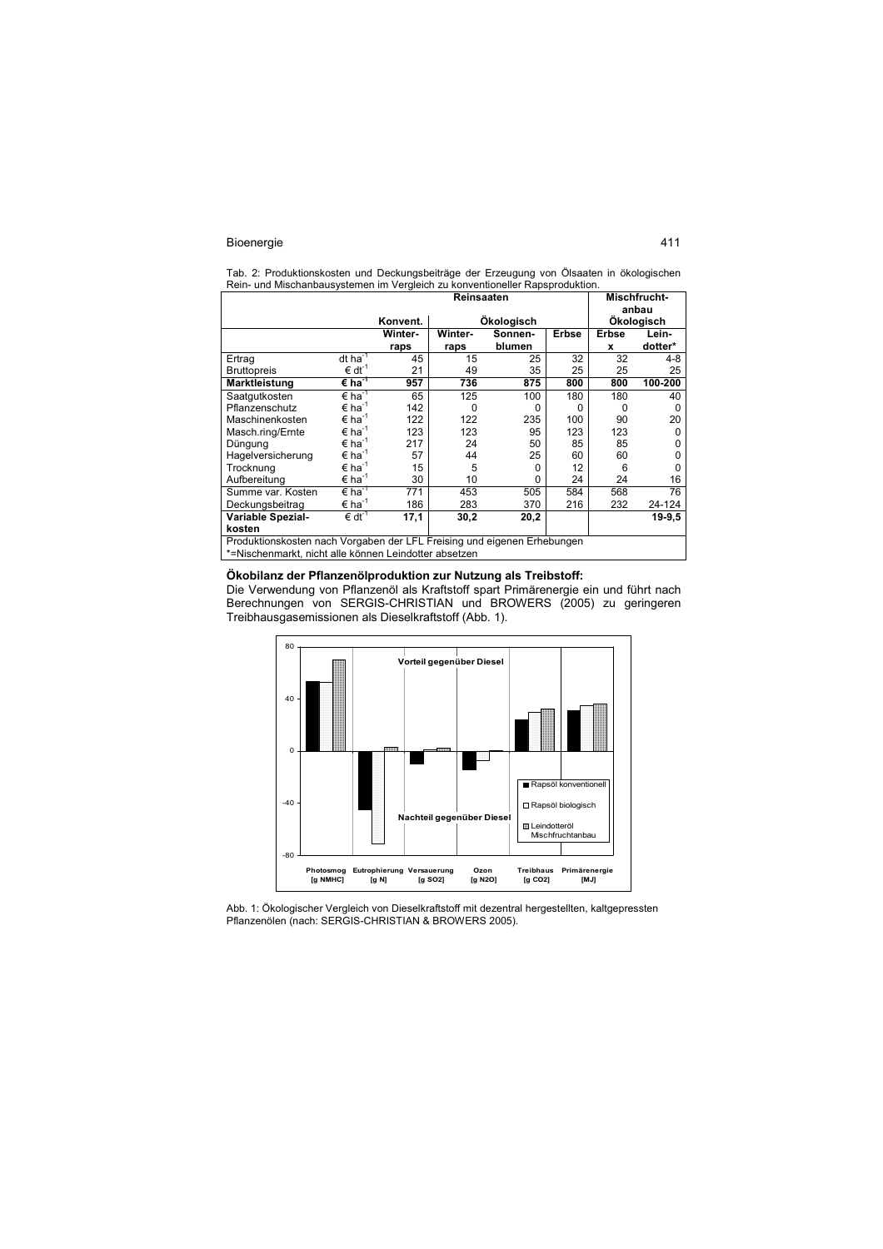Tab. 2: Produktionskosten und Deckungsbeiträge der Erzeugung von Ölsaaten in ökologischen Rein- und Mischanbausystemen im Vergleich zu konventioneller Rapsproduktion.

|                                                                         |                             | Reinsaaten |          |            |              | Mischfrucht- |          |  |
|-------------------------------------------------------------------------|-----------------------------|------------|----------|------------|--------------|--------------|----------|--|
|                                                                         |                             |            |          |            |              |              | anbau    |  |
|                                                                         |                             | Konvent.   |          | Ökologisch |              | Ökologisch   |          |  |
|                                                                         |                             | Winter-    | Winter-  | Sonnen-    | <b>Erbse</b> | <b>Erbse</b> | Lein-    |  |
|                                                                         |                             | raps       | raps     | blumen     |              | x            | dotter*  |  |
| Ertrag                                                                  | $dt$ ha <sup>-1</sup>       | 45         | 15       | 25         | 32           | 32           | 4-8      |  |
| <b>Bruttopreis</b>                                                      | $\epsilon$ dt <sup>-1</sup> | 21         | 49       | 35         | 25           | 25           | 25       |  |
| Marktleistung                                                           | $\epsilon$ ha <sup>-1</sup> | 957        | 736      | 875        | 800          | 800          | 100-200  |  |
| Saatgutkosten                                                           | $\epsilon$ ha <sup>-1</sup> | 65         | 125      | 100        | 180          | 180          | 40       |  |
| Pflanzenschutz                                                          | $\epsilon$ ha <sup>-1</sup> | 142        | $\Omega$ | 0          | 0            | O            | 0        |  |
| Maschinenkosten                                                         | $\epsilon$ ha <sup>-1</sup> | 122        | 122      | 235        | 100          | 90           | 20       |  |
| Masch.ring/Ernte                                                        | $\epsilon$ ha <sup>-1</sup> | 123        | 123      | 95         | 123          | 123          | 0        |  |
| Düngung                                                                 | $\epsilon$ ha <sup>-1</sup> | 217        | 24       | 50         | 85           | 85           | 0        |  |
| Hagelversicherung                                                       | $\epsilon$ ha <sup>-1</sup> | 57         | 44       | 25         | 60           | 60           | 0        |  |
| Trocknung                                                               | $\epsilon$ ha <sup>-1</sup> | 15         | 5        | 0          | 12           | 6            | $\Omega$ |  |
| Aufbereitung                                                            | $\epsilon$ ha <sup>-1</sup> | 30         | 10       | 0          | 24           | 24           | 16       |  |
| Summe var. Kosten                                                       | $\epsilon$ ha <sup>-1</sup> | 771        | 453      | 505        | 584          | 568          | 76       |  |
| Deckungsbeitrag                                                         | $\epsilon$ ha <sup>-1</sup> | 186        | 283      | 370        | 216          | 232          | 24-124   |  |
| Variable Spezial-                                                       | $\epsilon$ dt <sup>-1</sup> | 17,1       | 30,2     | 20,2       |              |              | 19-9.5   |  |
| kosten                                                                  |                             |            |          |            |              |              |          |  |
| Produktionskosten nach Vorgaben der LFL Freising und eigenen Erhebungen |                             |            |          |            |              |              |          |  |
| *=Nischenmarkt, nicht alle können Leindotter absetzen                   |                             |            |          |            |              |              |          |  |

# **Ökobilanz der Pflanzenölproduktion zur Nutzung als Treibstoff:**

Die Verwendung von Pflanzenöl als Kraftstoff spart Primärenergie ein und führt nach Berechnungen von SERGIS-CHRISTIAN und BROWERS (2005) zu geringeren Treibhausgasemissionen als Dieselkraftstoff (Abb. 1).



Abb. 1: Ökologischer Vergleich von Dieselkraftstoff mit dezentral hergestellten, kaltgepressten Pflanzenölen (nach: SERGIS-CHRISTIAN & BROWERS 2005).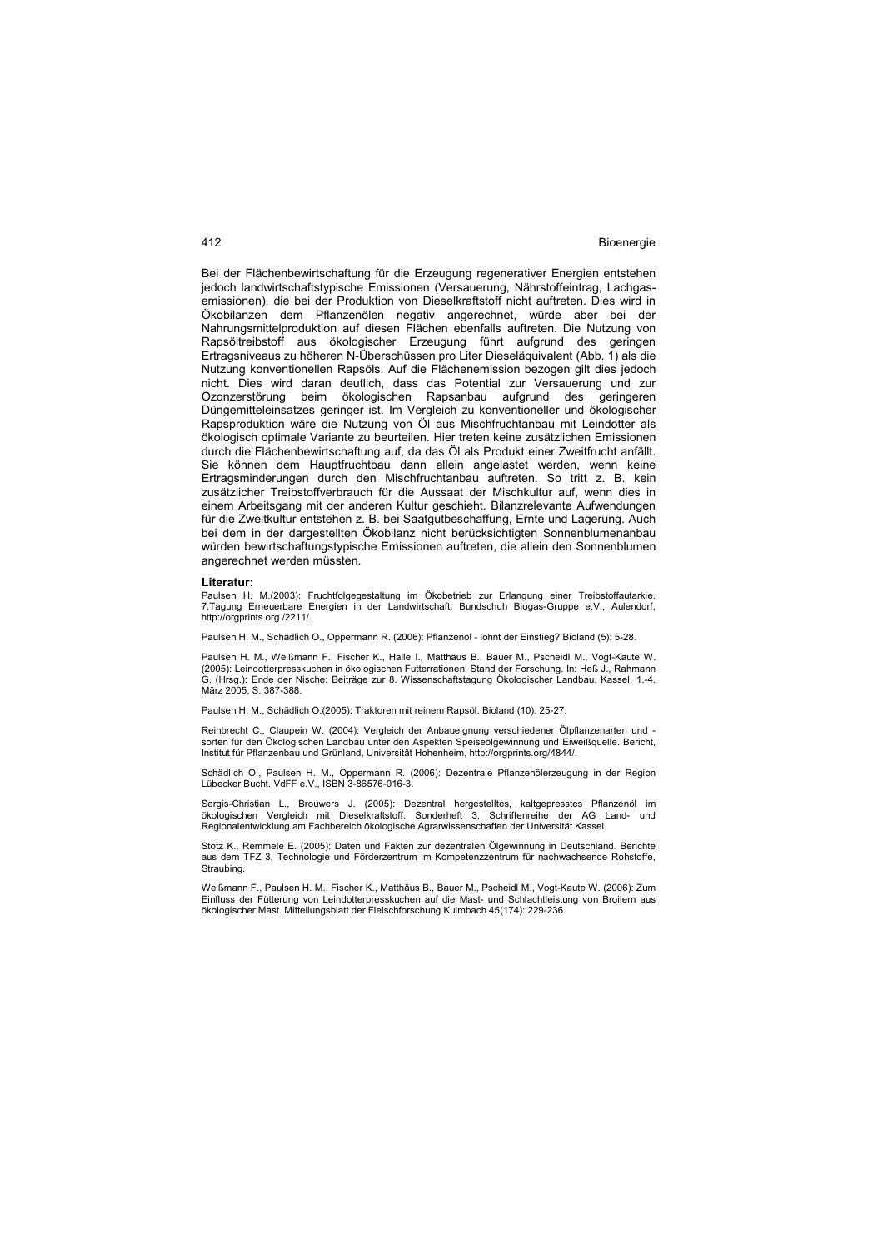Bei der Flächenbewirtschaftung für die Erzeugung regenerativer Energien entstehen jedoch landwirtschaftstypische Emissionen (Versauerung, Nährstoffeintrag, Lachgasemissionen), die bei der Produktion von Dieselkraftstoff nicht auftreten. Dies wird in Ökobilanzen dem Pflanzenölen negativ angerechnet, würde aber bei der Nahrungsmittelproduktion auf diesen Flächen ebenfalls auftreten. Die Nutzung von Rapsöltreibstoff aus ökologischer Erzeugung führt aufgrund des geringen Ertragsniveaus zu höheren N-Überschüssen pro Liter Dieseläquivalent (Abb. 1) als die Nutzung konventionellen Rapsöls. Auf die Flächenemission bezogen gilt dies jedoch nicht. Dies wird daran deutlich, dass das Potential zur Versauerung und zur Ozonzerstörung beim ökologischen Rapsanbau aufgrund des geringeren Düngemitteleinsatzes geringer ist. Im Vergleich zu konventioneller und ökologischer Rapsproduktion wäre die Nutzung von Öl aus Mischfruchtanbau mit Leindotter als ökologisch optimale Variante zu beurteilen. Hier treten keine zusätzlichen Emissionen durch die Flächenbewirtschaftung auf, da das Öl als Produkt einer Zweitfrucht anfällt. Sie können dem Hauptfruchtbau dann allein angelastet werden, wenn keine Ertragsminderungen durch den Mischfruchtanbau auftreten. So tritt z. B. kein zusätzlicher Treibstoffverbrauch für die Aussaat der Mischkultur auf, wenn dies in einem Arbeitsgang mit der anderen Kultur geschieht. Bilanzrelevante Aufwendungen für die Zweitkultur entstehen z. B. bei Saatgutbeschaffung, Ernte und Lagerung. Auch bei dem in der dargestellten Ökobilanz nicht berücksichtigten Sonnenblumenanbau würden bewirtschaftungstypische Emissionen auftreten, die allein den Sonnenblumen angerechnet werden müssten.

#### **Literatur:**

Paulsen H. M.(2003): Fruchtfolgegestaltung im Ökobetrieb zur Erlangung einer Treibstoffautarkie. 7.Tagung Erneuerbare Energien in der Landwirtschaft. Bundschuh Biogas-Gruppe e.V., Aulendorf, http://orgprints.org /2211/.

Paulsen H. M., Schädlich O., Oppermann R. (2006): Pflanzenöl - lohnt der Einstieg? Bioland (5): 5-28.

Paulsen H. M., Weißmann F., Fischer K., Halle I., Matthäus B., Bauer M., Pscheidl M., Vogt-Kaute W. (2005): Leindotterpresskuchen in ökologischen Futterrationen: Stand der Forschung. In: Heß J., Rahmann G. (Hrsg.): Ende der Nische: Beiträge zur 8. Wissenschaftstagung Ökologischer Landbau. Kassel, 1.-4. März 2005, S. 387-388.

Paulsen H. M., Schädlich O.(2005): Traktoren mit reinem Rapsöl. Bioland (10): 25-27.

Reinbrecht C., Claupein W. (2004): Vergleich der Anbaueignung verschiedener Ölpflanzenarten und sorten für den Ökologischen Landbau unter den Aspekten Speiseölgewinnung und Eiweißquelle. Bericht, Institut für Pflanzenbau und Grünland, Universität Hohenheim, http://orgprints.org/4844/.

Schädlich O., Paulsen H. M., Oppermann R. (2006): Dezentrale Pflanzenölerzeugung in der Region Lübecker Bucht. VdFF e.V., ISBN 3-86576-016-3.

Sergis-Christian L., Brouwers J. (2005): Dezentral hergestelltes, kaltgepresstes Pflanzenöl im ökologischen Vergleich mit Dieselkraftstoff. Sonderheft 3, Schriftenreihe der AG Land- und Regionalentwicklung am Fachbereich ökologische Agrarwissenschaften der Universität Kassel.

Stotz K., Remmele E. (2005): Daten und Fakten zur dezentralen Ölgewinnung in Deutschland. Berichte aus dem TFZ 3, Technologie und Förderzentrum im Kompetenzzentrum für nachwachsende Rohstoffe, Straubing.

Weißmann F., Paulsen H. M., Fischer K., Matthäus B., Bauer M., Pscheidl M., Vogt-Kaute W. (2006): Zum Einfluss der Fütterung von Leindotterpresskuchen auf die Mast- und Schlachtleistung von Broilern aus ökologischer Mast. Mitteilungsblatt der Fleischforschung Kulmbach 45(174): 229-236.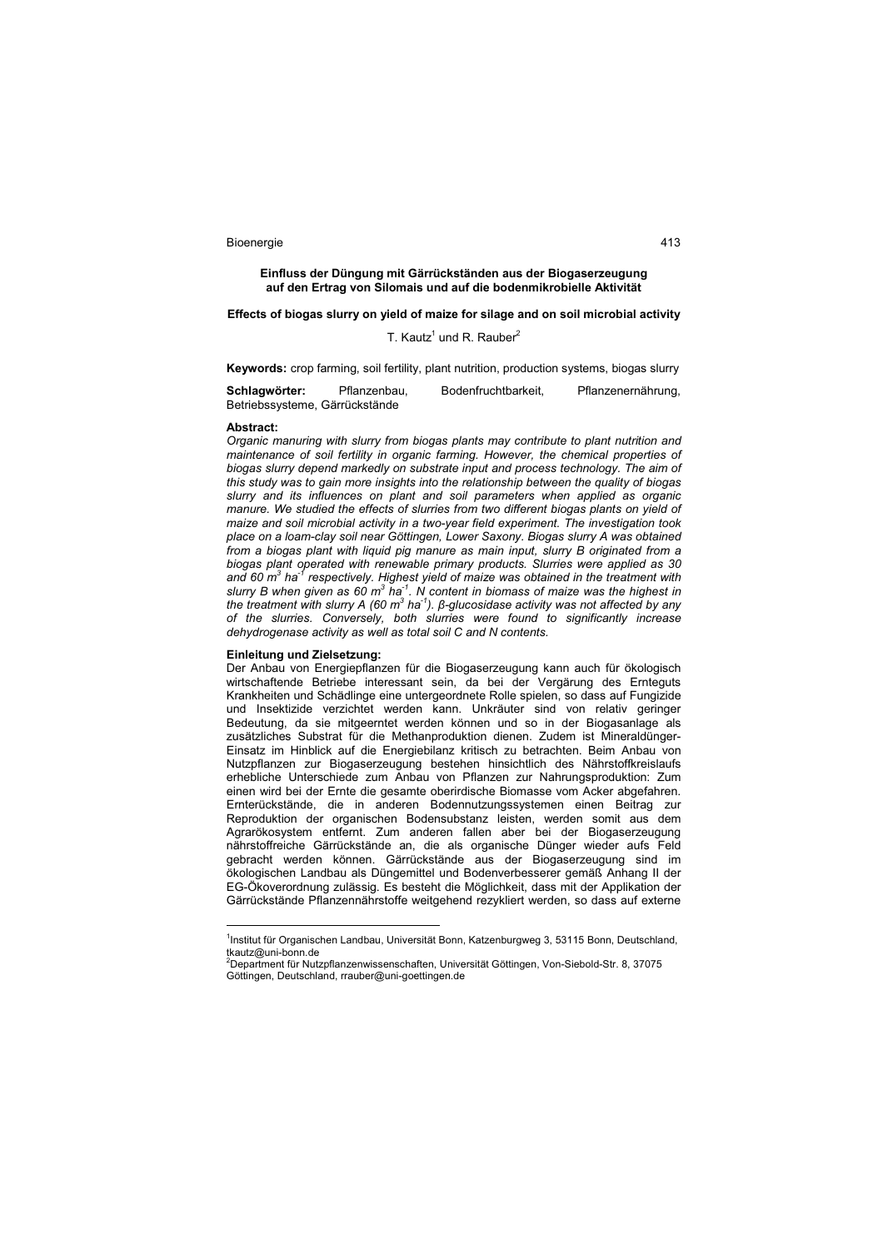**Einfluss der Düngung mit Gärrückständen aus der Biogaserzeugung auf den Ertrag von Silomais und auf die bodenmikrobielle Aktivität** 

## **Effects of biogas slurry on yield of maize for silage and on soil microbial activity**

## T. Kautz<sup>1</sup> und R. Rauber<sup>2</sup>

**Keywords:** crop farming, soil fertility, plant nutrition, production systems, biogas slurry

**Schlagwörter:** Pflanzenbau, Bodenfruchtbarkeit, Pflanzenernährung, Betriebssysteme, Gärrückstände

#### **Abstract:**

 $\overline{a}$ 

*Organic manuring with slurry from biogas plants may contribute to plant nutrition and maintenance of soil fertility in organic farming. However, the chemical properties of biogas slurry depend markedly on substrate input and process technology. The aim of this study was to gain more insights into the relationship between the quality of biogas slurry and its influences on plant and soil parameters when applied as organic manure. We studied the effects of slurries from two different biogas plants on yield of maize and soil microbial activity in a two-year field experiment. The investigation took place on a loam-clay soil near Göttingen, Lower Saxony. Biogas slurry A was obtained from a biogas plant with liquid pig manure as main input, slurry B originated from a biogas plant operated with renewable primary products. Slurries were applied as 30 and 60 m<sup>3</sup> ha-1 respectively. Highest yield of maize was obtained in the treatment with slurry B when given as 60 m<sup>3</sup> ha-1. N content in biomass of maize was the highest in*  the treatment with slurry A (60 m<sup>3</sup> ha<sup>-1</sup>). β-glucosidase activity was not affected by any *of the slurries. Conversely, both slurries were found to significantly increase dehydrogenase activity as well as total soil C and N contents.* 

### **Einleitung und Zielsetzung:**

Der Anbau von Energiepflanzen für die Biogaserzeugung kann auch für ökologisch wirtschaftende Betriebe interessant sein, da bei der Vergärung des Ernteguts Krankheiten und Schädlinge eine untergeordnete Rolle spielen, so dass auf Fungizide und Insektizide verzichtet werden kann. Unkräuter sind von relativ geringer Bedeutung, da sie mitgeerntet werden können und so in der Biogasanlage als zusätzliches Substrat für die Methanproduktion dienen. Zudem ist Mineraldünger-Einsatz im Hinblick auf die Energiebilanz kritisch zu betrachten. Beim Anbau von Nutzpflanzen zur Biogaserzeugung bestehen hinsichtlich des Nährstoffkreislaufs erhebliche Unterschiede zum Anbau von Pflanzen zur Nahrungsproduktion: Zum einen wird bei der Ernte die gesamte oberirdische Biomasse vom Acker abgefahren. Ernterückstände, die in anderen Bodennutzungssystemen einen Beitrag zur Reproduktion der organischen Bodensubstanz leisten, werden somit aus dem Agrarökosystem entfernt. Zum anderen fallen aber bei der Biogaserzeugung nährstoffreiche Gärrückstände an, die als organische Dünger wieder aufs Feld gebracht werden können. Gärrückstände aus der Biogaserzeugung sind im ökologischen Landbau als Düngemittel und Bodenverbesserer gemäß Anhang II der EG-Ökoverordnung zulässig. Es besteht die Möglichkeit, dass mit der Applikation der Gärrückstände Pflanzennährstoffe weitgehend rezykliert werden, so dass auf externe

<sup>&</sup>lt;sup>1</sup>Institut für Organischen Landbau, Universität Bonn, Katzenburgweg 3, 53115 Bonn, Deutschland, tkautz@uni-bonn.de<br><sup>2</sup>Department für Nutzpflanzenwissenschaften, Universität Göttingen, Von-Siebold-Str. 8, 37075

Göttingen, Deutschland, rrauber@uni-goettingen.de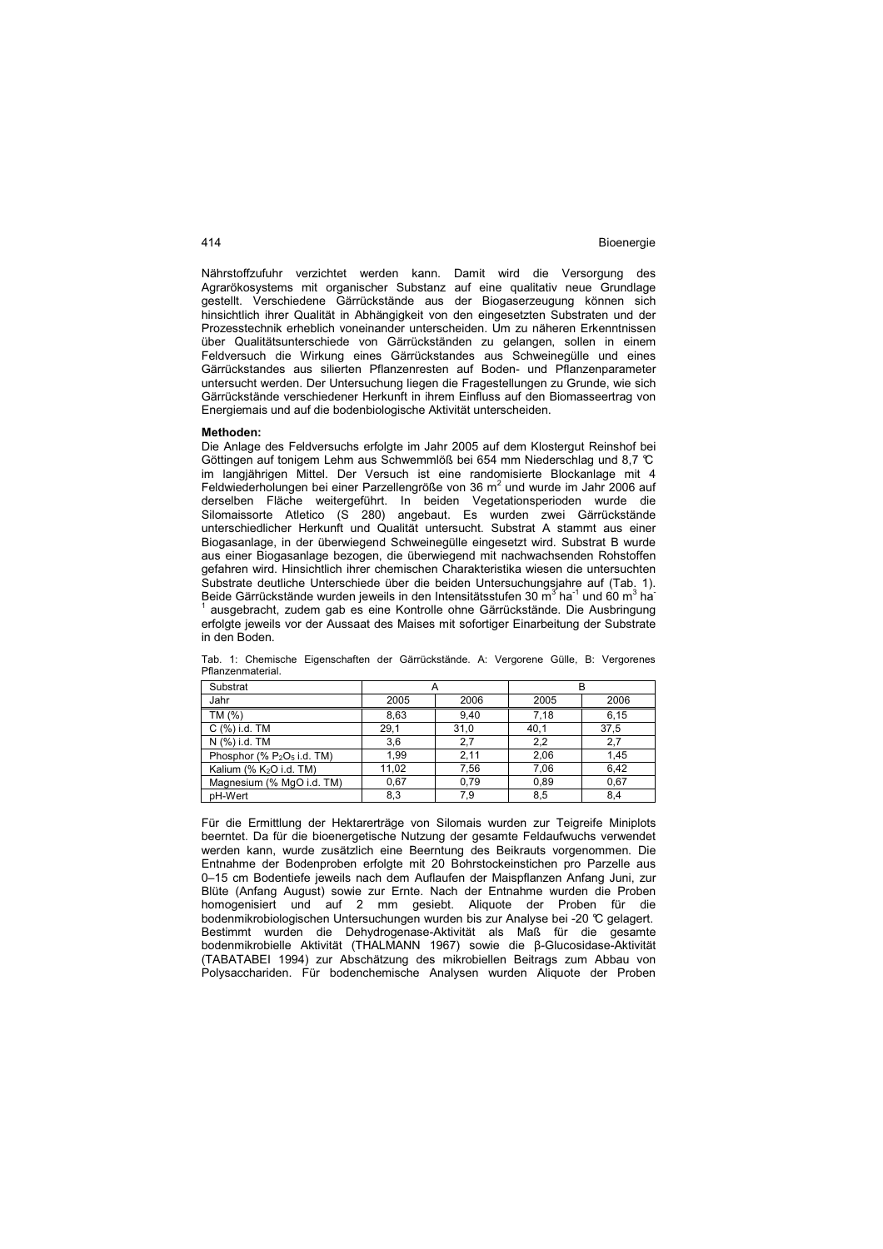Nährstoffzufuhr verzichtet werden kann. Damit wird die Versorgung des Agrarökosystems mit organischer Substanz auf eine qualitativ neue Grundlage gestellt. Verschiedene Gärrückstände aus der Biogaserzeugung können sich hinsichtlich ihrer Qualität in Abhängigkeit von den eingesetzten Substraten und der Prozesstechnik erheblich voneinander unterscheiden. Um zu näheren Erkenntnissen über Qualitätsunterschiede von Gärrückständen zu gelangen, sollen in einem Feldversuch die Wirkung eines Gärrückstandes aus Schweinegülle und eines Gärrückstandes aus silierten Pflanzenresten auf Boden- und Pflanzenparameter untersucht werden. Der Untersuchung liegen die Fragestellungen zu Grunde, wie sich Gärrückstände verschiedener Herkunft in ihrem Einfluss auf den Biomasseertrag von Energiemais und auf die bodenbiologische Aktivität unterscheiden.

#### **Methoden:**

Die Anlage des Feldversuchs erfolgte im Jahr 2005 auf dem Klostergut Reinshof bei Göttingen auf tonigem Lehm aus Schwemmlöß bei 654 mm Niederschlag und 8,7 °C im langjährigen Mittel. Der Versuch ist eine randomisierte Blockanlage mit 4 Feldwiederholungen bei einer Parzellengröße von 36 m<sup>2</sup> und wurde im Jahr 2006 auf derselben Fläche weitergeführt. In beiden Vegetationsperioden wurde die Silomaissorte Atletico (S 280) angebaut. Es wurden zwei Gärrückstände unterschiedlicher Herkunft und Qualität untersucht. Substrat A stammt aus einer Biogasanlage, in der überwiegend Schweinegülle eingesetzt wird. Substrat B wurde aus einer Biogasanlage bezogen, die überwiegend mit nachwachsenden Rohstoffen gefahren wird. Hinsichtlich ihrer chemischen Charakteristika wiesen die untersuchten Substrate deutliche Unterschiede über die beiden Untersuchungsjahre auf (Tab. 1). Beide Gärrückstände wurden jeweils in den Intensitätsstufen 30 m $^3$  ha $^1$  und 60 m $^3$  ha $^1$ 1 ausgebracht, zudem gab es eine Kontrolle ohne Gärrückstände. Die Ausbringung erfolgte jeweils vor der Aussaat des Maises mit sofortiger Einarbeitung der Substrate in den Boden.

| Substrat                            |       |      |      | R    |
|-------------------------------------|-------|------|------|------|
| Jahr                                | 2005  | 2006 | 2005 | 2006 |
| TM $(%)$                            | 8.63  | 9.40 | 7.18 | 6.15 |
| $C(%)$ i.d. TM                      | 29,1  | 31,0 | 40.1 | 37,5 |
| N (%) i.d. TM                       | 3,6   | 2.7  | 2,2  | 2.7  |
| Phosphor (% $P_2O_5$ i.d. TM)       | 1,99  | 2,11 | 2.06 | 1.45 |
| Kalium (% K <sub>2</sub> O i.d. TM) | 11.02 | 7.56 | 7.06 | 6.42 |
| Magnesium (% MgO i.d. TM)           | 0.67  | 0.79 | 0.89 | 0.67 |
| pH-Wert                             | 8,3   | 7.9  | 8,5  | 8.4  |

Tab. 1: Chemische Eigenschaften der Gärrückstände. A: Vergorene Gülle, B: Vergorenes Pflanzenmaterial.

Für die Ermittlung der Hektarerträge von Silomais wurden zur Teigreife Miniplots beerntet. Da für die bioenergetische Nutzung der gesamte Feldaufwuchs verwendet werden kann, wurde zusätzlich eine Beerntung des Beikrauts vorgenommen. Die Entnahme der Bodenproben erfolgte mit 20 Bohrstockeinstichen pro Parzelle aus 0–15 cm Bodentiefe jeweils nach dem Auflaufen der Maispflanzen Anfang Juni, zur Blüte (Anfang August) sowie zur Ernte. Nach der Entnahme wurden die Proben homogenisiert und auf 2 mm gesiebt. Aliquote der Proben für die bodenmikrobiologischen Untersuchungen wurden bis zur Analyse bei -20 °C gelagert. Bestimmt wurden die Dehydrogenase-Aktivität als Maß für die gesamte bodenmikrobielle Aktivität (THALMANN 1967) sowie die β-Glucosidase-Aktivität (TABATABEI 1994) zur Abschätzung des mikrobiellen Beitrags zum Abbau von Polysacchariden. Für bodenchemische Analysen wurden Aliquote der Proben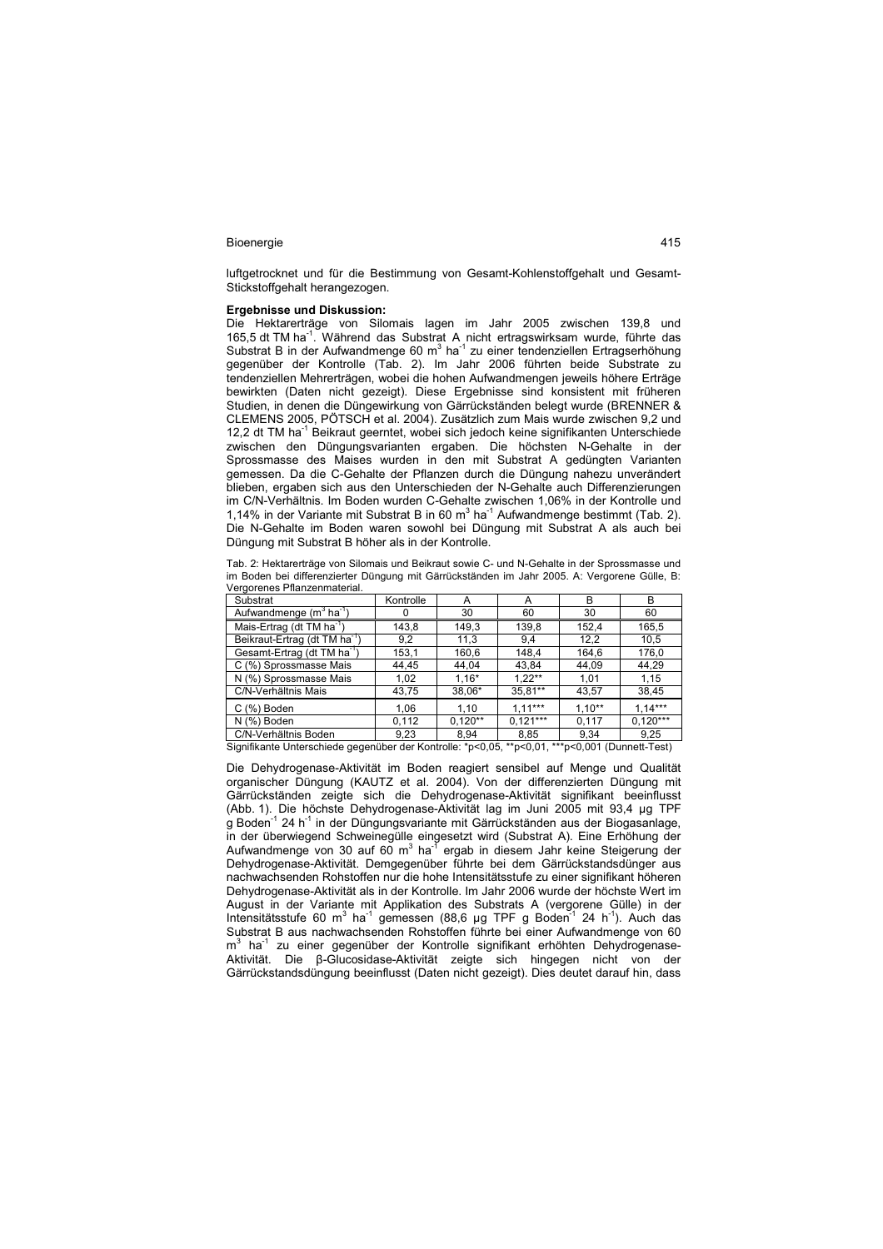luftgetrocknet und für die Bestimmung von Gesamt-Kohlenstoffgehalt und Gesamt-Stickstoffgehalt herangezogen.

# **Ergebnisse und Diskussion:**

Die Hektarerträge von Silomais lagen im Jahr 2005 zwischen 139,8 und 165,5 dt TM ha-1. Während das Substrat A nicht ertragswirksam wurde, führte das Substrat B in der Aufwandmenge 60 m $3$  ha $1$  zu einer tendenziellen Ertragserhöhung gegenüber der Kontrolle (Tab. 2). Im Jahr 2006 führten beide Substrate zu tendenziellen Mehrerträgen, wobei die hohen Aufwandmengen jeweils höhere Erträge bewirkten (Daten nicht gezeigt). Diese Ergebnisse sind konsistent mit früheren Studien, in denen die Düngewirkung von Gärrückständen belegt wurde (BRENNER & CLEMENS 2005, PÖTSCH et al. 2004). Zusätzlich zum Mais wurde zwischen 9,2 und 12,2 dt TM ha<sup>-1</sup> Beikraut geerntet, wobei sich jedoch keine signifikanten Unterschiede zwischen den Düngungsvarianten ergaben. Die höchsten N-Gehalte in der Sprossmasse des Maises wurden in den mit Substrat A gedüngten Varianten gemessen. Da die C-Gehalte der Pflanzen durch die Düngung nahezu unverändert blieben, ergaben sich aus den Unterschieden der N-Gehalte auch Differenzierungen im C/N-Verhältnis. Im Boden wurden C-Gehalte zwischen 1,06% in der Kontrolle und 1,14% in der Variante mit Substrat B in 60  $m^3$  ha<sup>-1</sup> Aufwandmenge bestimmt (Tab. 2). Die N-Gehalte im Boden waren sowohl bei Düngung mit Substrat A als auch bei Düngung mit Substrat B höher als in der Kontrolle.

Tab. 2: Hektarerträge von Silomais und Beikraut sowie C- und N-Gehalte in der Sprossmasse und im Boden bei differenzierter Düngung mit Gärrückständen im Jahr 2005. A: Vergorene Gülle, B: Vergorenes Pflanzenmaterial.

| Substrat                                        | Kontrolle | А         | A          | B        | B          |
|-------------------------------------------------|-----------|-----------|------------|----------|------------|
| Aufwandmenge (m <sup>3</sup> ha <sup>-1</sup> ) |           | 30        | 60         | 30       | 60         |
| Mais-Ertrag (dt TM ha <sup>-1</sup> )           | 143,8     | 149,3     | 139,8      | 152.4    | 165,5      |
| Beikraut-Ertrag (dt TM ha <sup>-1</sup> )       | 9,2       | 11,3      | 9,4        | 12,2     | 10,5       |
| Gesamt-Ertrag (dt TM ha <sup>-1</sup> )         | 153,1     | 160,6     | 148,4      | 164,6    | 176,0      |
| C (%) Sprossmasse Mais                          | 44,45     | 44.04     | 43.84      | 44,09    | 44,29      |
| N (%) Sprossmasse Mais                          | 1.02      | $1.16*$   | $1.22***$  | 1,01     | 1.15       |
| C/N-Verhältnis Mais                             | 43,75     | 38,06*    | 35,81**    | 43,57    | 38,45      |
| C (%) Boden                                     | 1,06      | 1,10      | $1.11***$  | $1,10**$ | $1.14***$  |
| N (%) Boden                                     | 0.112     | $0.120**$ | $0.121***$ | 0.117    | $0.120***$ |
| C/N-Verhältnis Boden                            | 9,23      | 8.94      | 8,85       | 9.34     | 9,25       |

Signifikante Unterschiede gegenüber der Kontrolle: \*p<0,05, \*\*p<0,01, \*\*\*p<0,001 (Dunnett-Test)

Die Dehydrogenase-Aktivität im Boden reagiert sensibel auf Menge und Qualität organischer Düngung (KAUTZ et al. 2004). Von der differenzierten Düngung mit Gärrückständen zeigte sich die Dehydrogenase-Aktivität signifikant beeinflusst (Abb. 1). Die höchste Dehydrogenase-Aktivität lag im Juni 2005 mit 93,4 µg TPF<br>g Boden<sup>-1</sup> 24 h<sup>-1</sup> in der Düngungsvariante mit Gärrückständen aus der Biogasanlage, in der überwiegend Schweinegülle eingesetzt wird (Substrat A). Eine Erhöhung der<br>Aufwandmenge von 30 auf 60 m<sup>3</sup> ha<sup>-1</sup> ergab in diesem Jahr keine Steigerung der Dehydrogenase-Aktivität. Demgegenüber führte bei dem Gärrückstandsdünger aus nachwachsenden Rohstoffen nur die hohe Intensitätsstufe zu einer signifikant höheren Dehydrogenase-Aktivität als in der Kontrolle. Im Jahr 2006 wurde der höchste Wert im August in der Variante mit Applikation des Substrats A (vergorene Gülle) in der Intensitätsstufe 60 m<sup>3</sup> ha<sup>-1</sup> gemessen (88,6 µg TPF g Boden<sup>-1</sup> 24 h<sup>-1</sup>). Auch das Substrat B aus nachwachsenden Rohstoffen führte bei einer Aufwandmenge von 60 m<sup>3</sup> ha<sup>-1</sup> zu einer gegenüber der Kontrolle signifikant erhöhten Dehydrogenase-Aktivität. Die β-Glucosidase-Aktivität zeigte sich hingegen nicht von der Gärrückstandsdüngung beeinflusst (Daten nicht gezeigt). Dies deutet darauf hin, dass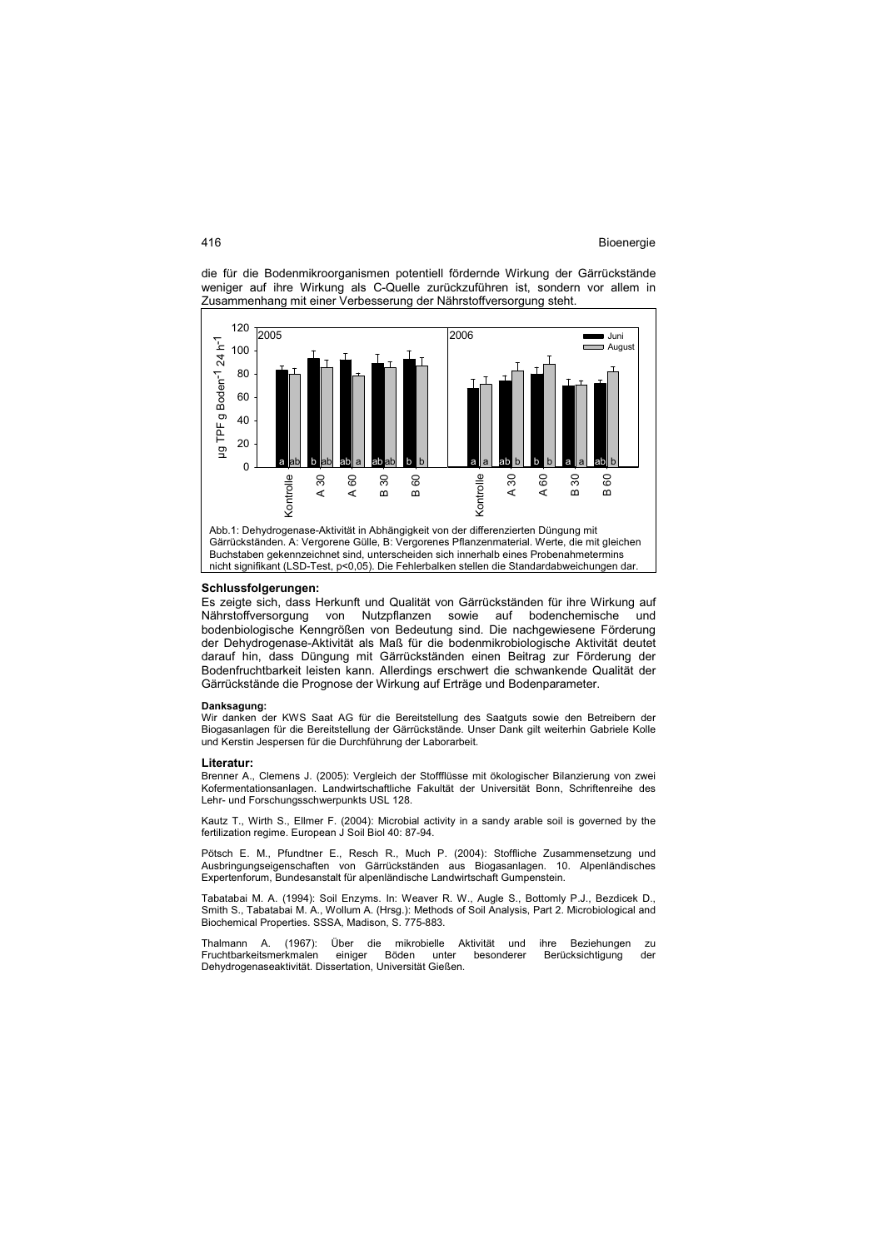die für die Bodenmikroorganismen potentiell fördernde Wirkung der Gärrückstände weniger auf ihre Wirkung als C-Quelle zurückzuführen ist, sondern vor allem in Zusammenhang mit einer Verbesserung der Nährstoffversorgung steht.



Gärrückständen. A: Vergorene Gülle, B: Vergorenes Pflanzenmaterial. Werte, die mit gleichen Buchstaben gekennzeichnet sind, unterscheiden sich innerhalb eines Probenahmetermins nicht signifikant (LSD-Test, p<0,05). Die Fehlerbalken stellen die Standardabweichungen dar.

#### **Schlussfolgerungen:**

Es zeigte sich, dass Herkunft und Qualität von Gärrückständen für ihre Wirkung auf Nährstoffversorgung von Nutzpflanzen sowie auf bodenchemische und bodenbiologische Kenngrößen von Bedeutung sind. Die nachgewiesene Förderung der Dehydrogenase-Aktivität als Maß für die bodenmikrobiologische Aktivität deutet darauf hin, dass Düngung mit Gärrückständen einen Beitrag zur Förderung der Bodenfruchtbarkeit leisten kann. Allerdings erschwert die schwankende Qualität der Gärrückstände die Prognose der Wirkung auf Erträge und Bodenparameter.

## **Danksagung:**

Wir danken der KWS Saat AG für die Bereitstellung des Saatguts sowie den Betreibern der Biogasanlagen für die Bereitstellung der Gärrückstände. Unser Dank gilt weiterhin Gabriele Kolle und Kerstin Jespersen für die Durchführung der Laborarbeit.

#### **Literatur:**

Brenner A., Clemens J. (2005): Vergleich der Stoffflüsse mit ökologischer Bilanzierung von zwei Kofermentationsanlagen. Landwirtschaftliche Fakultät der Universität Bonn, Schriftenreihe des Lehr- und Forschungsschwerpunkts USL 128.

Kautz T., Wirth S., Ellmer F. (2004): Microbial activity in a sandy arable soil is governed by the fertilization regime. European J Soil Biol 40: 87-94.

Pötsch E. M., Pfundtner E., Resch R., Much P. (2004): Stoffliche Zusammensetzung und Ausbringungseigenschaften von Gärrückständen aus Biogasanlagen. 10. Alpenländisches Expertenforum, Bundesanstalt für alpenländische Landwirtschaft Gumpenstein.

Tabatabai M. A. (1994): Soil Enzyms. In: Weaver R. W., Augle S., Bottomly P.J., Bezdicek D., Smith S., Tabatabai M. A., Wollum A. (Hrsg.): Methods of Soil Analysis, Part 2. Microbiological and Biochemical Properties. SSSA, Madison, S. 775-883.

Thalmann A. (1967): Über die mikrobielle Aktivität und ihre Beziehungen zu<br>Fruchtbarkeitsmerkmalen einiger Böden unter besonderer Berücksichtigung der Fruchtbarkeitsmerkmalen einiger Böden unter besonderer Berücksichtigung der Dehydrogenaseaktivität. Dissertation, Universität Gießen.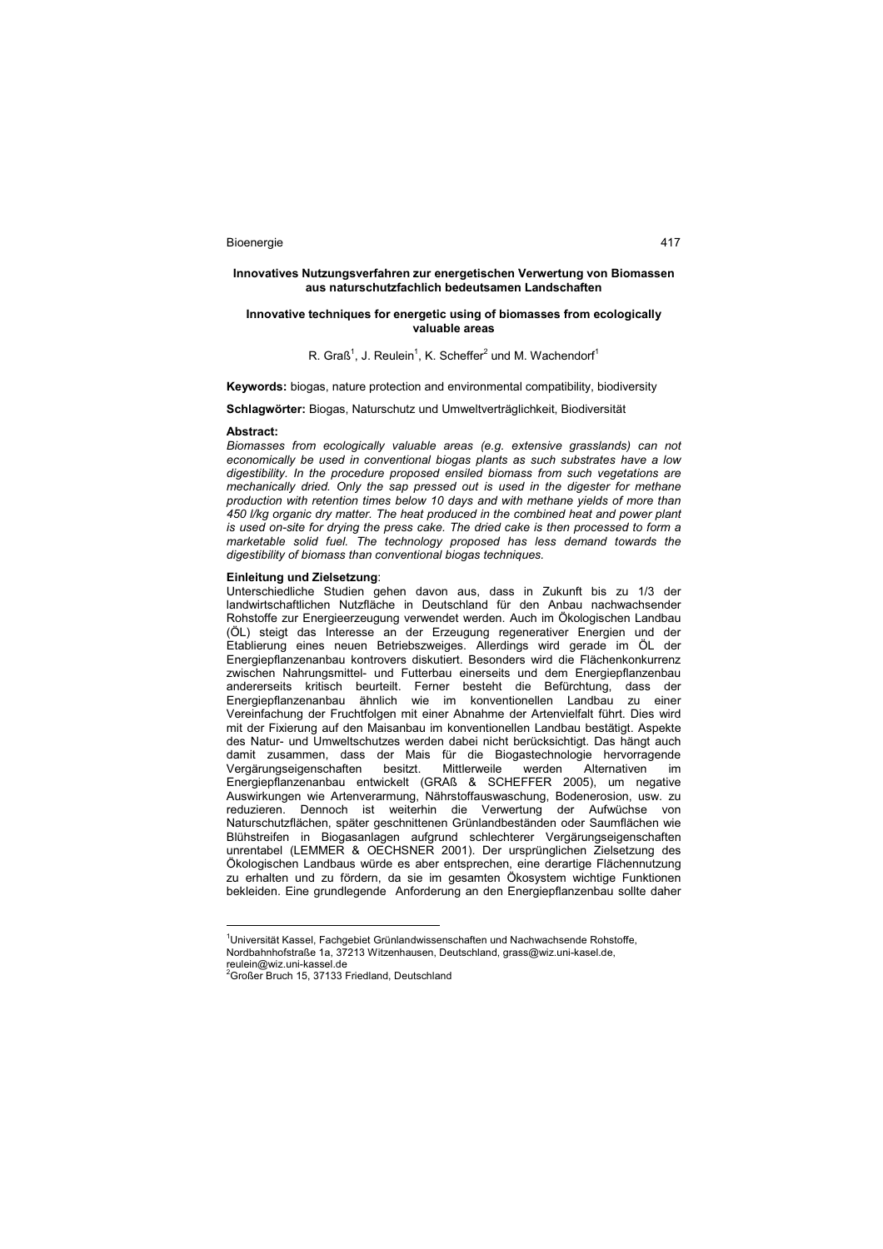#### **Innovatives Nutzungsverfahren zur energetischen Verwertung von Biomassen aus naturschutzfachlich bedeutsamen Landschaften**

### **Innovative techniques for energetic using of biomasses from ecologically valuable areas**

## R. Graß<sup>1</sup>, J. Reulein<sup>1</sup>, K. Scheffer<sup>2</sup> und M. Wachendorf<sup>1</sup>

**Keywords:** biogas, nature protection and environmental compatibility, biodiversity

#### **Schlagwörter:** Biogas, Naturschutz und Umweltverträglichkeit, Biodiversität

### **Abstract:**

*Biomasses from ecologically valuable areas (e.g. extensive grasslands) can not economically be used in conventional biogas plants as such substrates have a low digestibility. In the procedure proposed ensiled biomass from such vegetations are mechanically dried. Only the sap pressed out is used in the digester for methane production with retention times below 10 days and with methane yields of more than 450 l/kg organic dry matter. The heat produced in the combined heat and power plant is used on-site for drying the press cake. The dried cake is then processed to form a marketable solid fuel. The technology proposed has less demand towards the digestibility of biomass than conventional biogas techniques.* 

#### **Einleitung und Zielsetzung**:

Unterschiedliche Studien gehen davon aus, dass in Zukunft bis zu 1/3 der landwirtschaftlichen Nutzfläche in Deutschland für den Anbau nachwachsender Rohstoffe zur Energieerzeugung verwendet werden. Auch im Ökologischen Landbau (ÖL) steigt das Interesse an der Erzeugung regenerativer Energien und der Etablierung eines neuen Betriebszweiges. Allerdings wird gerade im ÖL der Energiepflanzenanbau kontrovers diskutiert. Besonders wird die Flächenkonkurrenz zwischen Nahrungsmittel- und Futterbau einerseits und dem Energiepflanzenbau andererseits kritisch beurteilt. Ferner besteht die Befürchtung, dass der Energiepflanzenanbau ähnlich wie im konventionellen Landbau zu einer Vereinfachung der Fruchtfolgen mit einer Abnahme der Artenvielfalt führt. Dies wird mit der Fixierung auf den Maisanbau im konventionellen Landbau bestätigt. Aspekte des Natur- und Umweltschutzes werden dabei nicht berücksichtigt. Das hängt auch damit zusammen, dass der Mais für die Biogastechnologie hervorragende<br>Vergärungseigenschaften besitzt. Mittlerweile werden Alternativen im Vergärungseigenschaften besitzt. Mittlerweile werden Alternativen im Energiepflanzenanbau entwickelt (GRAß & SCHEFFER 2005), um negative Auswirkungen wie Artenverarmung, Nährstoffauswaschung, Bodenerosion, usw. zu reduzieren. Dennoch ist weiterhin die Verwertung der Aufwüchse von Naturschutzflächen, später geschnittenen Grünlandbeständen oder Saumflächen wie Blühstreifen in Biogasanlagen aufgrund schlechterer Vergärungseigenschaften unrentabel (LEMMER & OECHSNER 2001). Der ursprünglichen Zielsetzung des Ökologischen Landbaus würde es aber entsprechen, eine derartige Flächennutzung zu erhalten und zu fördern, da sie im gesamten Ökosystem wichtige Funktionen bekleiden. Eine grundlegende Anforderung an den Energiepflanzenbau sollte daher

 $\overline{a}$ 

<sup>&</sup>lt;sup>1</sup>Universität Kassel, Fachgebiet Grünlandwissenschaften und Nachwachsende Rohstoffe, Nordbahnhofstraße 1a, 37213 Witzenhausen, Deutschland, grass@wiz.uni-kasel.de,

reulein@wiz.uni-kassel.de

<sup>&</sup>lt;sup>2</sup>Großer Bruch 15, 37133 Friedland, Deutschland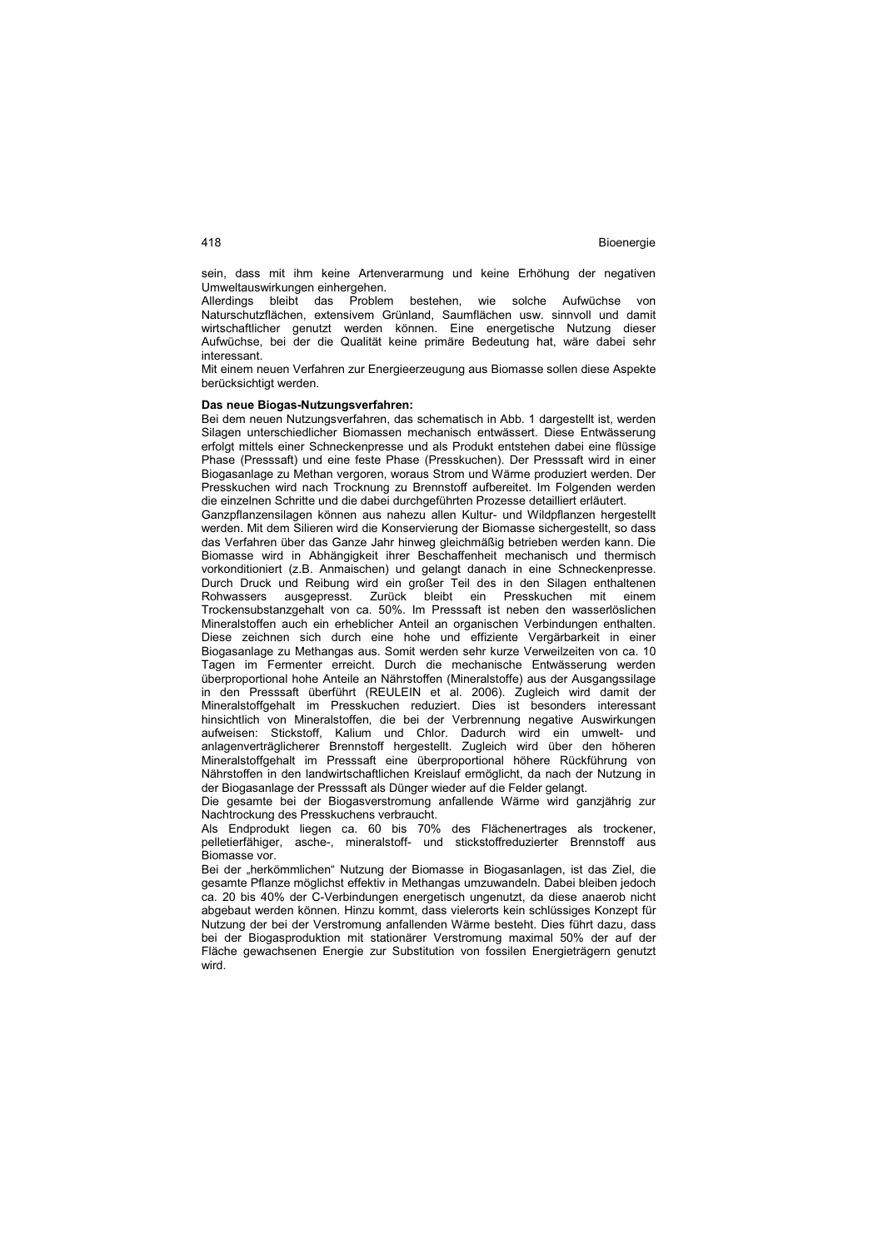sein, dass mit ihm keine Artenverarmung und keine Erhöhung der negativen Umweltauswirkungen einhergehen.

Allerdings bleibt das Problem bestehen, wie solche Aufwüchse von Naturschutzflächen, extensivem Grünland, Saumflächen usw. sinnvoll und damit wirtschaftlicher genutzt werden können. Eine energetische Nutzung dieser Aufwüchse, bei der die Qualität keine primäre Bedeutung hat, wäre dabei sehr interessant.

Mit einem neuen Verfahren zur Energieerzeugung aus Biomasse sollen diese Aspekte berücksichtigt werden.

### **Das neue Biogas-Nutzungsverfahren:**

Bei dem neuen Nutzungsverfahren, das schematisch in Abb. 1 dargestellt ist, werden Silagen unterschiedlicher Biomassen mechanisch entwässert. Diese Entwässerung erfolgt mittels einer Schneckenpresse und als Produkt entstehen dabei eine flüssige Phase (Presssaft) und eine feste Phase (Presskuchen). Der Presssaft wird in einer Biogasanlage zu Methan vergoren, woraus Strom und Wärme produziert werden. Der Presskuchen wird nach Trocknung zu Brennstoff aufbereitet. Im Folgenden werden die einzelnen Schritte und die dabei durchgeführten Prozesse detailliert erläutert.

Ganzpflanzensilagen können aus nahezu allen Kultur- und Wildpflanzen hergestellt werden. Mit dem Silieren wird die Konservierung der Biomasse sichergestellt, so dass das Verfahren über das Ganze Jahr hinweg gleichmäßig betrieben werden kann. Die Biomasse wird in Abhängigkeit ihrer Beschaffenheit mechanisch und thermisch vorkonditioniert (z.B. Anmaischen) und gelangt danach in eine Schneckenpresse. Durch Druck und Reibung wird ein großer Teil des in den Silagen enthaltenen Rohwassers ausgepresst. Zurück bleibt ein Presskuchen mit einem Trockensubstanzgehalt von ca. 50%. Im Presssaft ist neben den wasserlöslichen Mineralstoffen auch ein erheblicher Anteil an organischen Verbindungen enthalten. Diese zeichnen sich durch eine hohe und effiziente Vergärbarkeit in einer Biogasanlage zu Methangas aus. Somit werden sehr kurze Verweilzeiten von ca. 10 Tagen im Fermenter erreicht. Durch die mechanische Entwässerung werden überproportional hohe Anteile an Nährstoffen (Mineralstoffe) aus der Ausgangssilage in den Presssaft überführt (REULEIN et al. 2006). Zugleich wird damit der Mineralstoffgehalt im Presskuchen reduziert. Dies ist besonders interessant hinsichtlich von Mineralstoffen, die bei der Verbrennung negative Auswirkungen aufweisen: Stickstoff, Kalium und Chlor. Dadurch wird ein umwelt- und anlagenverträglicherer Brennstoff hergestellt. Zugleich wird über den höheren Mineralstoffgehalt im Presssaft eine überproportional höhere Rückführung von Nährstoffen in den landwirtschaftlichen Kreislauf ermöglicht, da nach der Nutzung in der Biogasanlage der Presssaft als Dünger wieder auf die Felder gelangt.

Die gesamte bei der Biogasverstromung anfallende Wärme wird ganzjährig zur Nachtrockung des Presskuchens verbraucht.

Als Endprodukt liegen ca. 60 bis 70% des Flächenertrages als trockener, pelletierfähiger, asche-, mineralstoff- und stickstoffreduzierter Brennstoff aus Biomasse vor.

Bei der "herkömmlichen" Nutzung der Biomasse in Biogasanlagen, ist das Ziel, die gesamte Pflanze möglichst effektiv in Methangas umzuwandeln. Dabei bleiben jedoch ca. 20 bis 40% der C-Verbindungen energetisch ungenutzt, da diese anaerob nicht abgebaut werden können. Hinzu kommt, dass vielerorts kein schlüssiges Konzept für Nutzung der bei der Verstromung anfallenden Wärme besteht. Dies führt dazu, dass bei der Biogasproduktion mit stationärer Verstromung maximal 50% der auf der Fläche gewachsenen Energie zur Substitution von fossilen Energieträgern genutzt wird.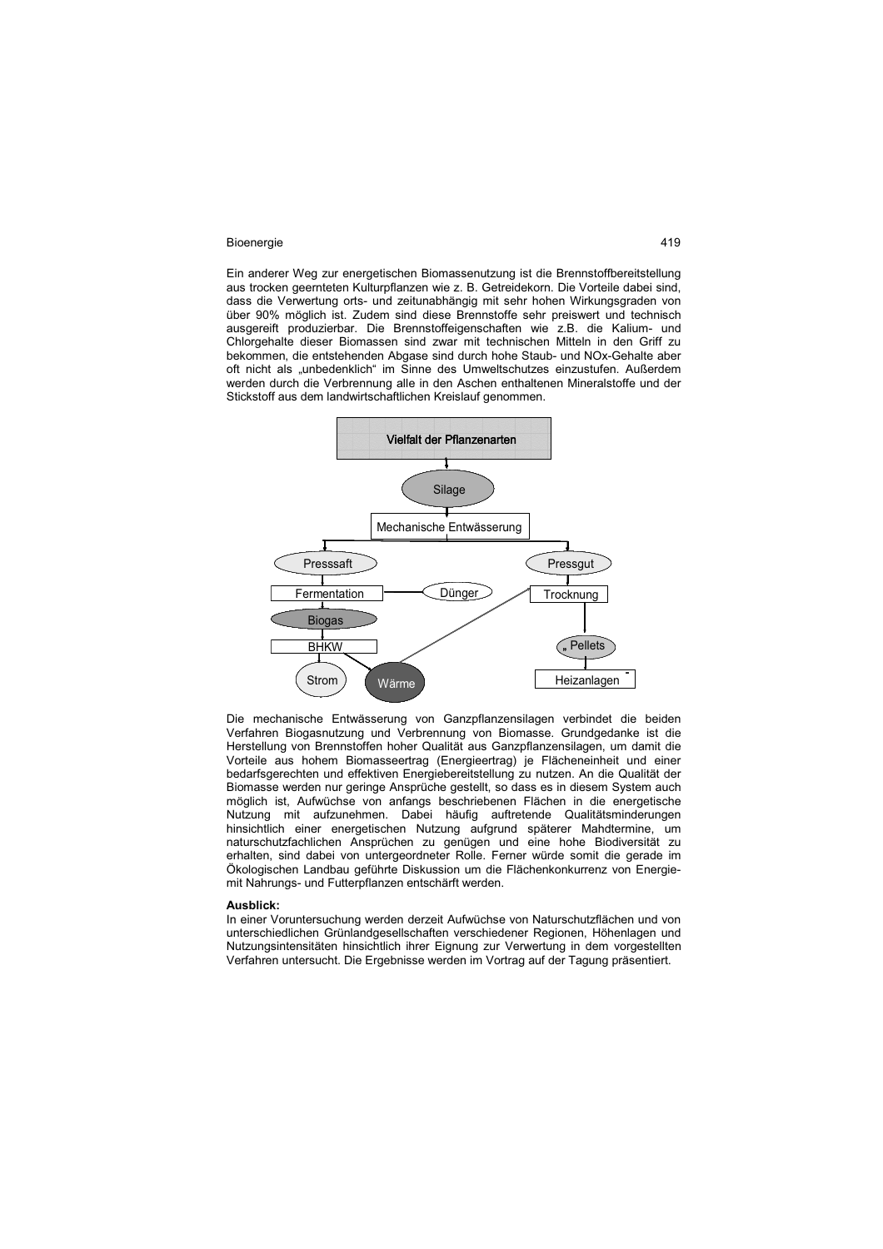Ein anderer Weg zur energetischen Biomassenutzung ist die Brennstoffbereitstellung aus trocken geernteten Kulturpflanzen wie z. B. Getreidekorn. Die Vorteile dabei sind, dass die Verwertung orts- und zeitunabhängig mit sehr hohen Wirkungsgraden von über 90% möglich ist. Zudem sind diese Brennstoffe sehr preiswert und technisch ausgereift produzierbar. Die Brennstoffeigenschaften wie z.B. die Kalium- und Chlorgehalte dieser Biomassen sind zwar mit technischen Mitteln in den Griff zu bekommen, die entstehenden Abgase sind durch hohe Staub- und NOx-Gehalte aber oft nicht als "unbedenklich" im Sinne des Umweltschutzes einzustufen. Außerdem werden durch die Verbrennung alle in den Aschen enthaltenen Mineralstoffe und der Stickstoff aus dem landwirtschaftlichen Kreislauf genommen.



Die mechanische Entwässerung von Ganzpflanzensilagen verbindet die beiden Verfahren Biogasnutzung und Verbrennung von Biomasse. Grundgedanke ist die Herstellung von Brennstoffen hoher Qualität aus Ganzpflanzensilagen, um damit die Vorteile aus hohem Biomasseertrag (Energieertrag) je Flächeneinheit und einer bedarfsgerechten und effektiven Energiebereitstellung zu nutzen. An die Qualität der Biomasse werden nur geringe Ansprüche gestellt, so dass es in diesem System auch möglich ist, Aufwüchse von anfangs beschriebenen Flächen in die energetische Nutzung mit aufzunehmen. Dabei häufig auftretende Qualitätsminderungen hinsichtlich einer energetischen Nutzung aufgrund späterer Mahdtermine, um naturschutzfachlichen Ansprüchen zu genügen und eine hohe Biodiversität zu erhalten, sind dabei von untergeordneter Rolle. Ferner würde somit die gerade im Ökologischen Landbau geführte Diskussion um die Flächenkonkurrenz von Energiemit Nahrungs- und Futterpflanzen entschärft werden.

#### **Ausblick:**

In einer Voruntersuchung werden derzeit Aufwüchse von Naturschutzflächen und von unterschiedlichen Grünlandgesellschaften verschiedener Regionen, Höhenlagen und Nutzungsintensitäten hinsichtlich ihrer Eignung zur Verwertung in dem vorgestellten Verfahren untersucht. Die Ergebnisse werden im Vortrag auf der Tagung präsentiert.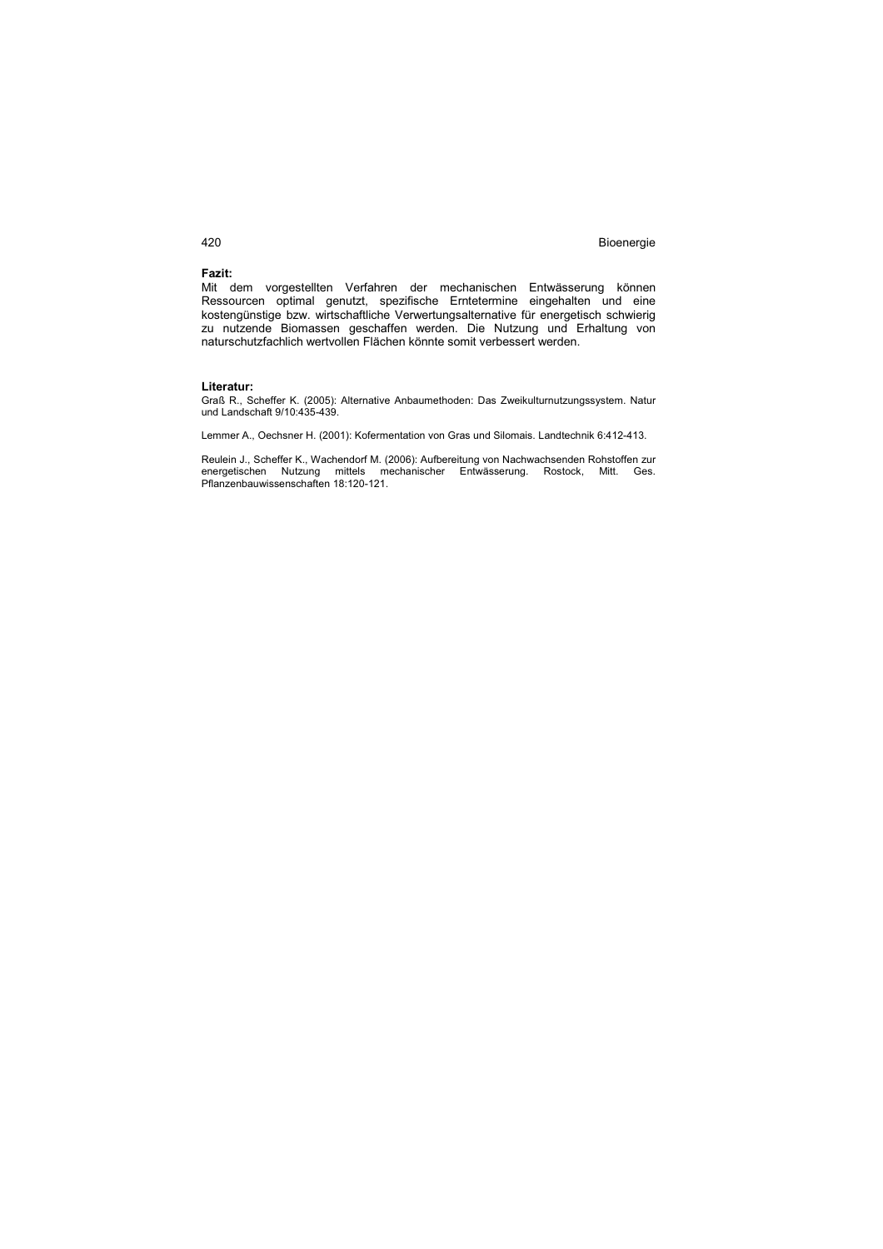# **Fazit:**

Mit dem vorgestellten Verfahren der mechanischen Entwässerung können Ressourcen optimal genutzt, spezifische Erntetermine eingehalten und eine kostengünstige bzw. wirtschaftliche Verwertungsalternative für energetisch schwierig zu nutzende Biomassen geschaffen werden. Die Nutzung und Erhaltung von naturschutzfachlich wertvollen Flächen könnte somit verbessert werden.

#### **Literatur:**

Graß R., Scheffer K. (2005): Alternative Anbaumethoden: Das Zweikulturnutzungssystem. Natur und Landschaft 9/10:435-439.

Lemmer A., Oechsner H. (2001): Kofermentation von Gras und Silomais. Landtechnik 6:412-413.

Reulein J., Scheffer K., Wachendorf M. (2006): Aufbereitung von Nachwachsenden Rohstoffen zur energetischen Nutzung mittels mechanischer Entwässerung. Rostock, Mitt. Ges. Pflanzenbauwissenschaften 18:120-121.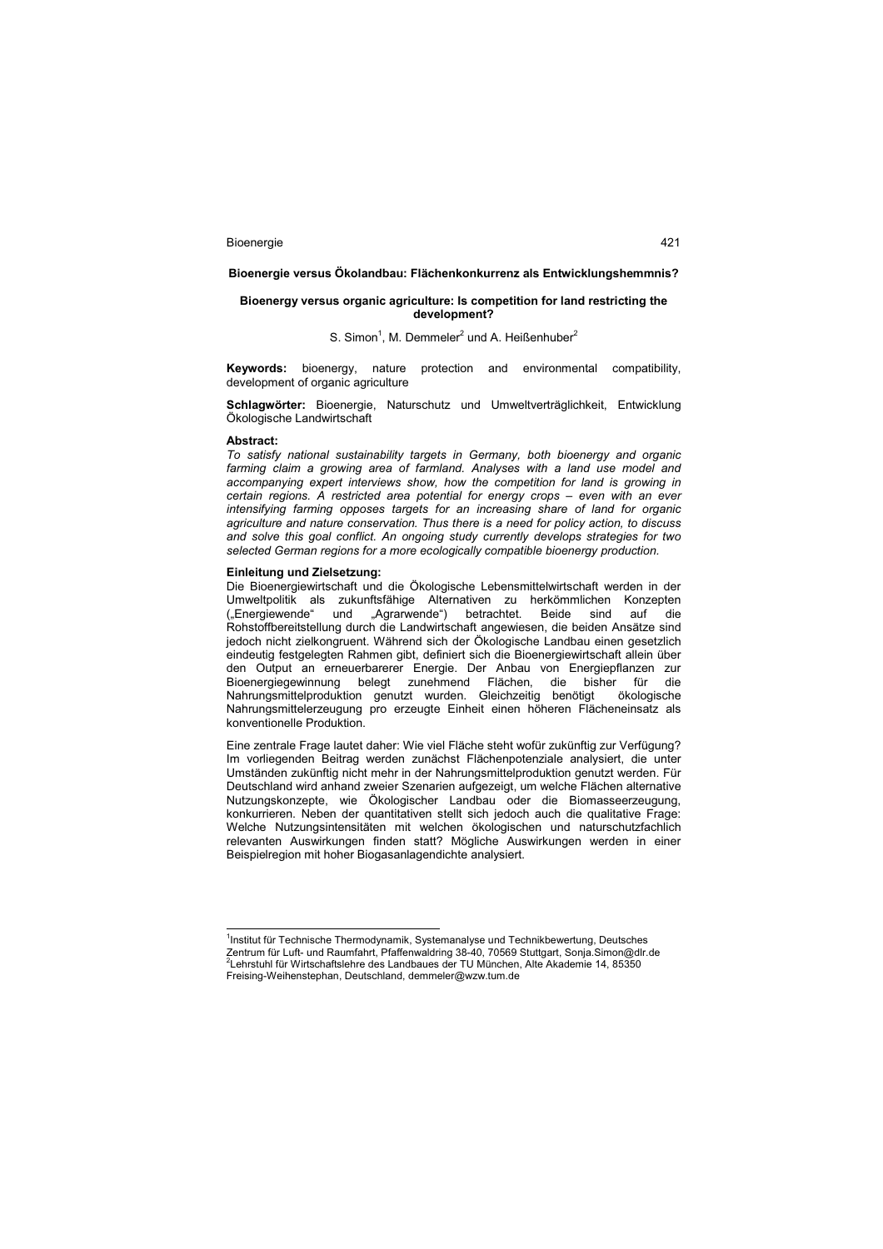#### **Bioenergie versus Ökolandbau: Flächenkonkurrenz als Entwicklungshemmnis?**

## **Bioenergy versus organic agriculture: Is competition for land restricting the development?**

## S. Simon<sup>1</sup>, M. Demmeler<sup>2</sup> und A. Heißenhuber<sup>2</sup>

**Keywords:** bioenergy, nature protection and environmental compatibility, development of organic agriculture

**Schlagwörter:** Bioenergie, Naturschutz und Umweltverträglichkeit, Entwicklung Ökologische Landwirtschaft

#### **Abstract:**

*To satisfy national sustainability targets in Germany, both bioenergy and organic*  farming claim a growing area of farmland. Analyses with a land use model and *accompanying expert interviews show, how the competition for land is growing in certain regions. A restricted area potential for energy crops – even with an ever intensifying farming opposes targets for an increasing share of land for organic agriculture and nature conservation. Thus there is a need for policy action, to discuss and solve this goal conflict. An ongoing study currently develops strategies for two selected German regions for a more ecologically compatible bioenergy production.* 

### **Einleitung und Zielsetzung:**

Die Bioenergiewirtschaft und die Ökologische Lebensmittelwirtschaft werden in der Umweltpolitik als zukunftsfähige Alternativen zu herkömmlichen Konzepten ("Energiewende" und "Agrarwende") betrachtet. Beide sind auf die Rohstoffbereitstellung durch die Landwirtschaft angewiesen, die beiden Ansätze sind jedoch nicht zielkongruent. Während sich der Ökologische Landbau einen gesetzlich eindeutig festgelegten Rahmen gibt, definiert sich die Bioenergiewirtschaft allein über den Output an erneuerbarerer Energie. Der Anbau von Energiepflanzen zur Bioenergiegewinnung belegt zunehmend Flächen, die bisher für die Nahrungsmittelproduktion genutzt wurden. Gleichzeitig benötigt ökologische Nahrungsmittelerzeugung pro erzeugte Einheit einen höheren Flächeneinsatz als konventionelle Produktion.

Eine zentrale Frage lautet daher: Wie viel Fläche steht wofür zukünftig zur Verfügung? Im vorliegenden Beitrag werden zunächst Flächenpotenziale analysiert, die unter Umständen zukünftig nicht mehr in der Nahrungsmittelproduktion genutzt werden. Für Deutschland wird anhand zweier Szenarien aufgezeigt, um welche Flächen alternative Nutzungskonzepte, wie Ökologischer Landbau oder die Biomasseerzeugung, konkurrieren. Neben der quantitativen stellt sich jedoch auch die qualitative Frage: Welche Nutzungsintensitäten mit welchen ökologischen und naturschutzfachlich relevanten Auswirkungen finden statt? Mögliche Auswirkungen werden in einer Beispielregion mit hoher Biogasanlagendichte analysiert.

 1 Institut für Technische Thermodynamik, Systemanalyse und Technikbewertung, Deutsches Zentrum für Luft- und Raumfahrt, Pfaffenwaldring 38-40, 70569 Stuttgart, Sonja.Simon@dlr.de<br><sup>2</sup>Lehrstuhl für Wirtschaftslehre des Landbaues der TU München, Alte Akademie 14, 85350 Freising-Weihenstephan, Deutschland, demmeler@wzw.tum.de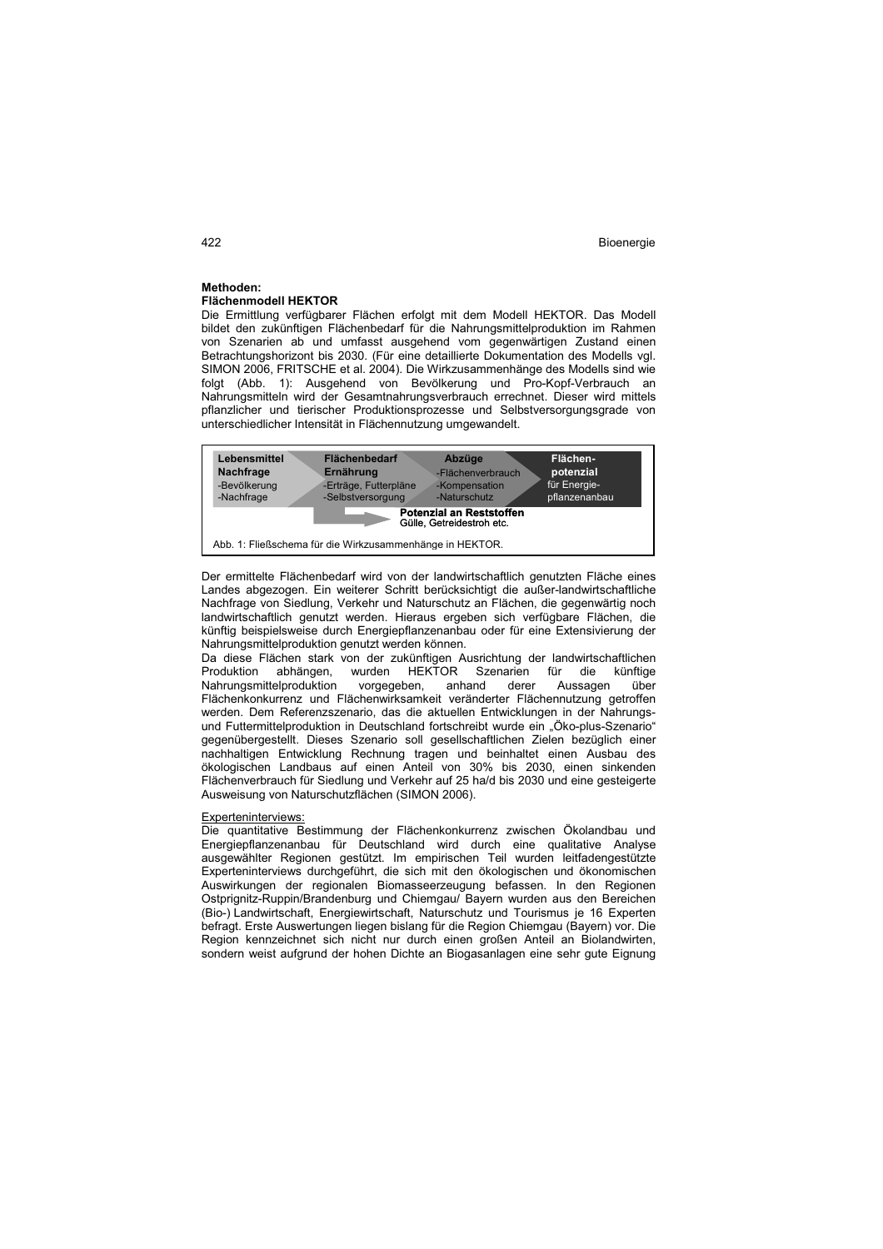#### **Methoden: Flächenmodell HEKTOR**

Die Ermittlung verfügbarer Flächen erfolgt mit dem Modell HEKTOR. Das Modell bildet den zukünftigen Flächenbedarf für die Nahrungsmittelproduktion im Rahmen von Szenarien ab und umfasst ausgehend vom gegenwärtigen Zustand einen Betrachtungshorizont bis 2030. (Für eine detaillierte Dokumentation des Modells vgl. SIMON 2006, FRITSCHE et al. 2004). Die Wirkzusammenhänge des Modells sind wie folgt (Abb. 1): Ausgehend von Bevölkerung und Pro-Kopf-Verbrauch an Nahrungsmitteln wird der Gesamtnahrungsverbrauch errechnet. Dieser wird mittels pflanzlicher und tierischer Produktionsprozesse und Selbstversorgungsgrade von unterschiedlicher Intensität in Flächennutzung umgewandelt.



Der ermittelte Flächenbedarf wird von der landwirtschaftlich genutzten Fläche eines Landes abgezogen. Ein weiterer Schritt berücksichtigt die außer-landwirtschaftliche Nachfrage von Siedlung, Verkehr und Naturschutz an Flächen, die gegenwärtig noch landwirtschaftlich genutzt werden. Hieraus ergeben sich verfügbare Flächen, die künftig beispielsweise durch Energiepflanzenanbau oder für eine Extensivierung der Nahrungsmittelproduktion genutzt werden können.

Da diese Flächen stark von der zukünftigen Ausrichtung der landwirtschaftlichen<br>Produktion abhängen, wurden HFKTOR Szenarien für die künftige abhängen, wurden HEKTOR Szenarien für die künftige Nahrungsmittelproduktion vorgegeben, anhand derer Aussagen über Flächenkonkurrenz und Flächenwirksamkeit veränderter Flächennutzung getroffen werden. Dem Referenzszenario, das die aktuellen Entwicklungen in der Nahrungsund Futtermittelproduktion in Deutschland fortschreibt wurde ein "Öko-plus-Szenario" gegenübergestellt. Dieses Szenario soll gesellschaftlichen Zielen bezüglich einer nachhaltigen Entwicklung Rechnung tragen und beinhaltet einen Ausbau des ökologischen Landbaus auf einen Anteil von 30% bis 2030, einen sinkenden Flächenverbrauch für Siedlung und Verkehr auf 25 ha/d bis 2030 und eine gesteigerte Ausweisung von Naturschutzflächen (SIMON 2006).

#### Experteninterviews:

Die quantitative Bestimmung der Flächenkonkurrenz zwischen Ökolandbau und Energiepflanzenanbau für Deutschland wird durch eine qualitative Analyse ausgewählter Regionen gestützt. Im empirischen Teil wurden leitfadengestützte Experteninterviews durchgeführt, die sich mit den ökologischen und ökonomischen Auswirkungen der regionalen Biomasseerzeugung befassen. In den Regionen Ostprignitz-Ruppin/Brandenburg und Chiemgau/ Bayern wurden aus den Bereichen (Bio-) Landwirtschaft, Energiewirtschaft, Naturschutz und Tourismus je 16 Experten befragt. Erste Auswertungen liegen bislang für die Region Chiemgau (Bayern) vor. Die Region kennzeichnet sich nicht nur durch einen großen Anteil an Biolandwirten, sondern weist aufgrund der hohen Dichte an Biogasanlagen eine sehr gute Eignung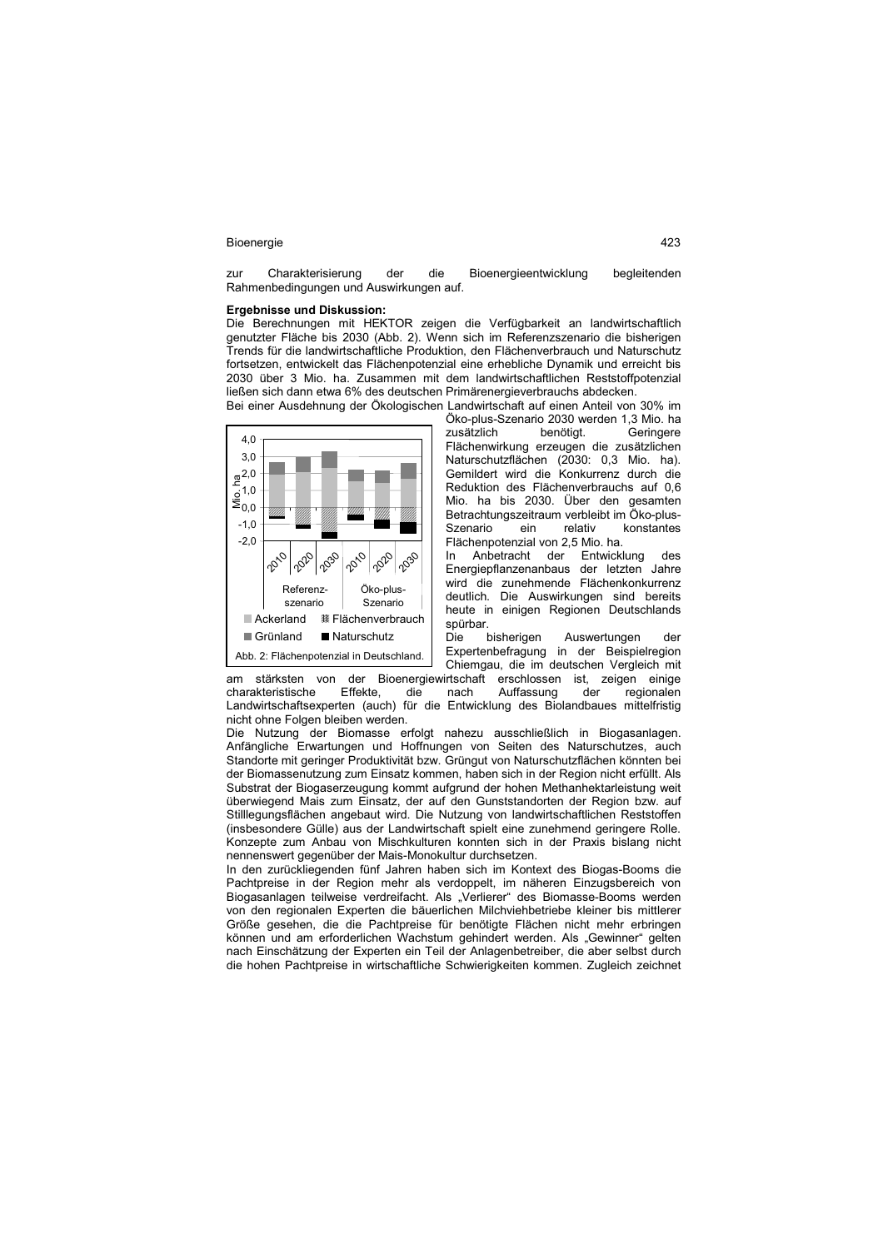zur Charakterisierung der die Bioenergieentwicklung begleitenden Rahmenbedingungen und Auswirkungen auf.

# **Ergebnisse und Diskussion:**

Die Berechnungen mit HEKTOR zeigen die Verfügbarkeit an landwirtschaftlich genutzter Fläche bis 2030 (Abb. 2). Wenn sich im Referenzszenario die bisherigen Trends für die landwirtschaftliche Produktion, den Flächenverbrauch und Naturschutz fortsetzen, entwickelt das Flächenpotenzial eine erhebliche Dynamik und erreicht bis 2030 über 3 Mio. ha. Zusammen mit dem landwirtschaftlichen Reststoffpotenzial ließen sich dann etwa 6% des deutschen Primärenergieverbrauchs abdecken. Bei einer Ausdehnung der Ökologischen Landwirtschaft auf einen Anteil von 30% im



am stärksten von der Bioenergiewirtschaft erschlossen ist, zeigen einige<br>charakteristische Effekte, die nach Auffassung der regionalen charakteristische nicht ohne Folgen bleiben werden.

Öko-plus-Szenario 2030 werden 1,3 Mio. ha zusätzlich benötigt. Geringere Flächenwirkung erzeugen die zusätzlichen Naturschutzflächen (2030: 0,3 Mio. ha). Gemildert wird die Konkurrenz durch die Reduktion des Flächenverbrauchs auf 0,6 Mio. ha bis 2030. Über den gesamten Betrachtungszeitraum verbleibt im Öko-plus-Szenario ein relativ konstantes Flächenpotenzial von 2,5 Mio. ha.

In Anbetracht der Entwicklung des Energiepflanzenanbaus der letzten Jahre wird die zunehmende Flächenkonkurrenz deutlich. Die Auswirkungen sind bereits heute in einigen Regionen Deutschlands spürbar.<br>Die l

bisherigen Auswertungen der Expertenbefragung in der Beispielregion Chiemgau, die im deutschen Vergleich mit

Landwirtschaftsexperten (auch) für die Entwicklung des Biolandbaues mittelfristig

Die Nutzung der Biomasse erfolgt nahezu ausschließlich in Biogasanlagen. Anfängliche Erwartungen und Hoffnungen von Seiten des Naturschutzes, auch Standorte mit geringer Produktivität bzw. Grüngut von Naturschutzflächen könnten bei der Biomassenutzung zum Einsatz kommen, haben sich in der Region nicht erfüllt. Als Substrat der Biogaserzeugung kommt aufgrund der hohen Methanhektarleistung weit überwiegend Mais zum Einsatz, der auf den Gunststandorten der Region bzw. auf Stilllegungsflächen angebaut wird. Die Nutzung von landwirtschaftlichen Reststoffen (insbesondere Gülle) aus der Landwirtschaft spielt eine zunehmend geringere Rolle. Konzepte zum Anbau von Mischkulturen konnten sich in der Praxis bislang nicht nennenswert gegenüber der Mais-Monokultur durchsetzen.

In den zurückliegenden fünf Jahren haben sich im Kontext des Biogas-Booms die Pachtpreise in der Region mehr als verdoppelt, im näheren Einzugsbereich von Biogasanlagen teilweise verdreifacht. Als "Verlierer" des Biomasse-Booms werden von den regionalen Experten die bäuerlichen Milchviehbetriebe kleiner bis mittlerer Größe gesehen, die die Pachtpreise für benötigte Flächen nicht mehr erbringen können und am erforderlichen Wachstum gehindert werden. Als "Gewinner" gelten nach Einschätzung der Experten ein Teil der Anlagenbetreiber, die aber selbst durch die hohen Pachtpreise in wirtschaftliche Schwierigkeiten kommen. Zugleich zeichnet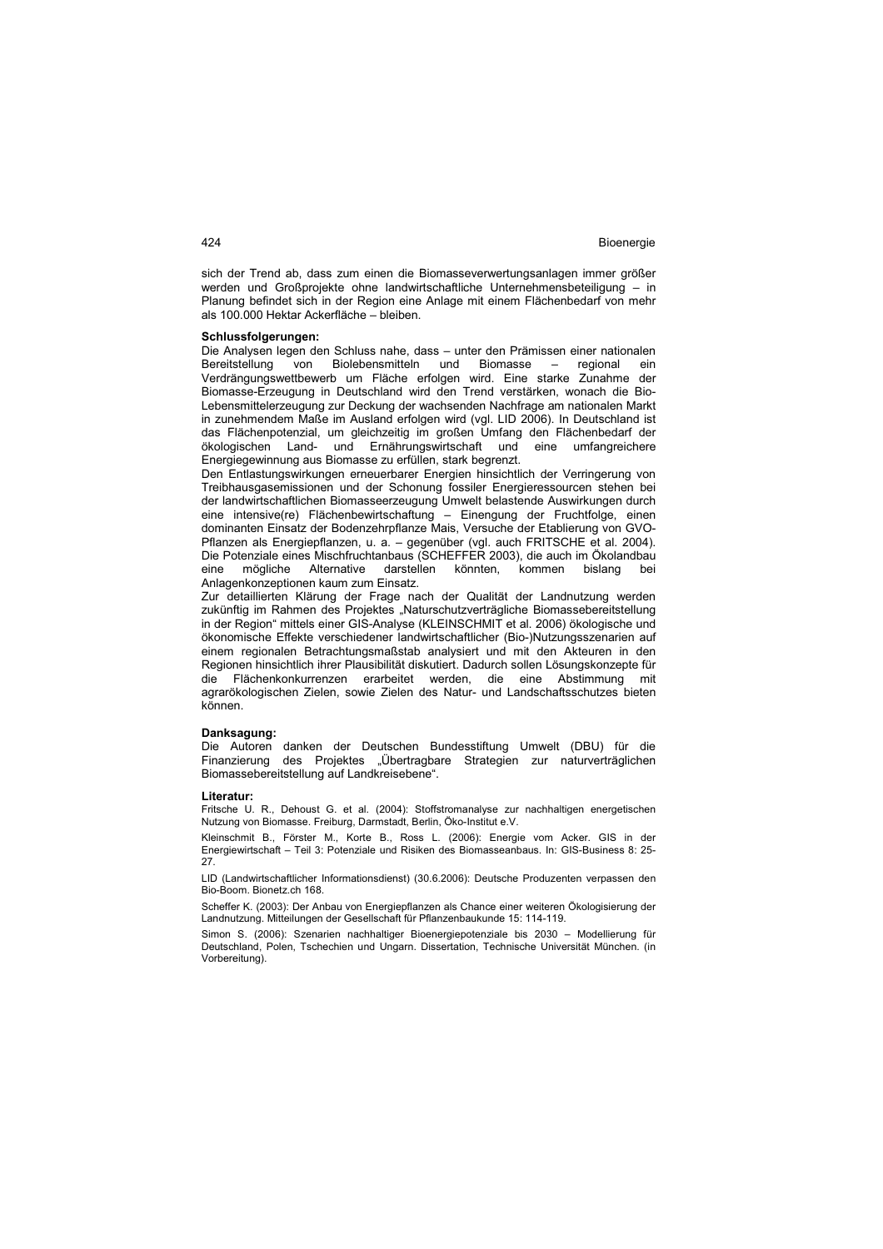sich der Trend ab, dass zum einen die Biomasseverwertungsanlagen immer größer werden und Großprojekte ohne landwirtschaftliche Unternehmensbeteiligung – in Planung befindet sich in der Region eine Anlage mit einem Flächenbedarf von mehr als 100.000 Hektar Ackerfläche – bleiben.

#### **Schlussfolgerungen:**

Die Analysen legen den Schluss nahe, dass – unter den Prämissen einer nationalen Bereitstellung von Biolebensmitteln und Biomasse – regional ein Verdrängungswettbewerb um Fläche erfolgen wird. Eine starke Zunahme der Biomasse-Erzeugung in Deutschland wird den Trend verstärken, wonach die Bio-Lebensmittelerzeugung zur Deckung der wachsenden Nachfrage am nationalen Markt in zunehmendem Maße im Ausland erfolgen wird (vgl. LID 2006). In Deutschland ist das Flächenpotenzial, um gleichzeitig im großen Umfang den Flächenbedarf der ökologischen Land- und Ernährungswirtschaft und eine umfangreichere Energiegewinnung aus Biomasse zu erfüllen, stark begrenzt.

Den Entlastungswirkungen erneuerbarer Energien hinsichtlich der Verringerung von Treibhausgasemissionen und der Schonung fossiler Energieressourcen stehen bei der landwirtschaftlichen Biomasseerzeugung Umwelt belastende Auswirkungen durch eine intensive(re) Flächenbewirtschaftung – Einengung der Fruchtfolge, einen dominanten Einsatz der Bodenzehrpflanze Mais, Versuche der Etablierung von GVO-Pflanzen als Energiepflanzen, u. a. – gegenüber (vgl. auch FRITSCHE et al. 2004). Die Potenziale eines Mischfruchtanbaus (SCHEFFER 2003), die auch im Ökolandbau eine mögliche Alternative darstellen könnten, kommen bislang bei Anlagenkonzeptionen kaum zum Einsatz.

Zur detaillierten Klärung der Frage nach der Qualität der Landnutzung werden zukünftig im Rahmen des Projektes "Naturschutzverträgliche Biomassebereitstellung in der Region" mittels einer GIS-Analyse (KLEINSCHMIT et al. 2006) ökologische und ökonomische Effekte verschiedener landwirtschaftlicher (Bio-)Nutzungsszenarien auf einem regionalen Betrachtungsmaßstab analysiert und mit den Akteuren in den Regionen hinsichtlich ihrer Plausibilität diskutiert. Dadurch sollen Lösungskonzepte für die Flächenkonkurrenzen erarbeitet werden, die eine Abstimmung mit agrarökologischen Zielen, sowie Zielen des Natur- und Landschaftsschutzes bieten können.

#### **Danksagung:**

Die Autoren danken der Deutschen Bundesstiftung Umwelt (DBU) für die Finanzierung des Projektes "Übertragbare Strategien zur naturverträglichen Biomassebereitstellung auf Landkreisebene".

#### **Literatur:**

Fritsche U. R., Dehoust G. et al. (2004): Stoffstromanalyse zur nachhaltigen energetischen Nutzung von Biomasse. Freiburg, Darmstadt, Berlin, Öko-Institut e.V.

Kleinschmit B., Förster M., Korte B., Ross L. (2006): Energie vom Acker. GIS in der Energiewirtschaft – Teil 3: Potenziale und Risiken des Biomasseanbaus. In: GIS-Business 8: 25- 27.

LID (Landwirtschaftlicher Informationsdienst) (30.6.2006): Deutsche Produzenten verpassen den Bio-Boom. Bionetz.ch 168.

Scheffer K. (2003): Der Anbau von Energiepflanzen als Chance einer weiteren Ökologisierung der Landnutzung. Mitteilungen der Gesellschaft für Pflanzenbaukunde 15: 114-119.

Simon S. (2006): Szenarien nachhaltiger Bioenergiepotenziale bis 2030 – Modellierung für Deutschland, Polen, Tschechien und Ungarn. Dissertation, Technische Universität München. (in Vorbereitung).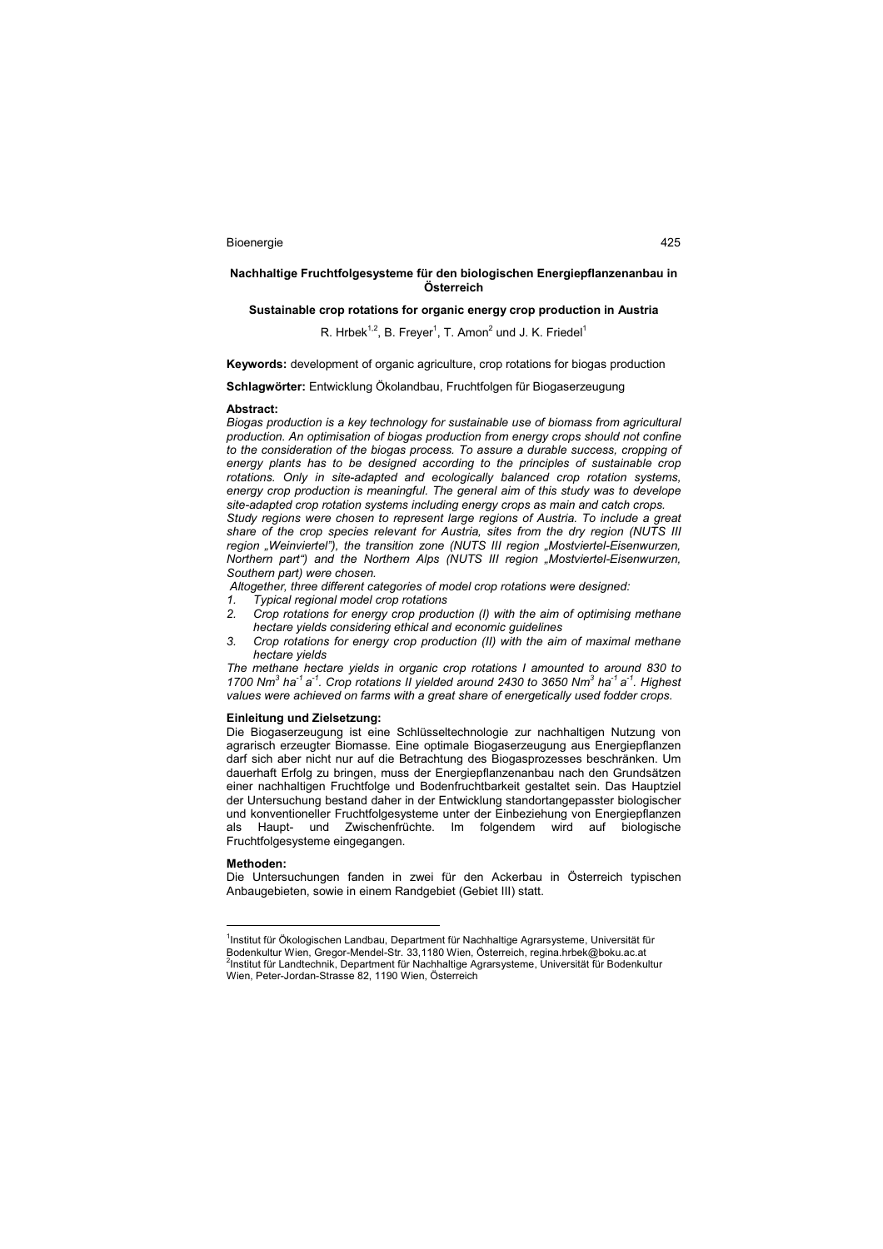## **Nachhaltige Fruchtfolgesysteme für den biologischen Energiepflanzenanbau in Österreich**

## **Sustainable crop rotations for organic energy crop production in Austria**

## R. Hrbek $^{1,2}$ , B. Freyer<sup>1</sup>, T. Amon<sup>2</sup> und J. K. Friedel<sup>1</sup>

**Keywords:** development of organic agriculture, crop rotations for biogas production

**Schlagwörter:** Entwicklung Ökolandbau, Fruchtfolgen für Biogaserzeugung

#### **Abstract:**

*Biogas production is a key technology for sustainable use of biomass from agricultural production. An optimisation of biogas production from energy crops should not confine to the consideration of the biogas process. To assure a durable success, cropping of energy plants has to be designed according to the principles of sustainable crop rotations. Only in site-adapted and ecologically balanced crop rotation systems, energy crop production is meaningful. The general aim of this study was to develope site-adapted crop rotation systems including energy crops as main and catch crops.* 

*Study regions were chosen to represent large regions of Austria. To include a great share of the crop species relevant for Austria, sites from the dry region (NUTS III region "Weinviertel"), the transition zone (NUTS III region "Mostviertel-Eisenwurzen, Northern part") and the Northern Alps (NUTS III region "Mostviertel-Eisenwurzen, Southern part) were chosen.* 

 *Altogether, three different categories of model crop rotations were designed:* 

- *1. Typical regional model crop rotations*
- *2. Crop rotations for energy crop production (I) with the aim of optimising methane hectare yields considering ethical and economic guidelines*
- *3. Crop rotations for energy crop production (II) with the aim of maximal methane hectare yields*

*The methane hectare yields in organic crop rotations I amounted to around 830 to 1700 Nm<sup>3</sup> ha-1 a -1. Crop rotations II yielded around 2430 to 3650 Nm<sup>3</sup> ha-1 a -1. Highest values were achieved on farms with a great share of energetically used fodder crops.* 

#### **Einleitung und Zielsetzung:**

Die Biogaserzeugung ist eine Schlüsseltechnologie zur nachhaltigen Nutzung von agrarisch erzeugter Biomasse. Eine optimale Biogaserzeugung aus Energiepflanzen darf sich aber nicht nur auf die Betrachtung des Biogasprozesses beschränken. Um dauerhaft Erfolg zu bringen, muss der Energiepflanzenanbau nach den Grundsätzen einer nachhaltigen Fruchtfolge und Bodenfruchtbarkeit gestaltet sein. Das Hauptziel der Untersuchung bestand daher in der Entwicklung standortangepasster biologischer und konventioneller Fruchtfolgesysteme unter der Einbeziehung von Energiepflanzen als Haupt- und Zwischenfrüchte. Im folgendem wird auf biologische Fruchtfolgesysteme eingegangen.

#### **Methoden:**

 $\overline{a}$ 

Die Untersuchungen fanden in zwei für den Ackerbau in Österreich typischen Anbaugebieten, sowie in einem Randgebiet (Gebiet III) statt.

<sup>&</sup>lt;sup>1</sup>Institut für Ökologischen Landbau, Department für Nachhaltige Agrarsysteme, Universität für Bodenkultur Wien, Gregor-Mendel-Str. 33,1180 Wien, Österreich, regina.hrbek@boku.ac.at 2 Institut für Landtechnik, Department für Nachhaltige Agrarsysteme, Universität für Bodenkultur Wien, Peter-Jordan-Strasse 82, 1190 Wien, Österreich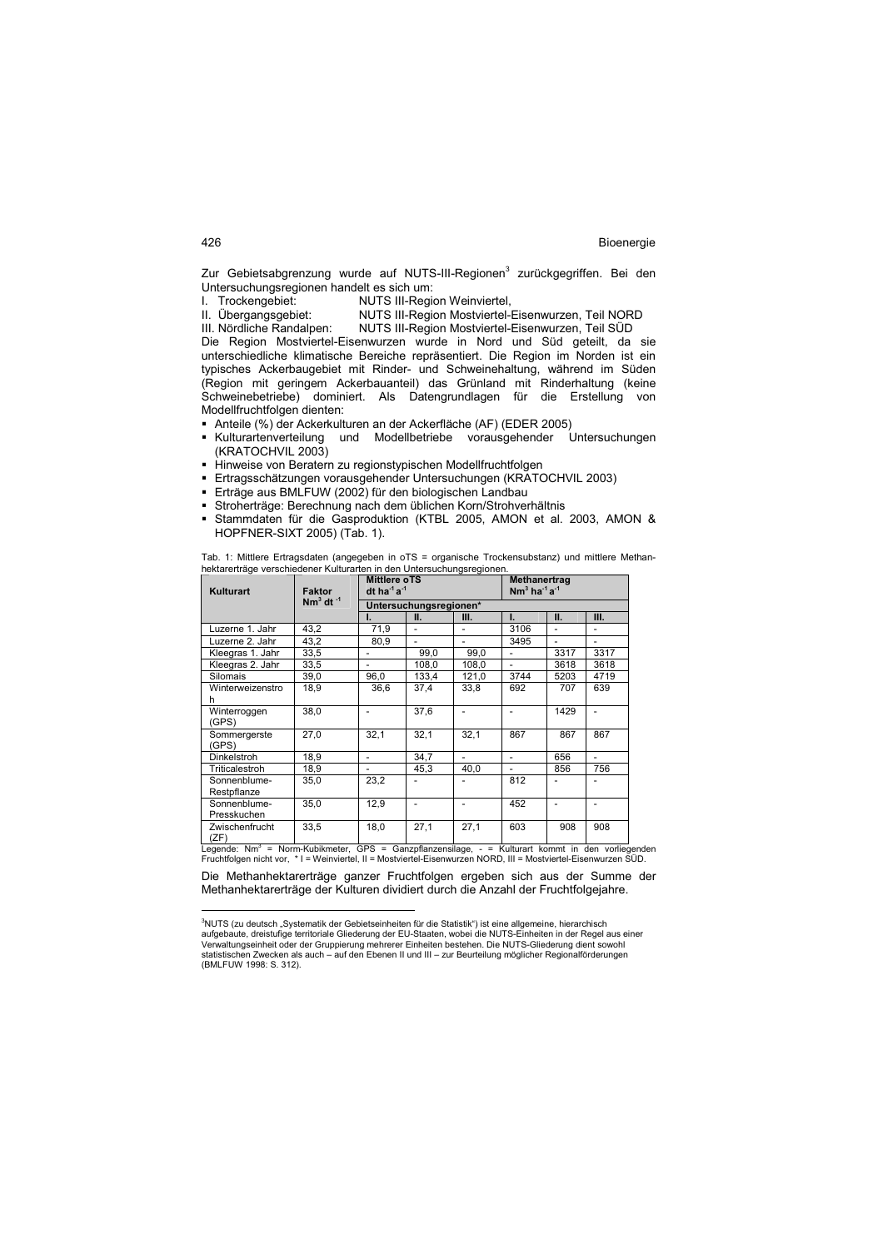Zur Gebietsabgrenzung wurde auf NUTS-III-Regionen<sup>3</sup> zurückgegriffen. Bei den Untersuchungsregionen handelt es sich um:

I. Trockengebiet: NUTS III-Region Weinviertel,<br>II. Übergangsgebiet: NUTS III-Region Mostviertel-

NUTS III-Region Mostviertel-Eisenwurzen, Teil NORD

III. Nördliche Randalpen: NUTS III-Region Mostviertel-Eisenwurzen, Teil SÜD

Die Region Mostviertel-Eisenwurzen wurde in Nord und Süd geteilt, da sie unterschiedliche klimatische Bereiche repräsentiert. Die Region im Norden ist ein typisches Ackerbaugebiet mit Rinder- und Schweinehaltung, während im Süden (Region mit geringem Ackerbauanteil) das Grünland mit Rinderhaltung (keine Schweinebetriebe) dominiert. Als Datengrundlagen für die Erstellung von Modellfruchtfolgen dienten:

- 
- Anteile (%) der Ackerkulturen an der Ackerfläche (AF) (EDER 2005)<br>■ Kulturartenverteilung und Modellbetriebe vorausgehender Untersuchungen Kulturartenverteilung und Modellbetriebe vorausgehender (KRATOCHVIL 2003)
- Hinweise von Beratern zu regionstypischen Modellfruchtfolgen
- Ertragsschätzungen vorausgehender Untersuchungen (KRATOCHVIL 2003)
- Erträge aus BMLFUW (2002) für den biologischen Landbau
- Stroherträge: Berechnung nach dem üblichen Korn/Strohverhältnis
- Stammdaten für die Gasproduktion (KTBL 2005, AMON et al. 2003, AMON & HOPFNER-SIXT 2005) (Tab. 1).

| <b>Kulturart</b>            | <b>Faktor</b>                    | <b>Mittlere oTS</b><br>dt ha $1a^{-1}$ |                          |                          | Methanertrag<br>$Nm^3$ ha <sup>-1</sup> a <sup>-1</sup> |                |                          |
|-----------------------------|----------------------------------|----------------------------------------|--------------------------|--------------------------|---------------------------------------------------------|----------------|--------------------------|
|                             | Nm <sup>3</sup> dt <sup>-1</sup> |                                        | Untersuchungsregionen*   |                          |                                                         |                |                          |
|                             |                                  |                                        | н.                       | Ш.                       | н.                                                      | Ш.             | Ш.                       |
| Luzerne 1. Jahr             | 43,2                             | 71,9                                   | $\overline{\phantom{a}}$ |                          | 3106                                                    | $\overline{a}$ |                          |
| Luzerne 2. Jahr             | 43,2                             | 80.9                                   | $\overline{\phantom{a}}$ |                          | 3495                                                    |                |                          |
| Kleegras 1. Jahr            | 33,5                             | $\overline{\phantom{a}}$               | 99,0                     | 99,0                     | $\overline{\phantom{0}}$                                | 3317           | 3317                     |
| Kleegras 2. Jahr            | 33,5                             |                                        | 108.0                    | 108.0                    |                                                         | 3618           | 3618                     |
| Silomais                    | 39,0                             | 96,0                                   | 133.4                    | 121,0                    | 3744                                                    | 5203           | 4719                     |
| Winterweizenstro<br>n       | 18.9                             | 36.6                                   | 37.4                     | 33,8                     | 692                                                     | 707            | 639                      |
| Winterroggen<br>(GPS)       | 38.0                             | $\overline{\phantom{0}}$               | 37,6                     | $\overline{\phantom{a}}$ | $\overline{\phantom{0}}$                                | 1429           | $\overline{\phantom{0}}$ |
| Sommergerste<br>(GPS)       | 27.0                             | 32.1                                   | 32.1                     | 32.1                     | 867                                                     | 867            | 867                      |
| Dinkelstroh                 | 18,9                             | $\overline{\phantom{0}}$               | 34.7                     |                          | $\overline{\phantom{a}}$                                | 656            | -                        |
| Triticalestroh              | 18,9                             | $\overline{\phantom{0}}$               | 45,3                     | 40,0                     |                                                         | 856            | 756                      |
| Sonnenblume-<br>Restpflanze | 35,0                             | 23,2                                   | $\overline{\phantom{a}}$ |                          | 812                                                     | ٠              |                          |
| Sonnenblume-<br>Presskuchen | 35,0                             | 12,9                                   | $\overline{\phantom{a}}$ | $\overline{\phantom{a}}$ | 452                                                     | $\overline{a}$ | -                        |
| Zwischenfrucht<br>(7F)      | 33,5                             | 18,0                                   | 27,1                     | 27,1                     | 603                                                     | 908            | 908                      |

Tab. 1: Mittlere Ertragsdaten (angegeben in oTS = organische Trockensubstanz) und mittlere Methanhektarerträge verschiedener Kulturarten in den Untersuchungsregionen.

(ZF) Legende: Nm<sup>3</sup> = Norm-Kubikmeter, GPS = Ganzpflanzensilage, - = Kulturart kommt in den vorliegenden Fruchtfolgen nicht vor, \* I = Weinviertel, II = Mostviertel-Eisenwurzen NORD, III = Mostviertel-Eisenwurzen SÜD.

Die Methanhektarerträge ganzer Fruchtfolgen ergeben sich aus der Summe der Methanhektarerträge der Kulturen dividiert durch die Anzahl der Fruchtfolgejahre.

 <sup>3</sup>NUTS (zu deutsch "Systematik der Gebietseinheiten für die Statistik") ist eine allgemeine, hierarchisch aufgebaute, dreistufige territoriale Gliederung der EU-Staaten, wobei die NUTS-Einheiten in der Regel aus einer<br>Verwaltungseinheit oder der Gruppierung mehrerer Einheiten bestehen. Die NUTS-Gliederung dient sowohl<br>statisti (BMLFUW 1998: S. 312).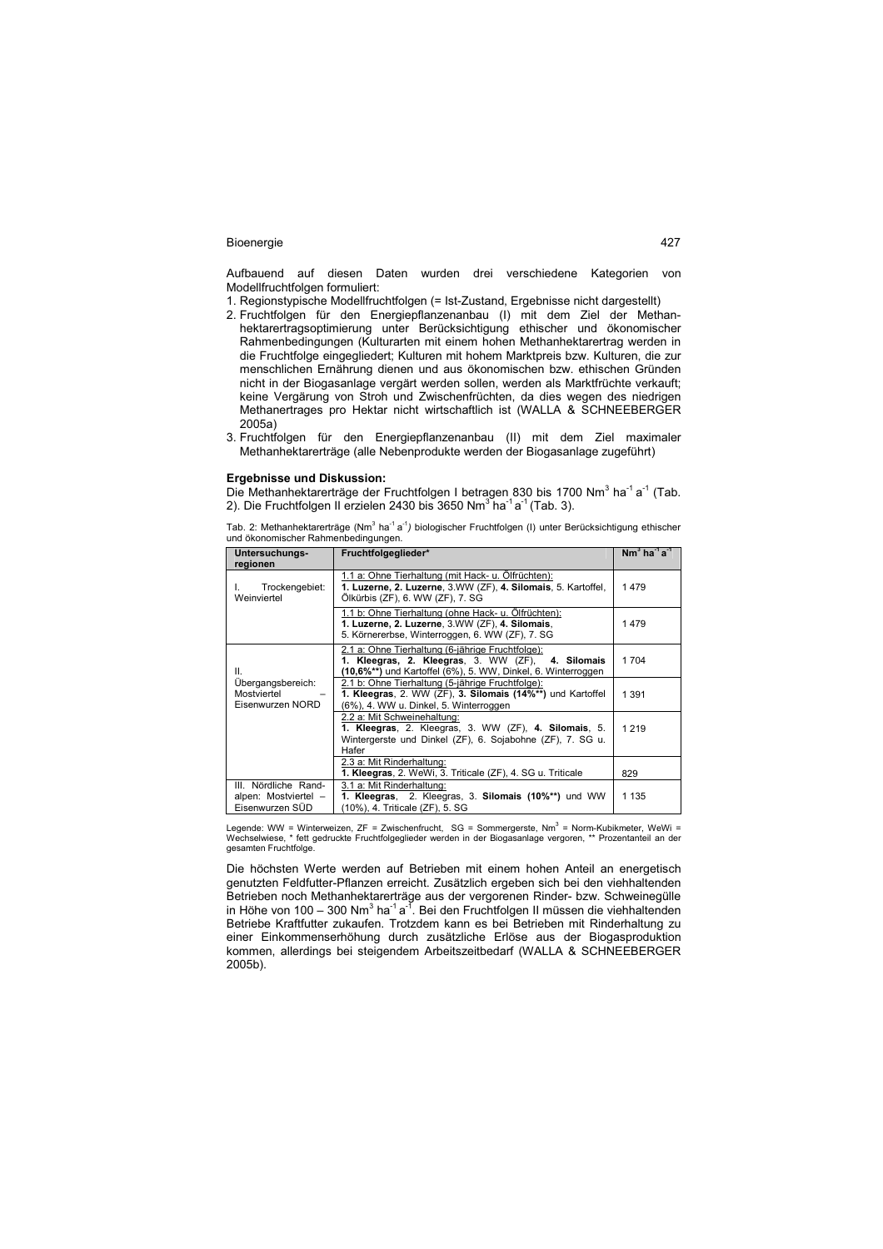Aufbauend auf diesen Daten wurden drei verschiedene Kategorien von Modellfruchtfolgen formuliert:

1. Regionstypische Modellfruchtfolgen (= Ist-Zustand, Ergebnisse nicht dargestellt)

- 2. Fruchtfolgen für den Energiepflanzenanbau (I) mit dem Ziel der Methanhektarertragsoptimierung unter Berücksichtigung ethischer und ökonomischer Rahmenbedingungen (Kulturarten mit einem hohen Methanhektarertrag werden in die Fruchtfolge eingegliedert; Kulturen mit hohem Marktpreis bzw. Kulturen, die zur menschlichen Ernährung dienen und aus ökonomischen bzw. ethischen Gründen nicht in der Biogasanlage vergärt werden sollen, werden als Marktfrüchte verkauft; keine Vergärung von Stroh und Zwischenfrüchten, da dies wegen des niedrigen Methanertrages pro Hektar nicht wirtschaftlich ist (WALLA & SCHNEEBERGER 2005a)
- 3. Fruchtfolgen für den Energiepflanzenanbau (II) mit dem Ziel maximaler Methanhektarerträge (alle Nebenprodukte werden der Biogasanlage zugeführt)

## **Ergebnisse und Diskussion:**

Die Methanhektarerträge der Fruchtfolgen I betragen 830 bis 1700 Nm<sup>3</sup> ha<sup>-1</sup> a<sup>-1</sup> (Tab. 2). Die Fruchtfolgen II erzielen 2430 bis 3650 Nm<sup>3</sup> ha $^{-1}$ a $^{-1}$  (Tab. 3).

Tab. 2: Methanhektarerträge (Nm<sup>3</sup> ha<sup>-1</sup> a<sup>-1</sup>) biologischer Fruchtfolgen (I) unter Berücksichtigung ethischer und ökonomischer Rahmenbedingungen.

| Untersuchungs-<br>regionen                                      | Fruchtfolgeglieder*                                                                                                                                                      | $Nm3$ ha <sup>-1</sup> a <sup>-1</sup> |
|-----------------------------------------------------------------|--------------------------------------------------------------------------------------------------------------------------------------------------------------------------|----------------------------------------|
| Trockengebiet:<br>Weinviertel                                   | 1.1 a: Ohne Tierhaltung (mit Hack- u. Ölfrüchten):<br>1. Luzerne, 2. Luzerne, 3.WW (ZF), 4. Silomais, 5. Kartoffel,<br>Ölkürbis (ZF), 6. WW (ZF), 7. SG                  | 1479                                   |
|                                                                 | 1.1 b: Ohne Tierhaltung (ohne Hack- u. Ölfrüchten):<br>1. Luzerne, 2. Luzerne, 3.WW (ZF), 4. Silomais,<br>5. Körnererbse, Winterroggen, 6. WW (ZF), 7. SG                | 1479                                   |
| Ш.                                                              | 2.1 a: Ohne Tierhaltung (6-jährige Fruchtfolge):<br>1. Kleegras, 2. Kleegras, 3. WW (ZF), 4. Silomais<br>$(10,6\%**)$ und Kartoffel (6%), 5. WW, Dinkel, 6. Winterroggen | 1 704                                  |
| Übergangsbereich:<br>Mostviertel<br>Eisenwurzen NORD            | 2.1 b: Ohne Tierhaltung (5-jährige Fruchtfolge):<br>1. Kleegras, 2. WW (ZF), 3. Silomais (14%**) und Kartoffel<br>(6%), 4. WW u. Dinkel, 5. Winterroggen                 | 1 3 9 1                                |
|                                                                 | 2.2 a: Mit Schweinehaltung:<br>1. Kleegras, 2. Kleegras, 3. WW (ZF), 4. Silomais, 5.<br>Wintergerste und Dinkel (ZF), 6. Sojabohne (ZF), 7. SG u.<br>Hafer               | 1 2 1 9                                |
|                                                                 | 2.3 a: Mit Rinderhaltung:<br>1. Kleegras, 2. WeWi, 3. Triticale (ZF), 4. SG u. Triticale                                                                                 | 829                                    |
| III. Nördliche Rand-<br>alpen: Mostviertel -<br>Eisenwurzen SÜD | 3.1 a: Mit Rinderhaltung:<br>1. Kleegras, 2. Kleegras, 3. Silomais (10%**) und WW<br>(10%), 4. Triticale (ZF), 5. SG                                                     | 1 1 3 5                                |

Legende: WW = Winterweizen, ZF = Zwischenfrucht, SG = Sommergerste, Nm<sup>3</sup> = Norm-Kubikmeter, WeWi =<br>Wechselwiese, \* fett gedruckte Fruchtfolgeglieder werden in der Biogasanlage vergoren, \*\* Prozentanteil an der gesamten Fruchtfolge.

Die höchsten Werte werden auf Betrieben mit einem hohen Anteil an energetisch genutzten Feldfutter-Pflanzen erreicht. Zusätzlich ergeben sich bei den viehhaltenden Betrieben noch Methanhektarerträge aus der vergorenen Rinder- bzw. Schweinegülle in Höhe von 100 – 300 Nm<sup>3</sup> ha<sup>-1</sup> a<sup>-ĭ</sup>. Bei den Fruchtfolgen II müssen die viehhaltenden Betriebe Kraftfutter zukaufen. Trotzdem kann es bei Betrieben mit Rinderhaltung zu einer Einkommenserhöhung durch zusätzliche Erlöse aus der Biogasproduktion kommen, allerdings bei steigendem Arbeitszeitbedarf (WALLA & SCHNEEBERGER 2005b).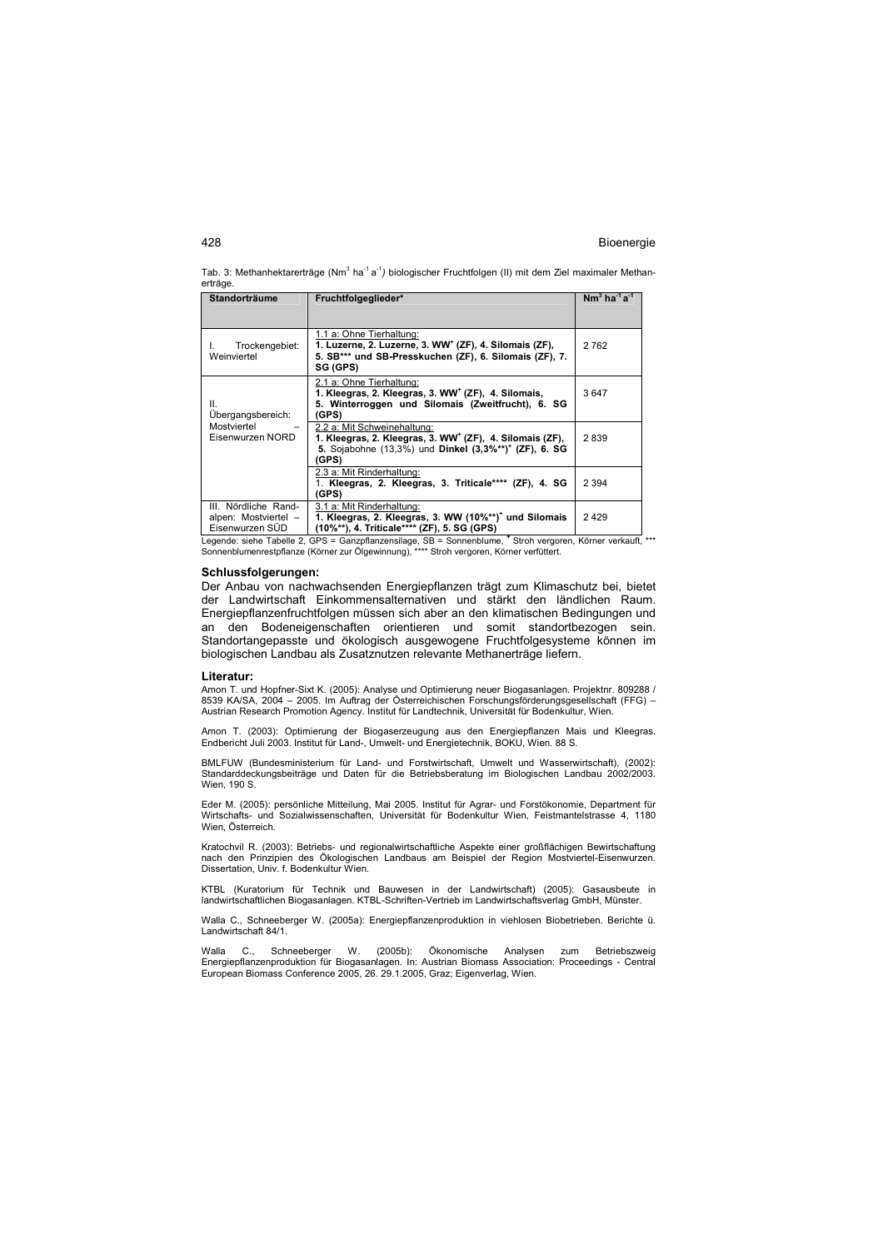Tab. 3: Methanhektarerträge (Nm<sup>3</sup> ha<sup>-1</sup> a<sup>-1</sup>) biologischer Fruchtfolgen (II) mit dem Ziel maximaler Methanerträge.

| Standorträume                                                   | Fruchtfolgeglieder*                                                                                                                                                               | $Nm^3$ ha <sup>-1</sup> a <sup>-1</sup> |
|-----------------------------------------------------------------|-----------------------------------------------------------------------------------------------------------------------------------------------------------------------------------|-----------------------------------------|
| Trockengebiet:<br>Weinviertel                                   | 1.1 a: Ohne Tierhaltung:<br>1. Luzerne, 2. Luzerne, 3. WW <sup>+</sup> (ZF), 4. Silomais (ZF),<br>5. SB*** und SB-Presskuchen (ZF), 6. Silomais (ZF), 7.<br>SG (GPS)              | 2762                                    |
| ΙΙ.<br>Ubergangsbereich:                                        | 2.1 a: Ohne Tierhaltung:<br>1. Kleegras, 2. Kleegras, 3. WW <sup>+</sup> (ZF), 4. Silomais,<br>5. Winterroggen und Silomais (Zweitfrucht), 6. SG<br>(GPS)                         | 3647                                    |
| Mostviertel<br>Eisenwurzen NORD                                 | 2.2 a: Mit Schweinehaltung:<br>1. Kleegras, 2. Kleegras, 3. WW <sup>+</sup> (ZF), 4. Silomais (ZF),<br>5. Sojabohne (13,3%) und Dinkel (3,3%**) <sup>+</sup> (ZF), 6. SG<br>(GPS) | 2839                                    |
|                                                                 | 2.3 a: Mit Rinderhaltung:<br>1. Kleegras, 2. Kleegras, 3. Triticale**** (ZF), 4. SG<br>(GPS)                                                                                      | 2 3 9 4                                 |
| III. Nördliche Rand-<br>alpen: Mostviertel -<br>Eisenwurzen SÜD | 3.1 a: Mit Rinderhaltung:<br>1. Kleegras, 2. Kleegras, 3. WW (10%**) <sup>+</sup> und Silomais<br>(10%**), 4. Triticale**** (ZF), 5. SG (GPS)                                     | 2429                                    |

│ Eisenwurzen SÜD │ (**10%\*\*), 4. Triticale\*\*\*\* (ZF), 5. SG (GPS)**<br>Legende: siehe Tabelle 2, GPS = Ganzpflanzensilage, SB = Sonnenblume, <sup>+</sup> Stroh vergoren, Körner verkauft, \*\*\*<br>Sonnenblumenrestpflanze (Körner zur Ölgewinn

#### **Schlussfolgerungen:**

Der Anbau von nachwachsenden Energiepflanzen trägt zum Klimaschutz bei, bietet der Landwirtschaft Einkommensalternativen und stärkt den ländlichen Raum. Energiepflanzenfruchtfolgen müssen sich aber an den klimatischen Bedingungen und an den Bodeneigenschaften orientieren und somit standortbezogen sein. Standortangepasste und ökologisch ausgewogene Fruchtfolgesysteme können im biologischen Landbau als Zusatznutzen relevante Methanerträge liefern.

#### **Literatur:**

Amon T. und Hopfner-Sixt K. (2005): Analyse und Optimierung neuer Biogasanlagen. Projektnr. 809288 /<br>8539 KA/SA, 2004 – 2005. Im Auftrag der Österreichischen Forschungsförderungsgesellschaft (FFG) – Austrian Research Promotion Agency. Institut für Landtechnik, Universität für Bodenkultur, Wien.

Amon T. (2003): Optimierung der Biogaserzeugung aus den Energiepflanzen Mais und Kleegras. Endbericht Juli 2003. Institut für Land-, Umwelt- und Energietechnik, BOKU, Wien. 88 S.

BMLFUW (Bundesministerium für Land- und Forstwirtschaft, Umwelt und Wasserwirtschaft), (2002): Standarddeckungsbeiträge und Daten für die Betriebsberatung im Biologischen Landbau 2002/2003. Wien, 190 S.

Eder M. (2005): persönliche Mitteilung, Mai 2005. Institut für Agrar- und Forstökonomie, Department für Wirtschafts- und Sozialwissenschaften, Universität für Bodenkultur Wien, Feistmantelstrasse 4, 1180 Wien, Österreich.

Kratochvil R. (2003): Betriebs- und regionalwirtschaftliche Aspekte einer großflächigen Bewirtschaftung nach den Prinzipien des Ökologischen Landbaus am Beispiel der Region Mostviertel-Eisenwurzen. Dissertation, Univ. f. Bodenkultur Wien.

KTBL (Kuratorium für Technik und Bauwesen in der Landwirtschaft) (2005): Gasausbeute in landwirtschaftlichen Biogasanlagen. KTBL-Schriften-Vertrieb im Landwirtschaftsverlag GmbH, Münster.

Walla C., Schneeberger W. (2005a): Energiepflanzenproduktion in viehlosen Biobetrieben. Berichte ü. Landwirtschaft 84/1.

Walla C., Schneeberger W. (2005b): Ökonomische Analysen zum Betriebszweig Energiepflanzenproduktion für Biogasanlagen. In: Austrian Biomass Association: Proceedings - Central European Biomass Conference 2005, 26. 29.1.2005, Graz; Eigenverlag, Wien.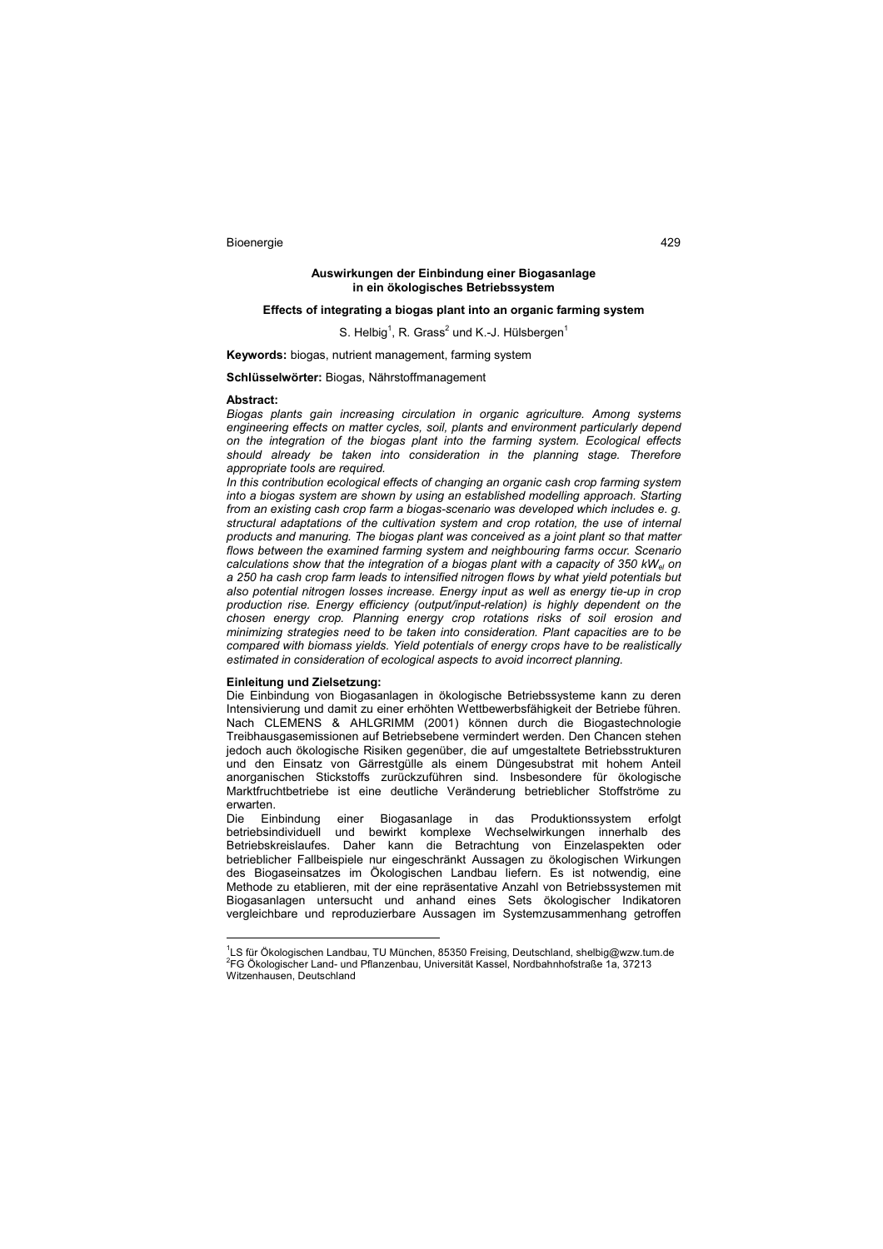### **Auswirkungen der Einbindung einer Biogasanlage in ein ökologisches Betriebssystem**

## **Effects of integrating a biogas plant into an organic farming system**

S. Helbig<sup>1</sup>, R. Grass<sup>2</sup> und K.-J. Hülsbergen<sup>1</sup>

**Keywords:** biogas, nutrient management, farming system

**Schlüsselwörter:** Biogas, Nährstoffmanagement

#### **Abstract:**

*Biogas plants gain increasing circulation in organic agriculture. Among systems engineering effects on matter cycles, soil, plants and environment particularly depend on the integration of the biogas plant into the farming system. Ecological effects should already be taken into consideration in the planning stage. Therefore appropriate tools are required.* 

*In this contribution ecological effects of changing an organic cash crop farming system into a biogas system are shown by using an established modelling approach. Starting from an existing cash crop farm a biogas-scenario was developed which includes e. g. structural adaptations of the cultivation system and crop rotation, the use of internal products and manuring. The biogas plant was conceived as a joint plant so that matter flows between the examined farming system and neighbouring farms occur. Scenario calculations show that the integration of a biogas plant with a capacity of 350 kWel on a 250 ha cash crop farm leads to intensified nitrogen flows by what yield potentials but also potential nitrogen losses increase. Energy input as well as energy tie-up in crop production rise. Energy efficiency (output/input-relation) is highly dependent on the chosen energy crop. Planning energy crop rotations risks of soil erosion and minimizing strategies need to be taken into consideration. Plant capacities are to be compared with biomass yields. Yield potentials of energy crops have to be realistically estimated in consideration of ecological aspects to avoid incorrect planning.*

# **Einleitung und Zielsetzung:**

 $\overline{a}$ 

Die Einbindung von Biogasanlagen in ökologische Betriebssysteme kann zu deren Intensivierung und damit zu einer erhöhten Wettbewerbsfähigkeit der Betriebe führen. Nach CLEMENS & AHLGRIMM (2001) können durch die Biogastechnologie Treibhausgasemissionen auf Betriebsebene vermindert werden. Den Chancen stehen jedoch auch ökologische Risiken gegenüber, die auf umgestaltete Betriebsstrukturen und den Einsatz von Gärrestgülle als einem Düngesubstrat mit hohem Anteil anorganischen Stickstoffs zurückzuführen sind. Insbesondere für ökologische Marktfruchtbetriebe ist eine deutliche Veränderung betrieblicher Stoffströme zu erwarten.<br>Die Einbindung

Die Einbindung einer Biogasanlage in das Produktionssystem erfolgt betriebsindividuell und bewirkt komplexe Wechselwirkungen innerhalb des Betriebskreislaufes. Daher kann die Betrachtung von Einzelaspekten oder betrieblicher Fallbeispiele nur eingeschränkt Aussagen zu ökologischen Wirkungen des Biogaseinsatzes im Ökologischen Landbau liefern. Es ist notwendig, eine Methode zu etablieren, mit der eine repräsentative Anzahl von Betriebssystemen mit Biogasanlagen untersucht und anhand eines Sets ökologischer Indikatoren vergleichbare und reproduzierbare Aussagen im Systemzusammenhang getroffen

<sup>1</sup> LS für Ökologischen Landbau, TU München, 85350 Freising, Deutschland, shelbig@wzw.tum.de 2 FG Ökologischer Land- und Pflanzenbau, Universität Kassel, Nordbahnhofstraße 1a, 37213 Witzenhausen, Deutschland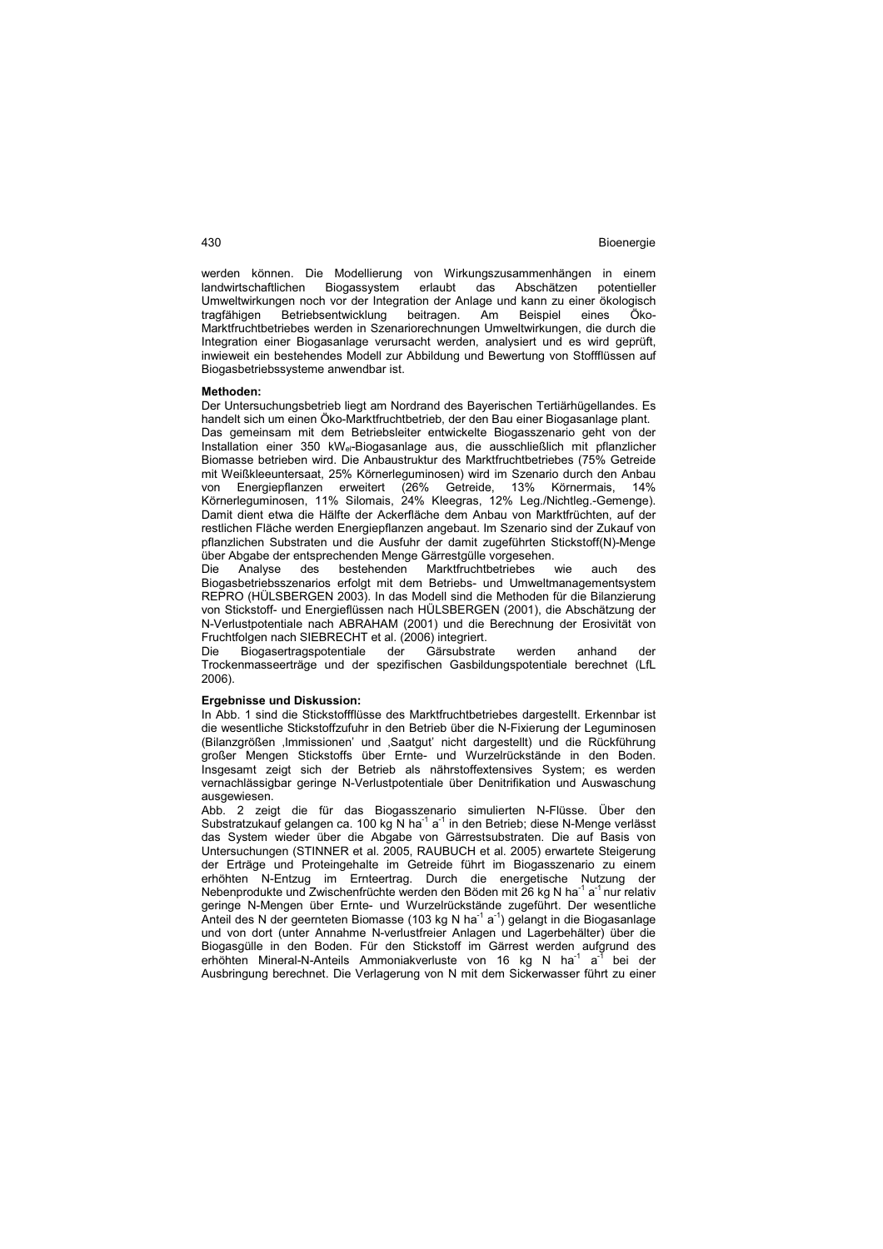werden können. Die Modellierung von Wirkungszusammenhängen in einem<br>Iandwirtschaftlichen Biogassystem erlaubt das Abschätzen potentieller landwirtschaftlichen Biogassystem Umweltwirkungen noch vor der Integration der Anlage und kann zu einer ökologisch tragfähigen Betriebsentwicklung beitragen. Am Beispiel eines Öko-Marktfruchtbetriebes werden in Szenariorechnungen Umweltwirkungen, die durch die Integration einer Biogasanlage verursacht werden, analysiert und es wird geprüft, inwieweit ein bestehendes Modell zur Abbildung und Bewertung von Stoffflüssen auf Biogasbetriebssysteme anwendbar ist.

#### **Methoden:**

Der Untersuchungsbetrieb liegt am Nordrand des Bayerischen Tertiärhügellandes. Es handelt sich um einen Öko-Marktfruchtbetrieb, der den Bau einer Biogasanlage plant. Das gemeinsam mit dem Betriebsleiter entwickelte Biogasszenario geht von der Installation einer 350 kWel-Biogasanlage aus, die ausschließlich mit pflanzlicher Biomasse betrieben wird. Die Anbaustruktur des Marktfruchtbetriebes (75% Getreide mit Weißkleeuntersaat, 25% Körnerleguminosen) wird im Szenario durch den Anbau von Energiepflanzen erweitert (26% Getreide, 13% Körnermais, 14% Körnerleguminosen, 11% Silomais, 24% Kleegras, 12% Leg./Nichtleg.-Gemenge). Damit dient etwa die Hälfte der Ackerfläche dem Anbau von Marktfrüchten, auf der restlichen Fläche werden Energiepflanzen angebaut. Im Szenario sind der Zukauf von pflanzlichen Substraten und die Ausfuhr der damit zugeführten Stickstoff(N)-Menge über Abgabe der entsprechenden Menge Gärrestgülle vorgesehen.

Die Analyse des bestehenden Marktfruchtbetriebes wie auch des Biogasbetriebsszenarios erfolgt mit dem Betriebs- und Umweltmanagementsystem REPRO (HÜLSBERGEN 2003). In das Modell sind die Methoden für die Bilanzierung von Stickstoff- und Energieflüssen nach HÜLSBERGEN (2001), die Abschätzung der N-Verlustpotentiale nach ABRAHAM (2001) und die Berechnung der Erosivität von Fruchtfolgen nach SIEBRECHT et al. (2006) integriert.

Die Biogasertragspotentiale der Gärsubstrate werden anhand der Trockenmasseerträge und der spezifischen Gasbildungspotentiale berechnet (LfL 2006).

#### **Ergebnisse und Diskussion:**

In Abb. 1 sind die Stickstoffflüsse des Marktfruchtbetriebes dargestellt. Erkennbar ist die wesentliche Stickstoffzufuhr in den Betrieb über die N-Fixierung der Leguminosen (Bilanzgrößen 'Immissionen' und 'Saatgut' nicht dargestellt) und die Rückführung großer Mengen Stickstoffs über Ernte- und Wurzelrückstände in den Boden. Insgesamt zeigt sich der Betrieb als nährstoffextensives System; es werden vernachlässigbar geringe N-Verlustpotentiale über Denitrifikation und Auswaschung ausgewiesen.

Abb. 2 zeigt die für das Biogasszenario simulierten N-Flüsse. Über den Substratzukauf gelangen ca. 100 kg N ha<sup>-1</sup> a<sup>-1</sup> in den Betrieb; diese N-Menge verlässt das System wieder über die Abgabe von Gärrestsubstraten. Die auf Basis von Untersuchungen (STINNER et al. 2005, RAUBUCH et al. 2005) erwartete Steigerung der Erträge und Proteingehalte im Getreide führt im Biogasszenario zu einem erhöhten N-Entzug im Ernteertrag. Durch die energetische Nutzung der Nebenprodukte und Zwischenfrüchte werden den Böden mit 26 kg N ha<sup>-1</sup> a<sup>-1</sup> nur relativ geringe N-Mengen über Ernte- und Wurzelrückstände zugeführt. Der wesentliche Anteil des N der geernteten Biomasse (103 kg N ha<sup>-1</sup> a<sup>-1</sup>) gelangt in die Biogasanlage und von dort (unter Annahme N-verlustfreier Anlagen und Lagerbehälter) über die Biogasgülle in den Boden. Für den Stickstoff im Gärrest werden aufgrund des erhöhten Mineral-N-Anteils Ammoniakverluste von 16 kg N ha<sup>-1</sup> a<sup>-T</sup> bei der Ausbringung berechnet. Die Verlagerung von N mit dem Sickerwasser führt zu einer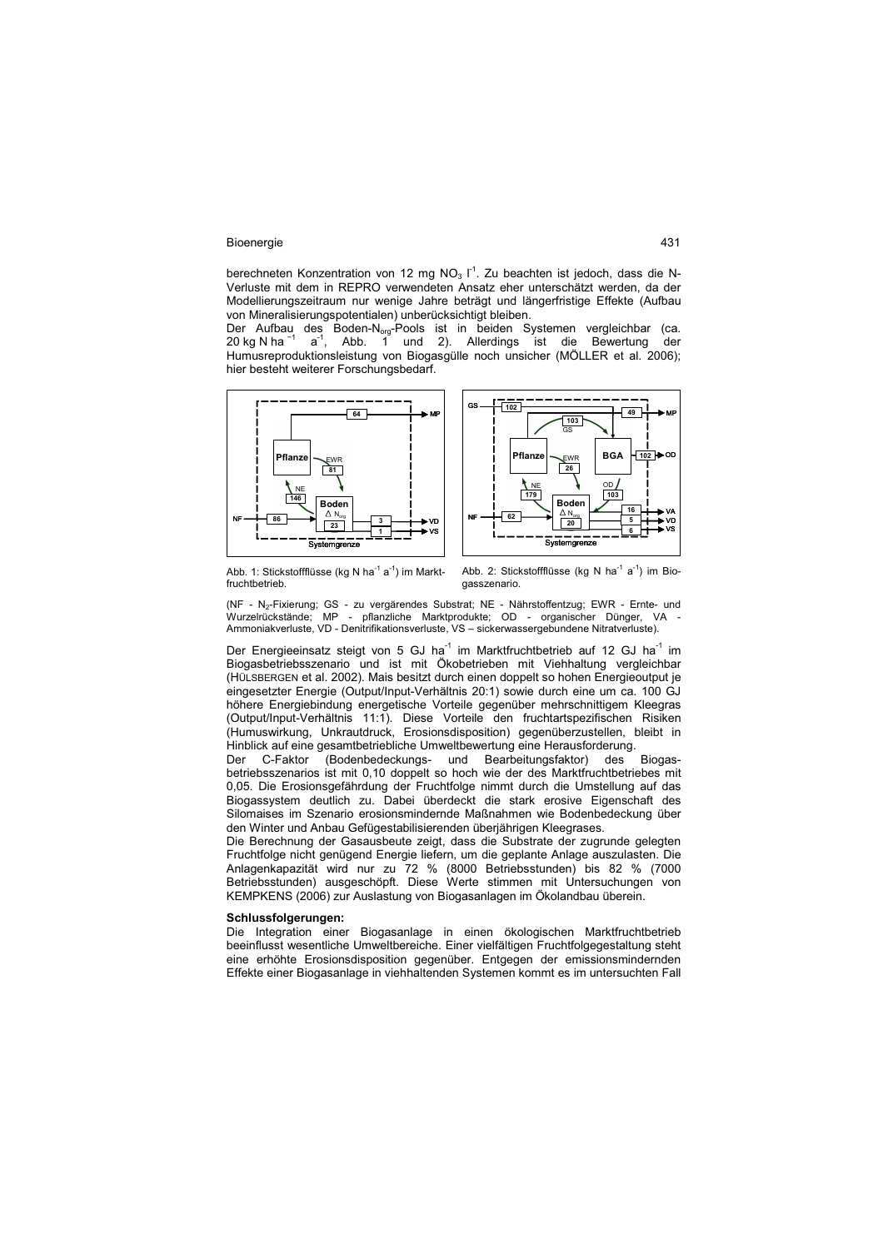berechneten Konzentration von 12 mg NO<sub>3</sub>  $I<sup>1</sup>$ . Zu beachten ist jedoch, dass die N-Verluste mit dem in REPRO verwendeten Ansatz eher unterschätzt werden, da der Modellierungszeitraum nur wenige Jahre beträgt und längerfristige Effekte (Aufbau von Mineralisierungspotentialen) unberücksichtigt bleiben.

Der Aufbau des Boden-N<sub>org</sub>-Pools ist in beiden Systemen vergleichbar (ca.<br>20 kg N ha <sup>−1</sup> a<sup>-1</sup>, Abb. 1 und 2). Allerdings ist die Bewertung der Humusreproduktionsleistung von Biogasgülle noch unsicher (MÖLLER et al. 2006); hier besteht weiterer Forschungsbedarf.





Abb. 1: Stickstoffflüsse (kg N ha $^{-1}$  a $^{-1}$ ) im Marktfruchtbetrieb.

Abb. 2: Stickstoffflüsse (kg N ha<sup>-1</sup> a<sup>-1</sup>) im Biogasszenario.

(NF - N<sub>2</sub>-Fixierung; GS - zu vergärendes Substrat; NE - Nährstoffentzug; EWR - Ernte- und Wurzelrückstände; MP - pflanzliche Marktprodukte; OD - organischer Dünger, VA - Ammoniakverluste, VD - Denitrifikationsverluste, VS – sickerwassergebundene Nitratverluste).

Der Energieeinsatz steigt von 5 GJ ha<sup>-1</sup> im Marktfruchtbetrieb auf 12 GJ ha<sup>-1</sup> im Biogasbetriebsszenario und ist mit Ökobetrieben mit Viehhaltung vergleichbar (HÜLSBERGEN et al. 2002). Mais besitzt durch einen doppelt so hohen Energieoutput je eingesetzter Energie (Output/Input-Verhältnis 20:1) sowie durch eine um ca. 100 GJ höhere Energiebindung energetische Vorteile gegenüber mehrschnittigem Kleegras (Output/Input-Verhältnis 11:1). Diese Vorteile den fruchtartspezifischen Risiken (Humuswirkung, Unkrautdruck, Erosionsdisposition) gegenüberzustellen, bleibt in .<br>Hinblick auf eine gesamtbetriebliche Umweltbewertung eine Herausforderung.<br>Der C-Faktor (Bodenbedeckungs- und Bearbeitungsfaktor) des Biogas-

Der C-Faktor (Bodenbedeckungs- und Bearbeitungsfaktor) des betriebsszenarios ist mit 0,10 doppelt so hoch wie der des Marktfruchtbetriebes mit 0,05. Die Erosionsgefährdung der Fruchtfolge nimmt durch die Umstellung auf das Biogassystem deutlich zu. Dabei überdeckt die stark erosive Eigenschaft des Silomaises im Szenario erosionsmindernde Maßnahmen wie Bodenbedeckung über den Winter und Anbau Gefügestabilisierenden überjährigen Kleegrases.

Die Berechnung der Gasausbeute zeigt, dass die Substrate der zugrunde gelegten Fruchtfolge nicht genügend Energie liefern, um die geplante Anlage auszulasten. Die Anlagenkapazität wird nur zu 72 % (8000 Betriebsstunden) bis 82 % (7000 Betriebsstunden) ausgeschöpft. Diese Werte stimmen mit Untersuchungen von KEMPKENS (2006) zur Auslastung von Biogasanlagen im Ökolandbau überein.

# **Schlussfolgerungen:**

Die Integration einer Biogasanlage in einen ökologischen Marktfruchtbetrieb beeinflusst wesentliche Umweltbereiche. Einer vielfältigen Fruchtfolgegestaltung steht eine erhöhte Erosionsdisposition gegenüber. Entgegen der emissionsmindernden Effekte einer Biogasanlage in viehhaltenden Systemen kommt es im untersuchten Fall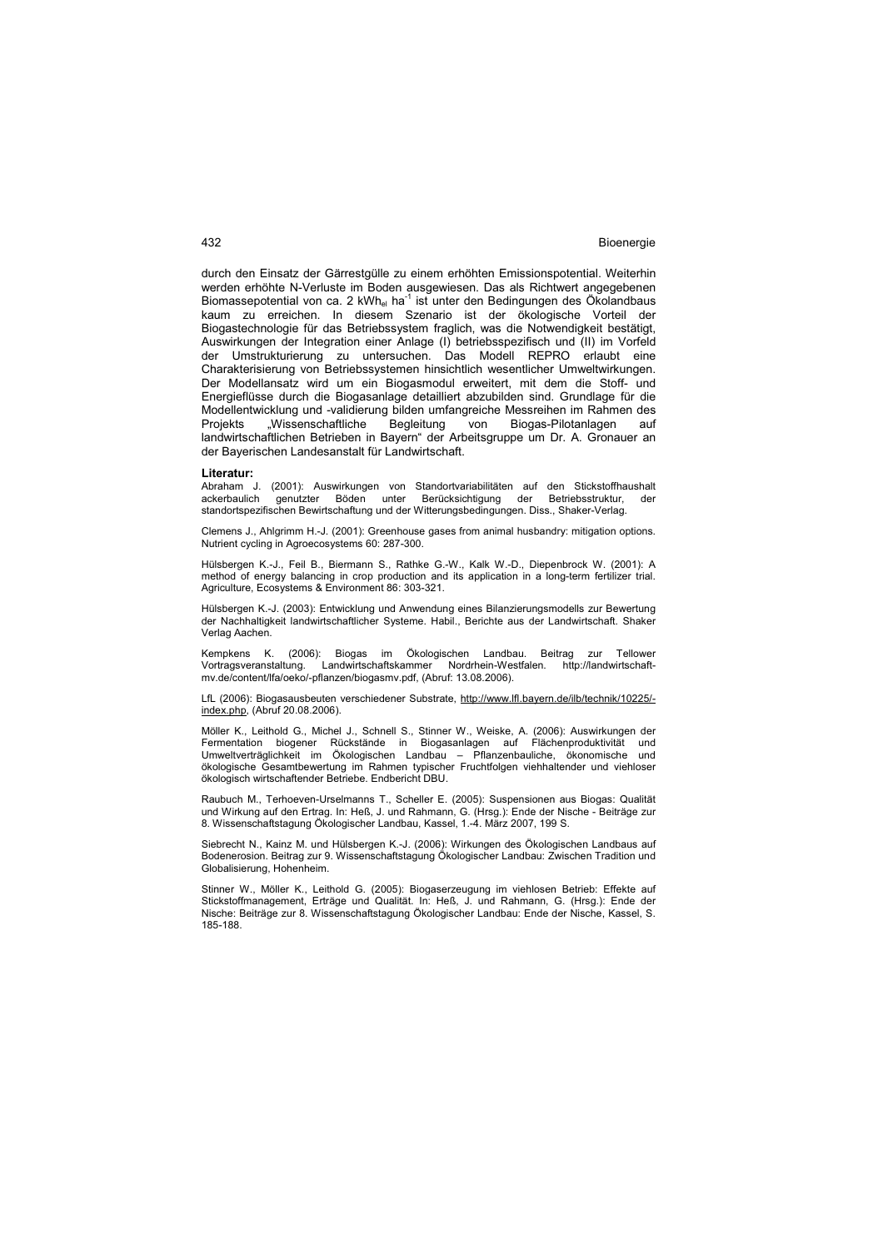durch den Einsatz der Gärrestgülle zu einem erhöhten Emissionspotential. Weiterhin werden erhöhte N-Verluste im Boden ausgewiesen. Das als Richtwert angegebenen Biomassepotential von ca. 2 kWh<sub>el</sub> ha<sup>-1</sup> ist unter den Bedingungen des Ökolandbaus kaum zu erreichen. In diesem Szenario ist der ökologische Vorteil der Biogastechnologie für das Betriebssystem fraglich, was die Notwendigkeit bestätigt, Auswirkungen der Integration einer Anlage (I) betriebsspezifisch und (II) im Vorfeld der Umstrukturierung zu untersuchen. Das Modell REPRO erlaubt eine Charakterisierung von Betriebssystemen hinsichtlich wesentlicher Umweltwirkungen. Der Modellansatz wird um ein Biogasmodul erweitert, mit dem die Stoff- und Energieflüsse durch die Biogasanlage detailliert abzubilden sind. Grundlage für die Modellentwicklung und -validierung bilden umfangreiche Messreihen im Rahmen des Projekts "Wissenschaftliche Begleitung von Biogas-Pilotanlagen auf landwirtschaftlichen Betrieben in Bayern" der Arbeitsgruppe um Dr. A. Gronauer an der Bayerischen Landesanstalt für Landwirtschaft.

#### **Literatur:**

Abraham J. (2001): Auswirkungen von Standortvariabilitäten auf den Stickstoffhaushalt genutzter Böden unter Berücksichtigung der Betriebsstruktur, der standortspezifischen Bewirtschaftung und der Witterungsbedingungen. Diss., Shaker-Verlag.

Clemens J., Ahlgrimm H.-J. (2001): Greenhouse gases from animal husbandry: mitigation options. Nutrient cycling in Agroecosystems 60: 287-300.

Hülsbergen K.-J., Feil B., Biermann S., Rathke G.-W., Kalk W.-D., Diepenbrock W. (2001): A method of energy balancing in crop production and its application in a long-term fertilizer trial. Agriculture, Ecosystems & Environment 86: 303-321.

Hülsbergen K.-J. (2003): Entwicklung und Anwendung eines Bilanzierungsmodells zur Bewertung der Nachhaltigkeit landwirtschaftlicher Systeme. Habil., Berichte aus der Landwirtschaft. Shaker Verlag Aachen.

Kempkens K. (2006): Biogas im Ökologischen Landbau. Beitrag zur Tellower<br>Vortragsveranstaltung. Landwirtschaftskammer Nordrhein-Westfalen. http://landwirtschaft-Vortragsveranstaltung. Landwirtschaftskammer Nordrhein-Westfalen. http://landwirtschaftmv.de/content/lfa/oeko/-pflanzen/biogasmv.pdf, (Abruf: 13.08.2006).

LfL (2006): Biogasausbeuten verschiedener Substrate, http://www.lfl.bayern.de/ilb/technik/10225/ index.php, (Abruf 20.08.2006).

Möller K., Leithold G., Michel J., Schnell S., Stinner W., Weiske, A. (2006): Auswirkungen der Fermentation biogener Rückstände in Biogasanlagen auf Flächenproduktivität und Umweltverträglichkeit im Ökologischen Landbau – Pflanzenbauliche, ökonomische und ökologische Gesamtbewertung im Rahmen typischer Fruchtfolgen viehhaltender und viehloser ökologisch wirtschaftender Betriebe. Endbericht DBU.

Raubuch M., Terhoeven-Urselmanns T., Scheller E. (2005): Suspensionen aus Biogas: Qualität und Wirkung auf den Ertrag. In: Heß, J. und Rahmann, G. (Hrsg.): Ende der Nische - Beiträge zur 8. Wissenschaftstagung Ökologischer Landbau, Kassel, 1.-4. März 2007, 199 S.

Siebrecht N., Kainz M. und Hülsbergen K.-J. (2006): Wirkungen des Ökologischen Landbaus auf Bodenerosion. Beitrag zur 9. Wissenschaftstagung Ökologischer Landbau: Zwischen Tradition und Globalisierung, Hohenheim.

Stinner W., Möller K., Leithold G. (2005): Biogaserzeugung im viehlosen Betrieb: Effekte auf Stickstoffmanagement, Erträge und Qualität. In: Heß, J. und Rahmann, G. (Hrsg.): Ende der Nische: Beiträge zur 8. Wissenschaftstagung Ökologischer Landbau: Ende der Nische, Kassel, S. 185-188.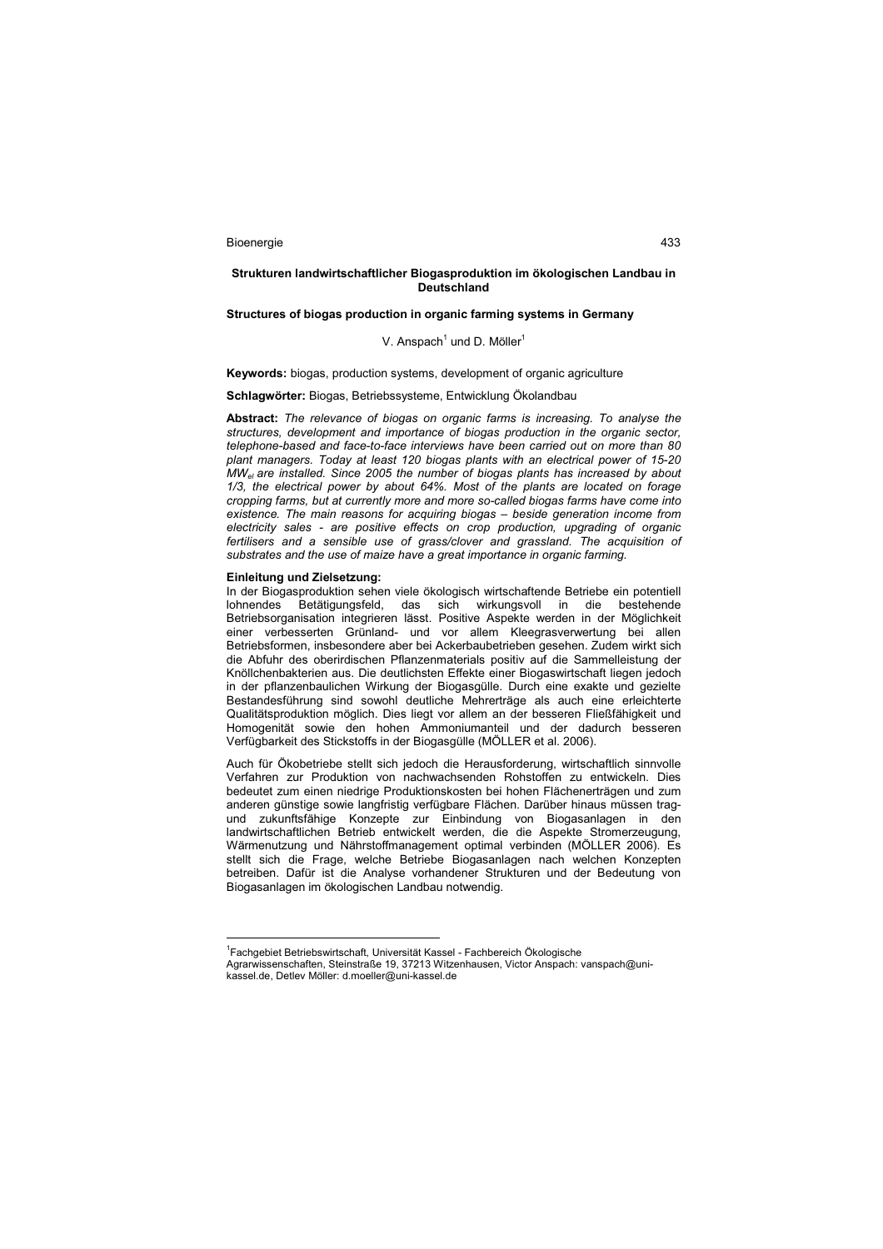## **Strukturen landwirtschaftlicher Biogasproduktion im ökologischen Landbau in Deutschland**

## **Structures of biogas production in organic farming systems in Germany**

## V. Anspach $^1$  und D. Möller $^1$

**Keywords:** biogas, production systems, development of organic agriculture

## **Schlagwörter:** Biogas, Betriebssysteme, Entwicklung Ökolandbau

**Abstract:** *The relevance of biogas on organic farms is increasing. To analyse the structures, development and importance of biogas production in the organic sector, telephone-based and face-to-face interviews have been carried out on more than 80 plant managers. Today at least 120 biogas plants with an electrical power of 15-20 MWel are installed. Since 2005 the number of biogas plants has increased by about 1/3, the electrical power by about 64%. Most of the plants are located on forage cropping farms, but at currently more and more so-called biogas farms have come into existence. The main reasons for acquiring biogas – beside generation income from electricity sales - are positive effects on crop production, upgrading of organic*  fertilisers and a sensible use of grass/clover and grassland. The acquisition of *substrates and the use of maize have a great importance in organic farming.* 

#### **Einleitung und Zielsetzung:**

 $\overline{a}$ 

In der Biogasproduktion sehen viele ökologisch wirtschaftende Betriebe ein potentiell lohnendes Betätigungsfeld, das sich wirkungsvoll in die bestehende Betriebsorganisation integrieren lässt. Positive Aspekte werden in der Möglichkeit einer verbesserten Grünland- und vor allem Kleegrasverwertung bei allen Betriebsformen, insbesondere aber bei Ackerbaubetrieben gesehen. Zudem wirkt sich die Abfuhr des oberirdischen Pflanzenmaterials positiv auf die Sammelleistung der Knöllchenbakterien aus. Die deutlichsten Effekte einer Biogaswirtschaft liegen jedoch in der pflanzenbaulichen Wirkung der Biogasgülle. Durch eine exakte und gezielte Bestandesführung sind sowohl deutliche Mehrerträge als auch eine erleichterte Qualitätsproduktion möglich. Dies liegt vor allem an der besseren Fließfähigkeit und Homogenität sowie den hohen Ammoniumanteil und der dadurch besseren Verfügbarkeit des Stickstoffs in der Biogasgülle (MÖLLER et al. 2006).

Auch für Ökobetriebe stellt sich jedoch die Herausforderung, wirtschaftlich sinnvolle Verfahren zur Produktion von nachwachsenden Rohstoffen zu entwickeln. Dies bedeutet zum einen niedrige Produktionskosten bei hohen Flächenerträgen und zum anderen günstige sowie langfristig verfügbare Flächen. Darüber hinaus müssen tragund zukunftsfähige Konzepte zur Einbindung von Biogasanlagen in den landwirtschaftlichen Betrieb entwickelt werden, die die Aspekte Stromerzeugung, Wärmenutzung und Nährstoffmanagement optimal verbinden (MÖLLER 2006). Es stellt sich die Frage, welche Betriebe Biogasanlagen nach welchen Konzepten betreiben. Dafür ist die Analyse vorhandener Strukturen und der Bedeutung von Biogasanlagen im ökologischen Landbau notwendig.

<sup>&</sup>lt;sup>1</sup>Fachgebiet Betriebswirtschaft, Universität Kassel - Fachbereich Ökologische

Agrarwissenschaften, Steinstraße 19, 37213 Witzenhausen, Victor Anspach: vanspach@unikassel.de, Detlev Möller: d.moeller@uni-kassel.de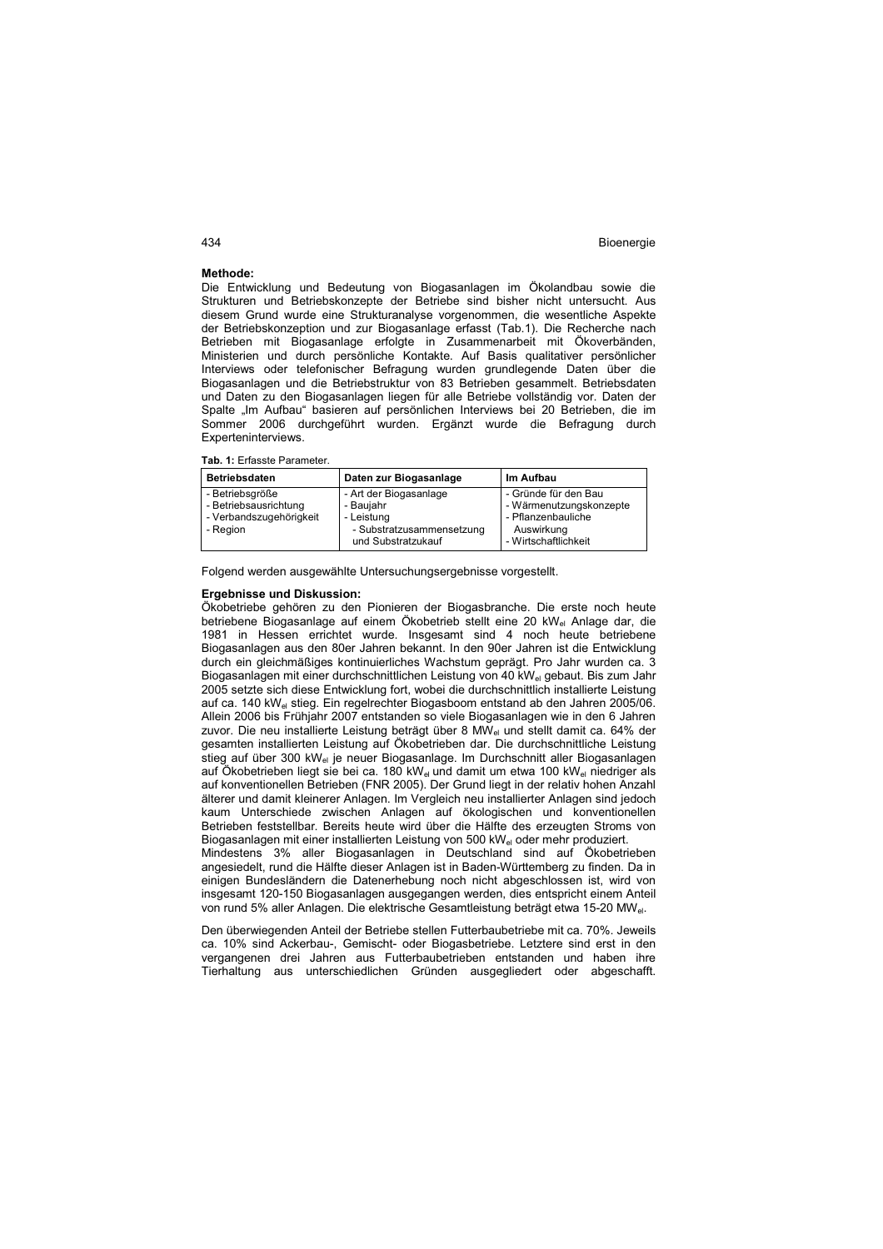#### **Methode:**

Die Entwicklung und Bedeutung von Biogasanlagen im Ökolandbau sowie die Strukturen und Betriebskonzepte der Betriebe sind bisher nicht untersucht. Aus diesem Grund wurde eine Strukturanalyse vorgenommen, die wesentliche Aspekte der Betriebskonzeption und zur Biogasanlage erfasst (Tab.1). Die Recherche nach Betrieben mit Biogasanlage erfolgte in Zusammenarbeit mit Ökoverbänden, Ministerien und durch persönliche Kontakte. Auf Basis qualitativer persönlicher Interviews oder telefonischer Befragung wurden grundlegende Daten über die Biogasanlagen und die Betriebstruktur von 83 Betrieben gesammelt. Betriebsdaten und Daten zu den Biogasanlagen liegen für alle Betriebe vollständig vor. Daten der Spalte "Im Aufbau" basieren auf persönlichen Interviews bei 20 Betrieben, die im Sommer 2006 durchgeführt wurden. Ergänzt wurde die Befragung durch Experteninterviews.

**Tab. 1:** Erfasste Parameter.

| <b>Betriebsdaten</b>    | Daten zur Biogasanlage    | Im Aufbau               |
|-------------------------|---------------------------|-------------------------|
| - Betriebsgröße         | - Art der Biogasanlage    | - Gründe für den Bau    |
| - Betriebsausrichtung   | - Bauiahr                 | - Wärmenutzungskonzepte |
| - Verbandszugehörigkeit | - Leistung                | - Pflanzenbauliche      |
| - Region                | - Substratzusammensetzung | Auswirkung              |
|                         | und Substratzukauf        | - Wirtschaftlichkeit    |

Folgend werden ausgewählte Untersuchungsergebnisse vorgestellt.

#### **Ergebnisse und Diskussion:**

Ökobetriebe gehören zu den Pionieren der Biogasbranche. Die erste noch heute betriebene Biogasanlage auf einem Ökobetrieb stellt eine 20 kWel Anlage dar, die 1981 in Hessen errichtet wurde. Insgesamt sind 4 noch heute betriebene Biogasanlagen aus den 80er Jahren bekannt. In den 90er Jahren ist die Entwicklung durch ein gleichmäßiges kontinuierliches Wachstum geprägt. Pro Jahr wurden ca. 3 Biogasanlagen mit einer durchschnittlichen Leistung von 40 kW<sub>el</sub> gebaut. Bis zum Jahr 2005 setzte sich diese Entwicklung fort, wobei die durchschnittlich installierte Leistung auf ca. 140 kW<sub>el</sub> stieg. Ein regelrechter Biogasboom entstand ab den Jahren 2005/06. Allein 2006 bis Frühjahr 2007 entstanden so viele Biogasanlagen wie in den 6 Jahren zuvor. Die neu installierte Leistung beträgt über 8 MW<sub>el</sub> und stellt damit ca. 64% der gesamten installierten Leistung auf Ökobetrieben dar. Die durchschnittliche Leistung stieg auf über 300 kW<sub>el</sub> je neuer Biogasanlage. Im Durchschnitt aller Biogasanlagen auf Ökobetrieben liegt sie bei ca. 180 kW<sub>el</sub> und damit um etwa 100 kW<sub>el</sub> niedriger als auf konventionellen Betrieben (FNR 2005). Der Grund liegt in der relativ hohen Anzahl älterer und damit kleinerer Anlagen. Im Vergleich neu installierter Anlagen sind jedoch kaum Unterschiede zwischen Anlagen auf ökologischen und konventionellen Betrieben feststellbar. Bereits heute wird über die Hälfte des erzeugten Stroms von Biogasanlagen mit einer installierten Leistung von 500 kW<sub>el</sub> oder mehr produziert. Mindestens 3% aller Biogasanlagen in Deutschland sind auf Ökobetrieben angesiedelt, rund die Hälfte dieser Anlagen ist in Baden-Württemberg zu finden. Da in

einigen Bundesländern die Datenerhebung noch nicht abgeschlossen ist, wird von insgesamt 120-150 Biogasanlagen ausgegangen werden, dies entspricht einem Anteil von rund 5% aller Anlagen. Die elektrische Gesamtleistung beträgt etwa 15-20 MWel.

Den überwiegenden Anteil der Betriebe stellen Futterbaubetriebe mit ca. 70%. Jeweils ca. 10% sind Ackerbau-, Gemischt- oder Biogasbetriebe. Letztere sind erst in den vergangenen drei Jahren aus Futterbaubetrieben entstanden und haben ihre Tierhaltung aus unterschiedlichen Gründen ausgegliedert oder abgeschafft.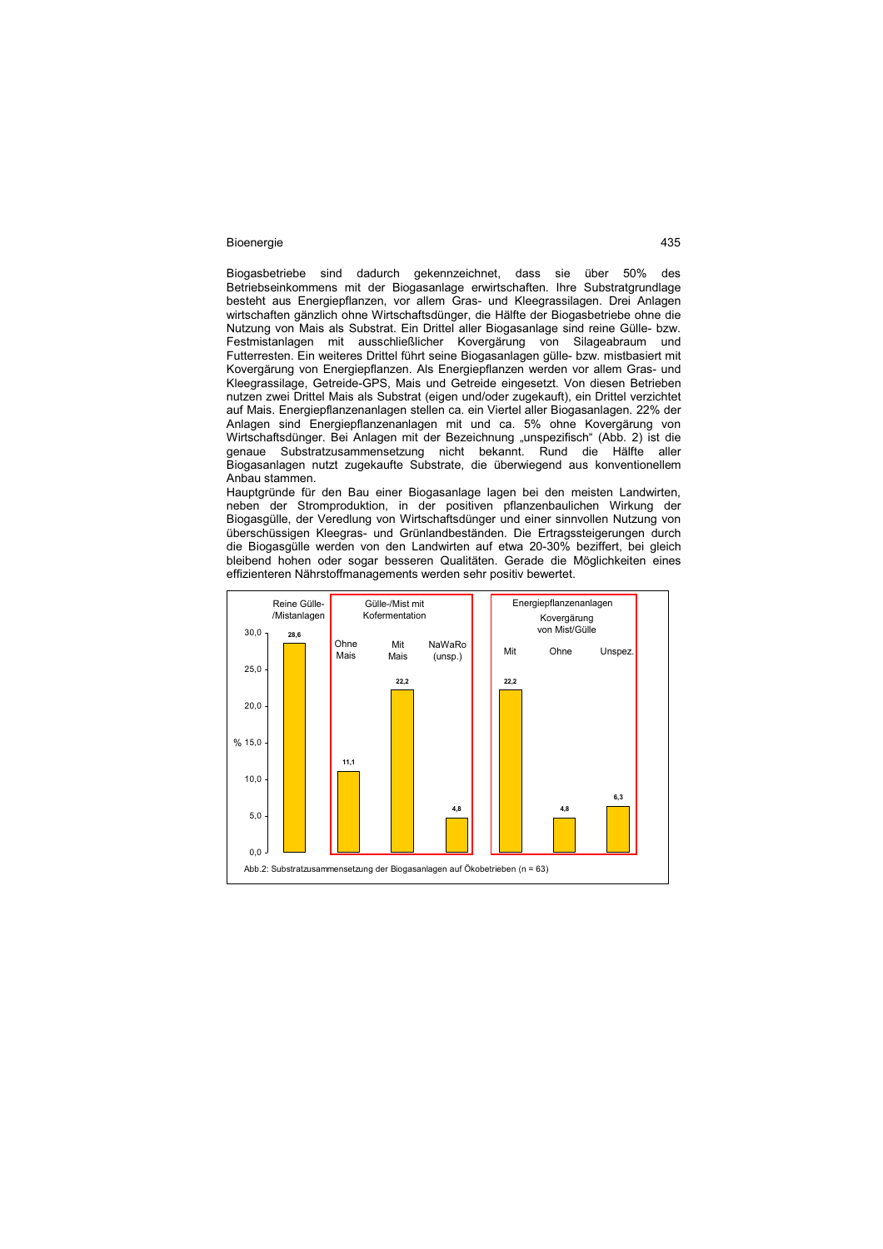Biogasbetriebe sind dadurch gekennzeichnet, dass sie über 50% des Betriebseinkommens mit der Biogasanlage erwirtschaften. Ihre Substratgrundlage besteht aus Energiepflanzen, vor allem Gras- und Kleegrassilagen. Drei Anlagen wirtschaften gänzlich ohne Wirtschaftsdünger, die Hälfte der Biogasbetriebe ohne die Nutzung von Mais als Substrat. Ein Drittel aller Biogasanlage sind reine Gülle- bzw. Festmistanlagen mit ausschließlicher Kovergärung von Silageabraum und Futterresten. Ein weiteres Drittel führt seine Biogasanlagen gülle- bzw. mistbasiert mit Kovergärung von Energiepflanzen. Als Energiepflanzen werden vor allem Gras- und Kleegrassilage, Getreide-GPS, Mais und Getreide eingesetzt. Von diesen Betrieben nutzen zwei Drittel Mais als Substrat (eigen und/oder zugekauft), ein Drittel verzichtet auf Mais. Energiepflanzenanlagen stellen ca. ein Viertel aller Biogasanlagen. 22% der Anlagen sind Energiepflanzenanlagen mit und ca. 5% ohne Kovergärung von Wirtschaftsdünger. Bei Anlagen mit der Bezeichnung "unspezifisch" (Abb. 2) ist die genaue Substratzusammensetzung nicht bekannt. Rund die Hälfte aller Biogasanlagen nutzt zugekaufte Substrate, die überwiegend aus konventionellem Anbau stammen.

Hauptgründe für den Bau einer Biogasanlage lagen bei den meisten Landwirten, neben der Stromproduktion, in der positiven pflanzenbaulichen Wirkung der Biogasgülle, der Veredlung von Wirtschaftsdünger und einer sinnvollen Nutzung von überschüssigen Kleegras- und Grünlandbeständen. Die Ertragssteigerungen durch die Biogasgülle werden von den Landwirten auf etwa 20-30% beziffert, bei gleich bleibend hohen oder sogar besseren Qualitäten. Gerade die Möglichkeiten eines effizienteren Nährstoffmanagements werden sehr positiv bewertet.